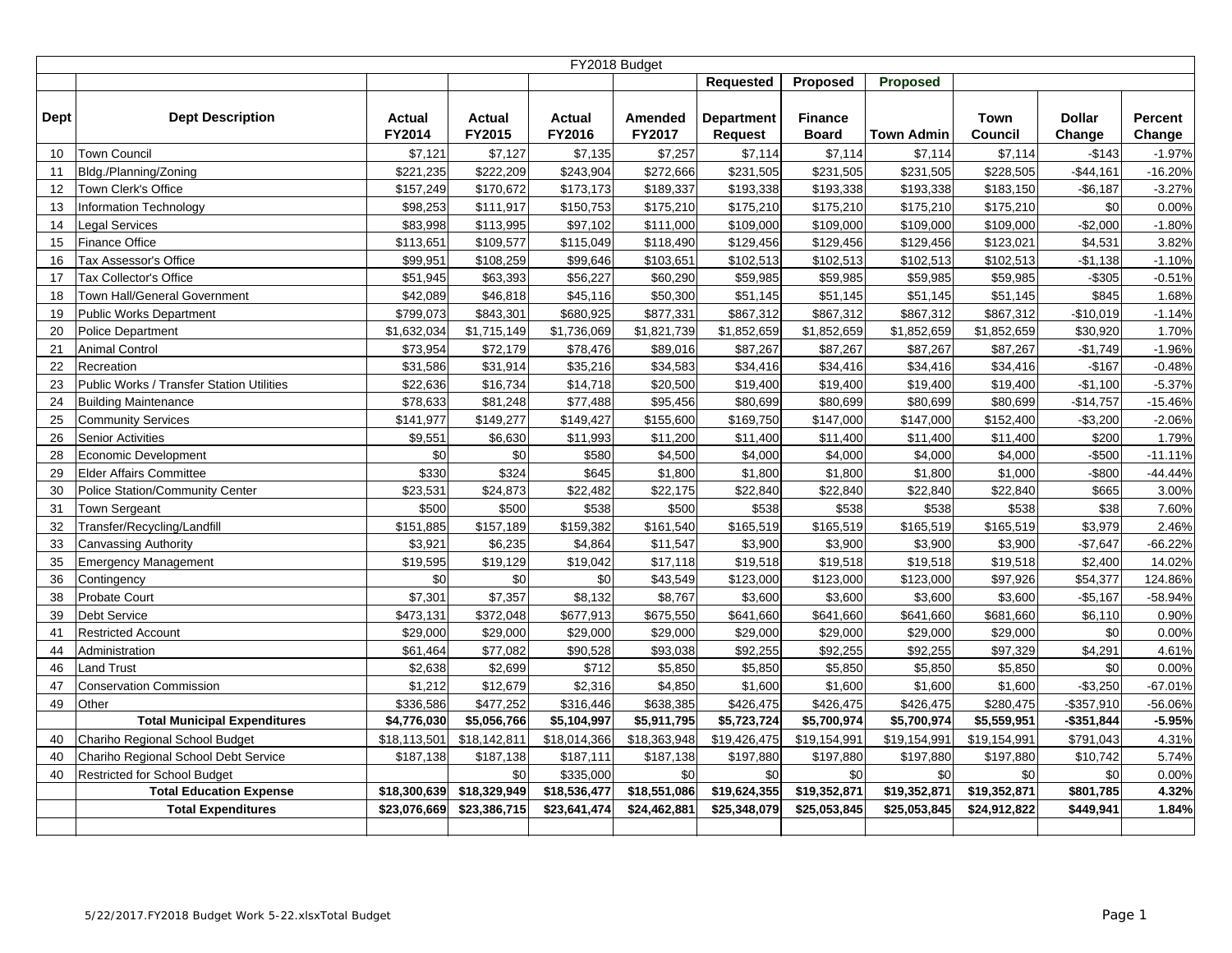|             |                                           |                         |                         |                         | FY2018 Budget            |                                     |                                |                   |                 |                         |                   |
|-------------|-------------------------------------------|-------------------------|-------------------------|-------------------------|--------------------------|-------------------------------------|--------------------------------|-------------------|-----------------|-------------------------|-------------------|
|             |                                           |                         |                         |                         |                          | Requested                           | <b>Proposed</b>                | <b>Proposed</b>   |                 |                         |                   |
| <b>Dept</b> | <b>Dept Description</b>                   | <b>Actual</b><br>FY2014 | <b>Actual</b><br>FY2015 | <b>Actual</b><br>FY2016 | <b>Amended</b><br>FY2017 | <b>Department</b><br><b>Request</b> | <b>Finance</b><br><b>Board</b> | <b>Town Admin</b> | Town<br>Council | <b>Dollar</b><br>Change | Percent<br>Change |
| 10          | Town Council                              | \$7,121                 | \$7,127                 | \$7,135                 | \$7,257                  | \$7,114                             | \$7,114                        | \$7,114           | \$7,114         | $-$143$                 | $-1.97%$          |
| 11          | Bldg./Planning/Zoning                     | \$221,235               | \$222,209               | \$243,904               | \$272,666                | \$231,505                           | \$231,505                      | \$231,505         | \$228,505       | $-$44,161$              | $-16.20%$         |
| 12          | Town Clerk's Office                       | \$157,249               | \$170,672               | \$173,173               | \$189,337                | \$193,338                           | \$193,338                      | \$193,338         | \$183,150       | $-$6,187$               | $-3.27%$          |
| 13          | Information Technology                    | \$98,253                | \$111,917               | \$150,753               | \$175,210                | \$175,210                           | \$175,210                      | \$175,210         | \$175,210       | \$0                     | 0.00%             |
| 14          | <b>Legal Services</b>                     | \$83,998                | \$113,995               | \$97,102                | \$111,000                | \$109,000                           | \$109,000                      | \$109,000         | \$109,000       | $-$2,000$               | $-1.80%$          |
| 15          | Finance Office                            | \$113,651               | \$109,577               | \$115,049               | \$118,490                | \$129,456                           | \$129,456                      | \$129,456         | \$123,021       | \$4,531                 | 3.82%             |
| 16          | Tax Assessor's Office                     | \$99,951                | \$108,259               | \$99,646                | \$103,651                | \$102,513                           | \$102,513                      | \$102,513         | \$102,513       | $-$1,138$               | $-1.10%$          |
| 17          | Tax Collector's Office                    | \$51,945                | \$63,393                | \$56,227                | \$60,290                 | \$59,985                            | \$59,985                       | \$59,985          | \$59,985        | $- $305$                | $-0.51%$          |
| 18          | Town Hall/General Government              | \$42,089                | \$46,818                | \$45,116                | \$50,300                 | \$51,145                            | \$51,145                       | \$51,145          | \$51,145        | \$845                   | 1.68%             |
| 19          | <b>Public Works Department</b>            | \$799,073               | \$843,301               | \$680,925               | \$877,331                | \$867,312                           | \$867,312                      | \$867,312         | \$867,312       | $-$10,019$              | $-1.14%$          |
| 20          | <b>Police Department</b>                  | \$1,632,034             | \$1,715,149             | \$1,736,069             | \$1,821,739              | \$1,852,659                         | \$1,852,659                    | \$1,852,659       | \$1,852,659     | \$30,920                | 1.70%             |
| 21          | <b>Animal Control</b>                     | \$73,954                | \$72,179                | \$78,476                | \$89,016                 | \$87,267                            | \$87,267                       | \$87,267          | \$87,267        | $-$1,749$               | $-1.96%$          |
| 22          | Recreation                                | \$31,586                | \$31,914                | \$35,216                | \$34,583                 | \$34,416                            | \$34,416                       | \$34,416          | \$34,416        | $-$167$                 | $-0.48%$          |
| 23          | Public Works / Transfer Station Utilities | \$22,636                | \$16,734                | \$14,718                | \$20,500                 | \$19,400                            | \$19,400                       | \$19,400          | \$19,400        | $-$1,100$               | $-5.37%$          |
| 24          | <b>Building Maintenance</b>               | \$78,633                | \$81,248                | \$77,488                | \$95,456                 | \$80,699                            | \$80,699                       | \$80,699          | \$80,699        | $-$14,757$              | $-15.46%$         |
| 25          | <b>Community Services</b>                 | \$141,977               | \$149,277               | \$149,427               | \$155,600                | \$169,750                           | \$147,000                      | \$147,000         | \$152,400       | $-$ \$3,200             | $-2.06%$          |
| 26          | <b>Senior Activities</b>                  | \$9,551                 | \$6,630                 | \$11,993                | \$11,200                 | \$11,400                            | \$11,400                       | \$11,400          | \$11,400        | \$200                   | 1.79%             |
| 28          | Economic Development                      | \$0                     | \$0                     | \$580                   | \$4,500                  | \$4,000                             | \$4,000                        | \$4,000           | \$4,000         | $- $500$                | $-11.11%$         |
| 29          | <b>Elder Affairs Committee</b>            | \$330                   | \$324                   | \$645                   | \$1,800                  | \$1,800                             | \$1,800                        | \$1,800           | \$1,000         | $-$800$                 | $-44.44%$         |
| 30          | Police Station/Community Center           | \$23,531                | \$24,873                | \$22,482                | \$22,175                 | \$22,840                            | \$22,840                       | \$22,840          | \$22,840        | \$665                   | 3.00%             |
| 31          | Town Sergeant                             | \$500                   | \$500                   | \$538                   | \$500                    | \$538                               | \$538                          | \$538             | \$538           | \$38                    | 7.60%             |
| 32          | Transfer/Recycling/Landfill               | \$151,885               | \$157,189               | \$159,382               | \$161,540                | \$165,519                           | \$165,519                      | \$165,519         | \$165,519       | \$3,979                 | 2.46%             |
| 33          | <b>Canvassing Authority</b>               | \$3,921                 | \$6,235                 | \$4,864                 | \$11,547                 | \$3,900                             | \$3,900                        | \$3,900           | \$3,900         | $-$7,647$               | $-66.22%$         |
| 35          | <b>Emergency Management</b>               | \$19,595                | \$19,129                | \$19,042                | \$17,118                 | \$19,518                            | \$19,518                       | \$19,518          | \$19,518        | \$2,400                 | 14.02%            |
| 36          | Contingency                               | \$0                     | \$0                     | \$0                     | \$43,549                 | \$123,000                           | \$123,000                      | \$123,000         | \$97,926        | \$54,377                | 124.86%           |
| 38          | Probate Court                             | \$7,301                 | \$7,357                 | \$8,132                 | \$8,767                  | \$3,600                             | \$3,600                        | \$3,600           | \$3,600         | $- $5,167$              | -58.94%           |
| 39          | <b>Debt Service</b>                       | \$473,131               | \$372,048               | \$677,913               | \$675,550                | \$641,660                           | \$641,660                      | \$641,660         | \$681,660       | \$6,110                 | 0.90%             |
| 41          | <b>Restricted Account</b>                 | \$29,000                | \$29,000                | \$29,000                | \$29,000                 | \$29,000                            | \$29,000                       | \$29,000          | \$29,000        | \$0                     | 0.00%             |
| 44          | Administration                            | \$61,464                | \$77,082                | \$90,528                | \$93,038                 | \$92,255                            | \$92,255                       | \$92,255          | \$97,329        | \$4,291                 | 4.61%             |
| 46          | <b>Land Trust</b>                         | \$2,638                 | \$2,699                 | \$712                   | \$5,850                  | \$5,850                             | \$5,850                        | \$5,850           | \$5,850         | \$0                     | 0.00%             |
| 47          | <b>Conservation Commission</b>            | \$1,212                 | \$12,679                | \$2,316                 | \$4,850                  | \$1,600                             | \$1,600                        | \$1,600           | \$1,600         | $-$3,250$               | $-67.01%$         |
| 49          | Other                                     | \$336,586               | \$477,252               | \$316,446               | \$638,385                | \$426,475                           | \$426,475                      | \$426,475         | \$280,475       | $-$357,910$             | -56.06%           |
|             | <b>Total Municipal Expenditures</b>       | \$4,776,030             | \$5,056,766             | \$5,104,997             | \$5,911,795              | \$5,723,724                         | \$5,700,974                    | \$5,700,974       | \$5,559,951     | $-$351,844$             | $-5.95%$          |
| 40          | Chariho Regional School Budget            | \$18,113,501            | \$18,142,811            | \$18,014,366            | \$18,363,948             | \$19,426,475                        | \$19,154,991                   | \$19,154,991      | \$19,154,991    | \$791,043               | 4.31%             |
| 40          | Chariho Regional School Debt Service      | \$187,138               | \$187,138               | \$187,111               | \$187,138                | \$197,880                           | \$197,880                      | \$197,880         | \$197,880       | \$10,742                | 5.74%             |
| 40          | <b>Restricted for School Budget</b>       |                         | \$0                     | \$335,000               | \$0                      | \$0                                 | \$0                            | \$0               | \$0             | \$0                     | 0.00%             |
|             | <b>Total Education Expense</b>            | \$18,300,639            | \$18,329,949            | \$18,536,477            | \$18,551,086             | \$19,624,355                        | \$19,352,871                   | \$19,352,871      | \$19,352,871    | \$801,785               | 4.32%             |
|             | <b>Total Expenditures</b>                 | \$23,076,669            | \$23,386,715            | \$23,641,474            | \$24,462,881             | \$25,348,079                        | \$25,053,845                   | \$25,053,845      | \$24,912,822    | \$449,941               | 1.84%             |
|             |                                           |                         |                         |                         |                          |                                     |                                |                   |                 |                         |                   |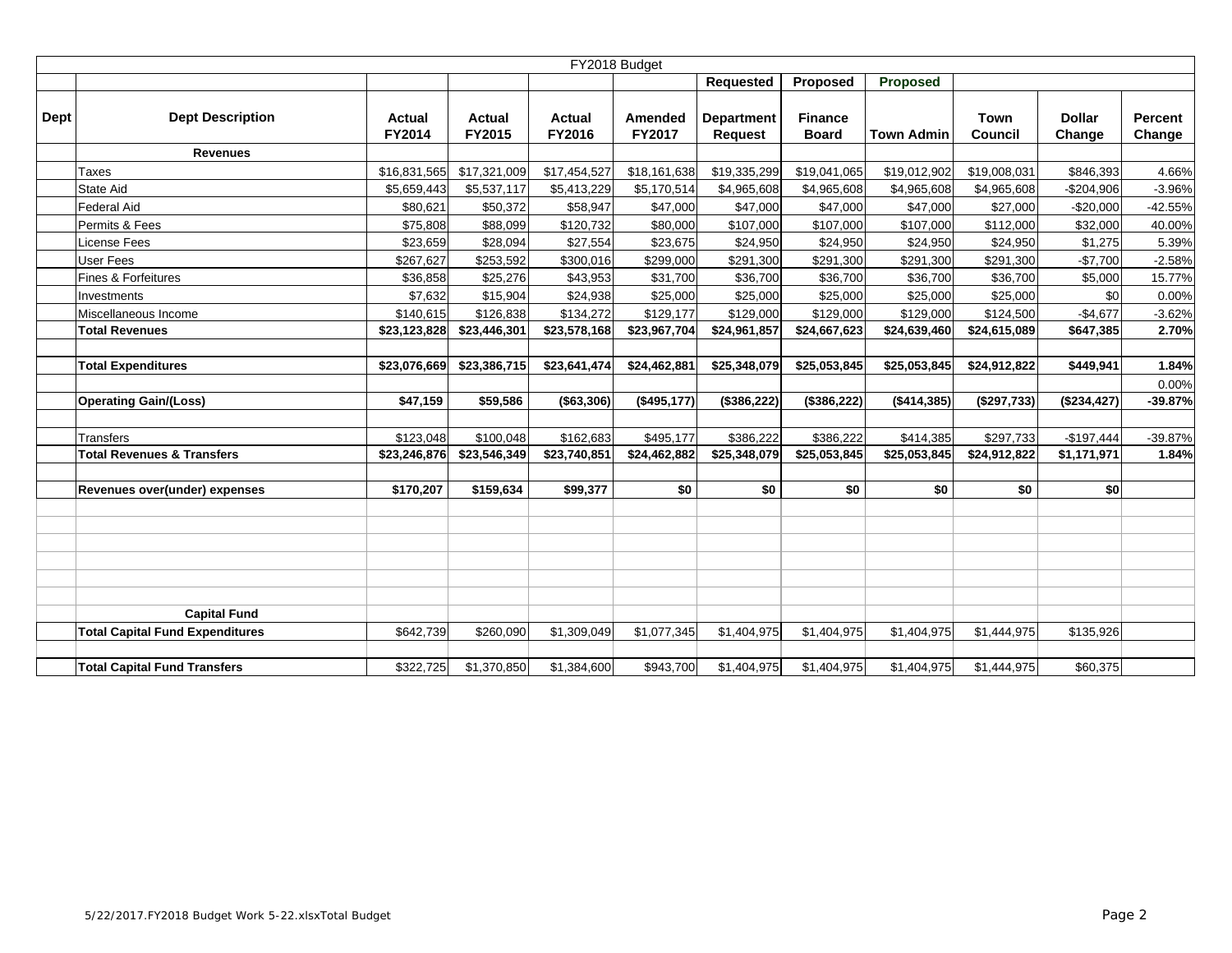|             |                                        |                         |                         |                         | FY2018 Budget     |                              |                                |                   |                               |                         |                   |
|-------------|----------------------------------------|-------------------------|-------------------------|-------------------------|-------------------|------------------------------|--------------------------------|-------------------|-------------------------------|-------------------------|-------------------|
|             |                                        |                         |                         |                         |                   | Requested                    | Proposed                       | Proposed          |                               |                         |                   |
| <b>Dept</b> | <b>Dept Description</b>                | <b>Actual</b><br>FY2014 | <b>Actual</b><br>FY2015 | <b>Actual</b><br>FY2016 | Amended<br>FY2017 | <b>Department</b><br>Request | <b>Finance</b><br><b>Board</b> | <b>Town Admin</b> | <b>Town</b><br><b>Council</b> | <b>Dollar</b><br>Change | Percent<br>Change |
|             | <b>Revenues</b>                        |                         |                         |                         |                   |                              |                                |                   |                               |                         |                   |
|             | Taxes                                  | \$16,831,565            | \$17,321,009            | \$17,454,527            | \$18,161,638      | \$19,335,299                 | \$19,041,065                   | \$19,012,902      | \$19,008,031                  | \$846,393               | 4.66%             |
|             | State Aid                              | \$5,659,443             | \$5,537,117             | \$5,413,229             | \$5,170,514       | \$4,965,608                  | \$4,965,608                    | \$4,965,608       | \$4,965,608                   | $-$204,906$             | $-3.96%$          |
|             | <b>Federal Aid</b>                     | \$80,621                | \$50,372                | \$58,947                | \$47,000          | \$47,000                     | \$47,000                       | \$47,000          | \$27,000                      | $-$20,000$              | $-42.55%$         |
|             | Permits & Fees                         | \$75,808                | \$88,099                | \$120,732               | \$80,000          | \$107,000                    | \$107,000                      | \$107,000         | \$112,000                     | \$32,000                | 40.00%            |
|             | License Fees                           | \$23,659                | \$28,094                | \$27,554                | \$23,675          | \$24,950                     | \$24,950                       | \$24,950          | \$24,950                      | \$1,275                 | 5.39%             |
|             | User Fees                              | \$267,627               | \$253,592               | \$300,016               | \$299,000         | \$291,300                    | \$291,300                      | \$291,300         | \$291,300                     | $-$7,700$               | $-2.58%$          |
|             | Fines & Forfeitures                    | \$36,858                | \$25,276                | \$43,953                | \$31,700          | \$36,700                     | \$36,700                       | \$36,700          | \$36,700                      | \$5,000                 | 15.77%            |
|             | Investments                            | \$7,632                 | \$15,904                | \$24,938                | \$25,000          | \$25,000                     | \$25,000                       | \$25,000          | \$25,000                      | \$0                     | 0.00%             |
|             | Miscellaneous Income                   | \$140,615               | \$126,838               | \$134,272               | \$129,177         | \$129,000                    | \$129,000                      | \$129,000         | \$124,500                     | $-$4,677$               | $-3.62%$          |
|             | <b>Total Revenues</b>                  | \$23,123,828            | \$23,446,301            | \$23,578,168            | \$23,967,704      | \$24,961,857                 | \$24,667,623                   | \$24,639,460      | \$24,615,089                  | \$647,385               | 2.70%             |
|             |                                        |                         |                         |                         |                   |                              |                                |                   |                               |                         |                   |
|             | <b>Total Expenditures</b>              | \$23,076,669            | \$23,386,715            | \$23,641,474            | \$24,462,881      | \$25,348,079                 | \$25,053,845                   | \$25,053,845      | \$24,912,822                  | \$449,941               | 1.84%             |
|             |                                        |                         |                         |                         |                   |                              |                                |                   |                               |                         | 0.00%             |
|             | <b>Operating Gain/(Loss)</b>           | \$47,159                | \$59,586                | (\$63,306)              | (\$495, 177)      | (\$386,222)                  | (\$386,222)                    | (\$414,385)       | (\$297,733)                   | (\$234, 427)            | -39.87%           |
|             |                                        |                         |                         |                         |                   |                              |                                |                   |                               |                         |                   |
|             | <b>Transfers</b>                       | \$123,048               | \$100,048               | \$162,683               | \$495,177         | \$386,222                    | \$386,222                      | \$414,385         | \$297,733                     | $-$197,444$             | -39.87%           |
|             | <b>Total Revenues &amp; Transfers</b>  | \$23,246,876            | \$23,546,349            | \$23,740,851            | \$24,462,882      | \$25,348,079                 | \$25,053,845                   | \$25,053,845      | \$24,912,822                  | \$1,171,971             | 1.84%             |
|             |                                        |                         |                         |                         |                   |                              |                                |                   |                               |                         |                   |
|             | Revenues over(under) expenses          | \$170,207               | \$159,634               | \$99,377                | \$0               | \$0                          | \$0                            | \$0               | \$0                           | \$0                     |                   |
|             |                                        |                         |                         |                         |                   |                              |                                |                   |                               |                         |                   |
|             |                                        |                         |                         |                         |                   |                              |                                |                   |                               |                         |                   |
|             |                                        |                         |                         |                         |                   |                              |                                |                   |                               |                         |                   |
|             |                                        |                         |                         |                         |                   |                              |                                |                   |                               |                         |                   |
|             |                                        |                         |                         |                         |                   |                              |                                |                   |                               |                         |                   |
|             |                                        |                         |                         |                         |                   |                              |                                |                   |                               |                         |                   |
|             | <b>Capital Fund</b>                    |                         |                         |                         |                   |                              |                                |                   |                               |                         |                   |
|             | <b>Total Capital Fund Expenditures</b> | \$642,739               | \$260,090               | \$1,309,049             | \$1,077,345       | \$1,404,975                  | \$1,404,975                    | \$1,404,975       | \$1,444,975                   | \$135,926               |                   |
|             |                                        |                         |                         |                         |                   |                              |                                |                   |                               |                         |                   |
|             | <b>Total Capital Fund Transfers</b>    | \$322,725               | \$1,370,850             | \$1,384,600             | \$943,700         | \$1,404,975                  | \$1,404,975                    | \$1,404,975       | \$1,444,975                   | \$60,375                |                   |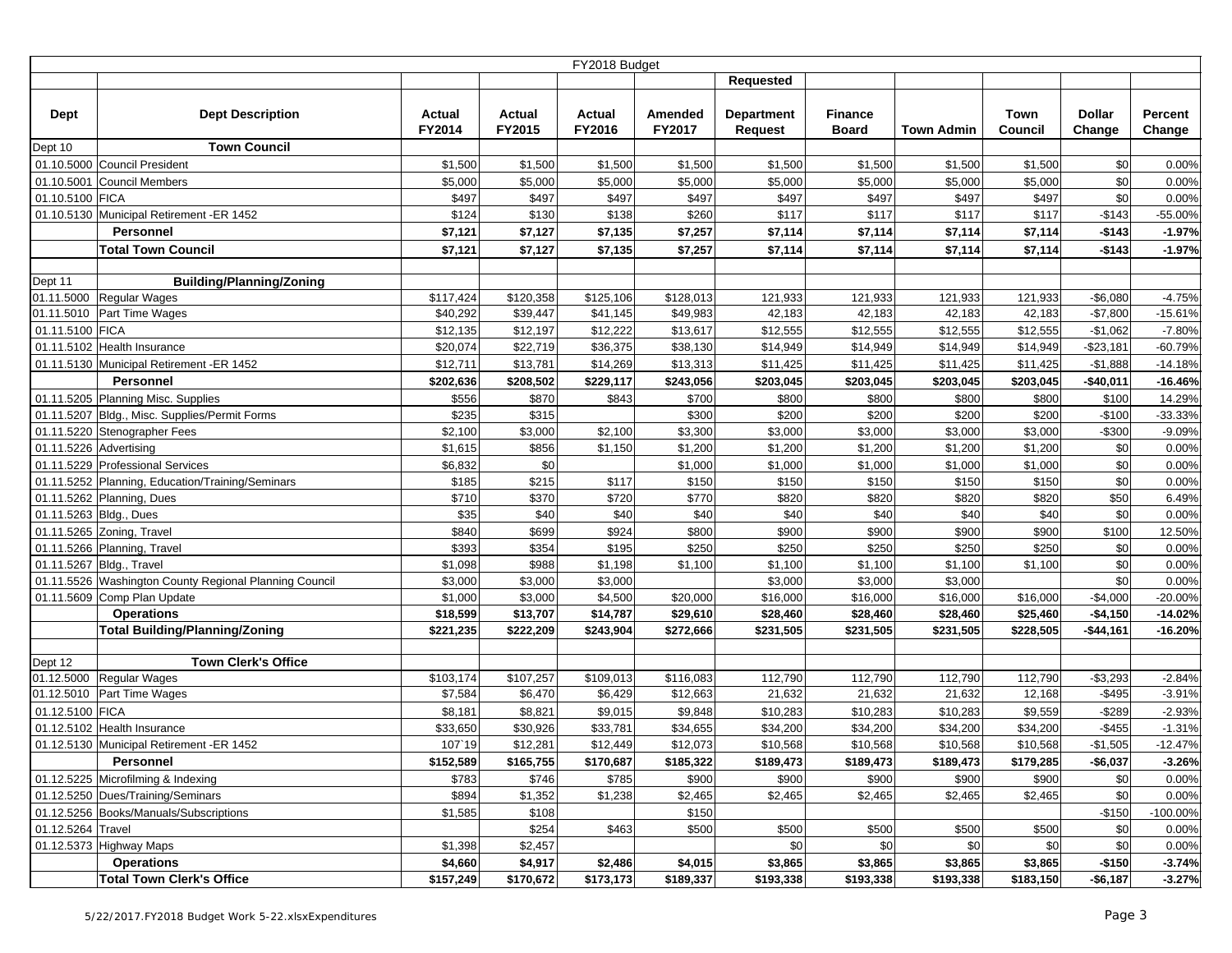|                        |                                                        |           |           | FY2018 Budget |           |                   |                |            |           |               |            |
|------------------------|--------------------------------------------------------|-----------|-----------|---------------|-----------|-------------------|----------------|------------|-----------|---------------|------------|
|                        |                                                        |           |           |               |           | Requested         |                |            |           |               |            |
|                        |                                                        |           |           |               |           |                   |                |            |           |               |            |
| Dept                   | <b>Dept Description</b>                                | Actual    | Actual    | Actual        | Amended   | <b>Department</b> | <b>Finance</b> |            | Town      | <b>Dollar</b> | Percent    |
|                        |                                                        | FY2014    | FY2015    | FY2016        | FY2017    | <b>Request</b>    | <b>Board</b>   | Town Admin | Council   | Change        | Change     |
| Dept 10                | <b>Town Council</b>                                    |           |           |               |           |                   |                |            |           |               |            |
|                        | 01.10.5000 Council President                           | \$1,500   | \$1,500   | \$1,500       | \$1,500   | \$1,500           | \$1,500        | \$1,500    | \$1,500   | \$0           | 0.00%      |
| 01.10.5001             | <b>Council Members</b>                                 | \$5,000   | \$5,000   | \$5,000       | \$5,000   | \$5,000           | \$5,000        | \$5,000    | \$5,000   | \$0           | 0.00%      |
| 01.10.5100             | <b>FICA</b>                                            | \$497     | \$497     | \$497         | \$497     | \$497             | \$497          | \$497      | \$497     | \$0           | 0.00%      |
| 01.10.5130             | Municipal Retirement -ER 1452                          | \$124     | \$130     | \$138         | \$260     | \$117             | \$117          | \$117      | \$117     | $-$143$       | $-55.00%$  |
|                        | <b>Personnel</b>                                       | \$7,121   | \$7,127   | \$7,135       | \$7,257   | \$7,114           | \$7,114        | \$7,114    | \$7,114   | $-$143$       | $-1.97%$   |
|                        | <b>Total Town Council</b>                              | \$7,121   | \$7,127   | \$7,135       | \$7,257   | \$7,114           | \$7,114        | \$7,114    | \$7,114   | $-$143$       | $-1.97%$   |
|                        |                                                        |           |           |               |           |                   |                |            |           |               |            |
| Dept 11                | <b>Building/Planning/Zoning</b>                        |           |           |               |           |                   |                |            |           |               |            |
| 01.11.5000             | Regular Wages                                          | \$117,424 | \$120,358 | \$125,106     | \$128,013 | 121,933           | 121,933        | 121,933    | 121,933   | $-$6,080$     | $-4.75%$   |
| 01.11.5010             | Part Time Wages                                        | \$40,292  | \$39,447  | \$41,145      | \$49,983  | 42,183            | 42,183         | 42,183     | 42,183    | $-$7,800$     | $-15.61%$  |
| 01.11.5100             | <b>FICA</b>                                            | \$12,135  | \$12,197  | \$12,222      | \$13,617  | \$12,555          | \$12,555       | \$12,555   | \$12,555  | $-$1,062$     | $-7.80%$   |
|                        | 01.11.5102 Health Insurance                            | \$20,074  | \$22,719  | \$36,375      | \$38,130  | \$14,949          | \$14,949       | \$14,949   | \$14,949  | $-$23,181$    | $-60.79%$  |
| 01.11.5130             | Municipal Retirement -ER 1452                          | \$12,711  | \$13,781  | \$14,269      | \$13,313  | \$11,425          | \$11,425       | \$11,425   | \$11,425  | $-$1,888$     | $-14.18%$  |
|                        | <b>Personnel</b>                                       | \$202,636 | \$208,502 | \$229,117     | \$243,056 | \$203,045         | \$203,045      | \$203,045  | \$203,045 | $-$40,011$    | $-16.46%$  |
|                        | 01.11.5205 Planning Misc. Supplies                     | \$556     | \$870     | \$843         | \$700     | \$800             | \$800          | \$800      | \$800     | \$100         | 14.29%     |
|                        | 01.11.5207 Bldg., Misc. Supplies/Permit Forms          | \$235     | \$315     |               | \$300     | \$200             | \$200          | \$200      | \$200     | $-$100$       | $-33.33%$  |
|                        | 01.11.5220 Stenographer Fees                           | \$2,100   | \$3,000   | \$2,100       | \$3,300   | \$3,000           | \$3,000        | \$3,000    | \$3,000   | $-$ \$300     | $-9.09%$   |
| 01.11.5226 Advertising |                                                        | \$1,615   | \$856     | \$1,150       | \$1,200   | \$1,200           | \$1,200        | \$1,200    | \$1,200   | \$0           | 0.00%      |
| 01.11.5229             | <b>Professional Services</b>                           | \$6,832   | \$0       |               | \$1,000   | \$1,000           | \$1,000        | \$1,000    | \$1,000   | \$0           | 0.00%      |
|                        | 01.11.5252 Planning, Education/Training/Seminars       | \$185     | \$215     | \$117         | \$150     | \$150             | \$150          | \$150      | \$150     | \$0           | 0.00%      |
|                        | 01.11.5262 Planning, Dues                              | \$710     | \$370     | \$720         | \$770     | \$820             | \$820          | \$820      | \$820     | \$50          | 6.49%      |
| 01.11.5263             | Bldg., Dues                                            | \$35      | \$40      | \$40          | \$40      | \$40              | \$40           | \$40       | \$40      | \$0           | 0.00%      |
|                        | 01.11.5265 Zoning, Travel                              | \$840     | \$699     | \$924         | \$800     | \$900             | \$900          | \$900      | \$900     | \$100         | 12.50%     |
|                        | 01.11.5266 Planning, Travel                            | \$393     | \$354     | \$195         | \$250     | \$250             | \$250          | \$250      | \$250     | \$0           | 0.00%      |
|                        | 01.11.5267 Bldg., Travel                               | \$1,098   | \$988     | \$1,198       | \$1,100   | \$1,100           | \$1,100        | \$1,100    | \$1,100   | \$0           | 0.00%      |
|                        | 01.11.5526 Washington County Regional Planning Council | \$3,000   | \$3,000   | \$3,000       |           | \$3,000           | \$3,000        | \$3,000    |           | \$0           | 0.00%      |
|                        | 01.11.5609 Comp Plan Update                            | \$1,000   | \$3,000   | \$4,500       | \$20,000  | \$16,000          | \$16,000       | \$16,000   | \$16,000  | $-$4,000$     | $-20.00%$  |
|                        | <b>Operations</b>                                      | \$18,599  | \$13,707  | \$14,787      | \$29,610  | \$28,460          | \$28,460       | \$28,460   | \$25,460  | $-$4,150$     | $-14.02%$  |
|                        | <b>Total Building/Planning/Zoning</b>                  | \$221,235 | \$222,209 | \$243,904     | \$272,666 | \$231,505         | \$231,505      | \$231,505  | \$228,505 | $-$44,161$    | $-16.20%$  |
|                        |                                                        |           |           |               |           |                   |                |            |           |               |            |
| Dept 12                | <b>Town Clerk's Office</b>                             |           |           |               |           |                   |                |            |           |               |            |
| 01.12.5000             | Regular Wages                                          | \$103,174 | \$107,257 | \$109,013     | \$116,083 | 112,790           | 112,790        | 112,790    | 112,790   | $-$3,293$     | $-2.84%$   |
| 01.12.5010             | Part Time Wages                                        | \$7,584   | \$6,470   | \$6,429       | \$12,663  | 21,632            | 21,632         | 21,632     | 12,168    | $-$495$       | $-3.91%$   |
| 01.12.5100             | <b>FICA</b>                                            | \$8,181   | \$8,821   | \$9,015       | \$9,848   | \$10,283          | \$10,283       | \$10,283   | \$9,559   | $-$289$       | $-2.93%$   |
| 01.12.5102             | Health Insurance                                       | \$33,650  | \$30,926  | \$33,781      | \$34,655  | \$34,200          | \$34,200       | \$34,200   | \$34,200  | $-$ \$455     | $-1.31%$   |
|                        | 01.12.5130 Municipal Retirement -ER 1452               | 107'19    | \$12,281  | \$12,449      | \$12,073  | \$10,568          | \$10,568       | \$10,568   | \$10,568  | $-$1,505$     | $-12.47%$  |
|                        | Personnel                                              | \$152,589 | \$165,755 | \$170,687     | \$185,322 | \$189,473         | \$189,473      | \$189,473  | \$179,285 | $-$6,037$     | $-3.26%$   |
|                        | 01.12.5225 Microfilming & Indexing                     | \$783     | \$746     | \$785         | \$900     | \$900             | \$900          | \$900      | \$900     | \$0           | 0.00%      |
|                        | 01.12.5250 Dues/Training/Seminars                      | \$894     | \$1,352   | \$1,238       | \$2,465   | \$2,465           | \$2,465        | \$2,465    | \$2,465   | \$0           | 0.00%      |
|                        | 01.12.5256 Books/Manuals/Subscriptions                 | \$1,585   | \$108     |               | \$150     |                   |                |            |           | $-$150$       | $-100.00%$ |
| 01.12.5264 Travel      |                                                        |           | \$254     | \$463         | \$500     | \$500             | \$500          | \$500      | \$500     | \$0           | 0.00%      |
|                        | 01.12.5373 Highway Maps                                | \$1,398   | \$2,457   |               |           | \$0               | \$0            | \$0        | \$0       | \$0           | 0.00%      |
|                        | <b>Operations</b>                                      | \$4,660   | \$4,917   | \$2,486       | \$4,015   | \$3,865           | \$3,865        | \$3,865    | \$3,865   | $-$150$       | -3.74%     |
|                        | <b>Total Town Clerk's Office</b>                       | \$157,249 | \$170,672 | \$173,173     | \$189,337 | \$193,338         | \$193,338      | \$193,338  | \$183,150 | $-$6,187$     | $-3.27%$   |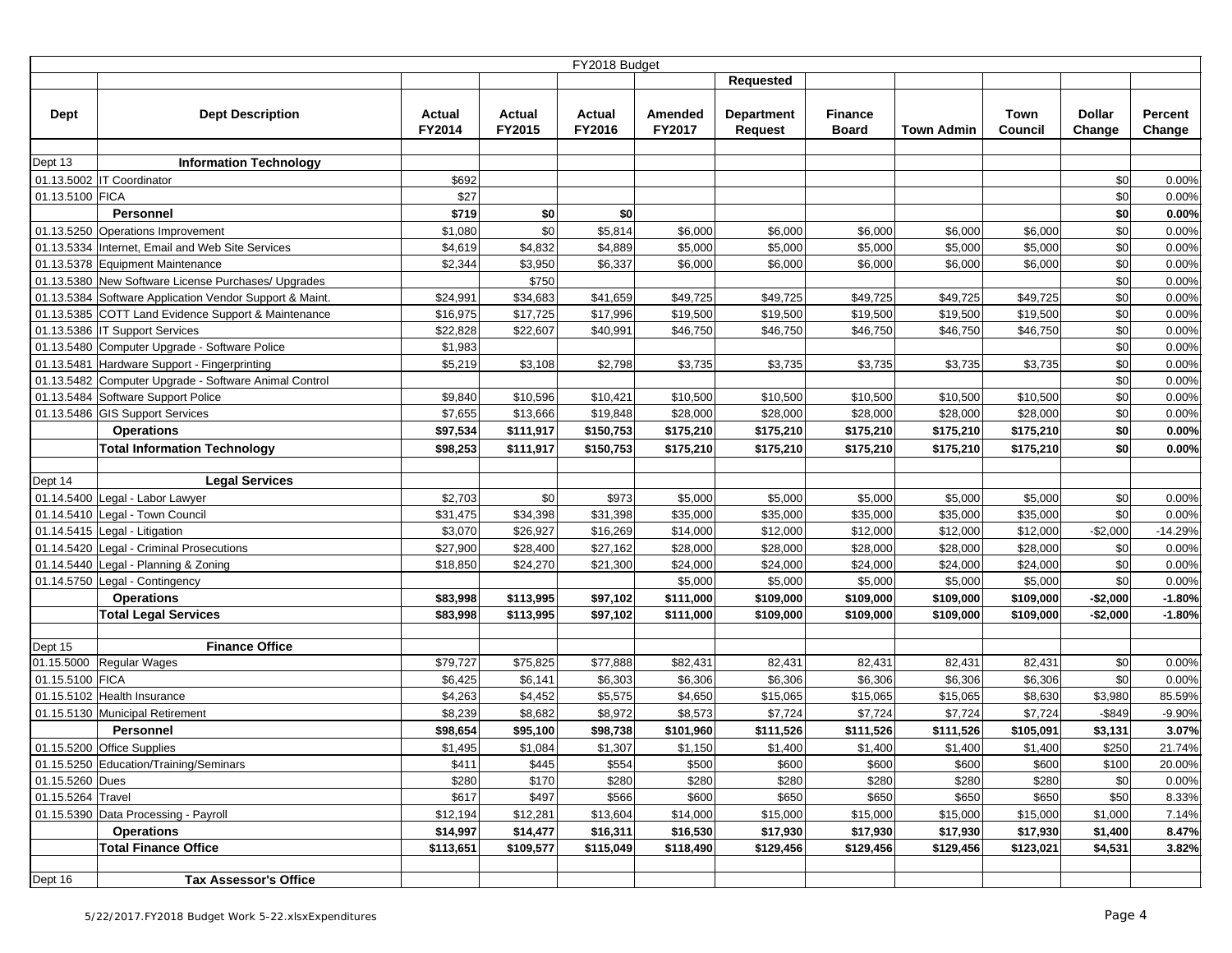|                       |                                                         |                  |                  | FY2018 Budget    |                   |                              |                                |            |                 |                         |                   |
|-----------------------|---------------------------------------------------------|------------------|------------------|------------------|-------------------|------------------------------|--------------------------------|------------|-----------------|-------------------------|-------------------|
|                       |                                                         |                  |                  |                  |                   | Requested                    |                                |            |                 |                         |                   |
| <b>Dept</b>           | <b>Dept Description</b>                                 | Actual<br>FY2014 | Actual<br>FY2015 | Actual<br>FY2016 | Amended<br>FY2017 | <b>Department</b><br>Request | <b>Finance</b><br><b>Board</b> | Town Admin | Town<br>Council | <b>Dollar</b><br>Change | Percent<br>Change |
| Dept 13               | <b>Information Technology</b>                           |                  |                  |                  |                   |                              |                                |            |                 |                         |                   |
|                       | 01.13.5002 IT Coordinator                               | \$692            |                  |                  |                   |                              |                                |            |                 | \$0                     | 0.00%             |
| 01.13.5100 FICA       |                                                         | \$27             |                  |                  |                   |                              |                                |            |                 | \$0                     | 0.00%             |
|                       | Personnel                                               | \$719            | \$0              | \$0              |                   |                              |                                |            |                 | \$0                     | 0.00%             |
| 01.13.5250            | Operations Improvement                                  | \$1,080          | \$0              | \$5,814          | \$6,000           | \$6,000                      | \$6,000                        | \$6,000    | \$6,000         | \$0                     | 0.00%             |
| 01.13.5334            | Internet, Email and Web Site Services                   | \$4,619          | \$4,832          | \$4,889          | \$5,000           | \$5,000                      | \$5,000                        | \$5,000    | \$5,000         | \$0                     | 0.00%             |
|                       | 01.13.5378 Equipment Maintenance                        | \$2,344          | \$3,950          | \$6,337          | \$6,000           | \$6,000                      | \$6,000                        | \$6,000    | \$6,000         | \$0                     | 0.00%             |
| 01.13.5380            | New Software License Purchases/ Upgrades                |                  | \$750            |                  |                   |                              |                                |            |                 | \$0                     | 0.00%             |
|                       | 01.13.5384 Software Application Vendor Support & Maint. | \$24,991         | \$34,683         | \$41,659         | \$49,725          | \$49,725                     | \$49,725                       | \$49,725   | \$49,725        | \$0                     | 0.00%             |
|                       | 01.13.5385 COTT Land Evidence Support & Maintenance     | \$16,975         | \$17,725         | \$17,996         | \$19,500          | \$19,500                     | \$19,500                       | \$19,500   | \$19,500        | \$0                     | 0.00%             |
|                       | 01.13.5386 IT Support Services                          | \$22,828         | \$22,607         | \$40,991         | \$46,750          | \$46,750                     | \$46,750                       | \$46,750   | \$46,750        | \$0                     | 0.00%             |
| 01.13.5480            | Computer Upgrade - Software Police                      | \$1,983          |                  |                  |                   |                              |                                |            |                 | \$0                     | 0.00%             |
| 01.13.5481            | Hardware Support - Fingerprinting                       | \$5,219          | \$3,108          | \$2,798          | \$3,735           | \$3,735                      | \$3,735                        | \$3,735    | \$3,735         | \$0                     | 0.00%             |
| 01.13.5482            | Computer Upgrade - Software Animal Control              |                  |                  |                  |                   |                              |                                |            |                 | \$0                     | 0.00%             |
|                       | 01.13.5484 Software Support Police                      | \$9,840          | \$10,596         | \$10,421         | \$10,500          | \$10,500                     | \$10,500                       | \$10,500   | \$10,500        | \$0                     | 0.00%             |
|                       | 01.13.5486 GIS Support Services                         | \$7,655          | \$13,666         | \$19,848         | \$28,000          | \$28,000                     | \$28,000                       | \$28,000   | \$28,000        | \$0                     | 0.00%             |
|                       | <b>Operations</b>                                       | \$97,534         | \$111,917        | \$150,753        | \$175,210         | \$175,210                    | \$175,210                      | \$175,210  | \$175,210       | \$0                     | 0.00%             |
|                       | <b>Total Information Technology</b>                     | \$98,253         | \$111,917        | \$150,753        | \$175,210         | \$175,210                    | \$175,210                      | \$175,210  | \$175,210       | \$0                     | 0.00%             |
|                       |                                                         |                  |                  |                  |                   |                              |                                |            |                 |                         |                   |
| Dept 14               | <b>Legal Services</b>                                   |                  |                  |                  |                   |                              |                                |            |                 |                         |                   |
|                       | 01.14.5400 Legal - Labor Lawyer                         | \$2,703          | \$0              | \$973            | \$5,000           | \$5,000                      | \$5,000                        | \$5,000    | \$5,000         | \$0                     | 0.00%             |
|                       | 01.14.5410 Legal - Town Council                         | \$31,475         | \$34,398         | \$31,398         | \$35,000          | \$35,000                     | \$35,000                       | \$35,000   | \$35,000        | \$0                     | 0.00%             |
|                       | 01.14.5415 Legal - Litigation                           | \$3,070          | \$26,927         | \$16,269         | \$14,000          | \$12,000                     | \$12,000                       | \$12,000   | \$12,000        | $-$2,000$               | $-14.29%$         |
|                       | 01.14.5420 Legal - Criminal Prosecutions                | \$27,900         | \$28,400         | \$27,162         | \$28,000          | \$28,000                     | \$28,000                       | \$28,000   | \$28,000        | \$0                     | 0.00%             |
|                       | 01.14.5440 Legal - Planning & Zoning                    | \$18,850         | \$24,270         | \$21,300         | \$24,000          | \$24,000                     | \$24,000                       | \$24,000   | \$24,000        | \$0                     | 0.00%             |
|                       | 01.14.5750 Legal - Contingency                          |                  |                  |                  | \$5,000           | \$5,000                      | \$5,000                        | \$5,000    | \$5,000         | \$0                     | 0.00%             |
|                       | <b>Operations</b>                                       | \$83,998         | \$113,995        | \$97,102         | \$111,000         | \$109,000                    | \$109,000                      | \$109,000  | \$109,000       | $-$2,000$               | $-1.80%$          |
|                       | <b>Total Legal Services</b>                             | \$83,998         | \$113,995        | \$97,102         | \$111,000         | \$109,000                    | \$109,000                      | \$109,000  | \$109,000       | $-$2,000$               | $-1.80%$          |
|                       |                                                         |                  |                  |                  |                   |                              |                                |            |                 |                         |                   |
| Dept 15<br>01.15.5000 | <b>Finance Office</b><br>Regular Wages                  | \$79,727         | \$75,825         | \$77,888         | \$82,431          | 82,431                       | 82,431                         | 82,431     | 82,431          | \$0                     | 0.00%             |
| 01.15.5100 FICA       |                                                         | \$6,425          | \$6,141          | \$6,303          | \$6,306           | \$6,306                      | \$6,306                        | \$6,306    | \$6,306         | \$0                     | 0.00%             |
|                       | 01.15.5102 Health Insurance                             | \$4,263          | \$4,452          | \$5,575          | \$4,650           | \$15,065                     | \$15,065                       | \$15,065   | \$8,630         | \$3,980                 | 85.59%            |
| 01.15.5130            | <b>Municipal Retirement</b>                             | \$8,239          | \$8,682          | \$8,972          | \$8,573           | \$7,724                      | \$7,724                        | \$7,724    | \$7,724         | $-$ \$849               | $-9.90%$          |
|                       | Personnel                                               | \$98,654         | \$95,100         | \$98,738         | \$101,960         | \$111,526                    | \$111,526                      | \$111,526  | \$105,091       | \$3,131                 | 3.07%             |
|                       | 01.15.5200 Office Supplies                              | \$1,495          | \$1,084          | \$1,307          | \$1,150           | \$1,400                      | \$1,400                        | \$1,400    | \$1,400         | \$250                   | 21.74%            |
|                       | 01.15.5250 Education/Training/Seminars                  | \$411            | \$445            | \$554            | \$500             | \$600                        | \$600                          | \$600      | \$600           | \$100                   | 20.00%            |
| 01.15.5260 Dues       |                                                         | \$280            | \$170            | \$280            | \$280             | \$280                        | \$280                          | \$280      | \$280           | \$0                     | 0.00%             |
| 01.15.5264 Travel     |                                                         | \$617            | \$497            | \$566            | \$600             | \$650                        | \$650                          | \$650      | \$650           | \$50                    | 8.33%             |
|                       | 01.15.5390 Data Processing - Payroll                    | \$12,194         | \$12,281         | \$13,604         | \$14,000          | \$15,000                     | \$15,000                       | \$15,000   | \$15,000        | \$1,000                 | 7.14%             |
|                       | <b>Operations</b>                                       | \$14,997         | \$14,477         | \$16,311         | \$16,530          | \$17,930                     | \$17,930                       | \$17,930   | \$17,930        | \$1,400                 | 8.47%             |
|                       | <b>Total Finance Office</b>                             | \$113,651        | \$109,577        | \$115,049        | \$118,490         | \$129,456                    | \$129,456                      | \$129,456  | \$123,021       | \$4,531                 | 3.82%             |
|                       |                                                         |                  |                  |                  |                   |                              |                                |            |                 |                         |                   |
| Dept 16               | <b>Tax Assessor's Office</b>                            |                  |                  |                  |                   |                              |                                |            |                 |                         |                   |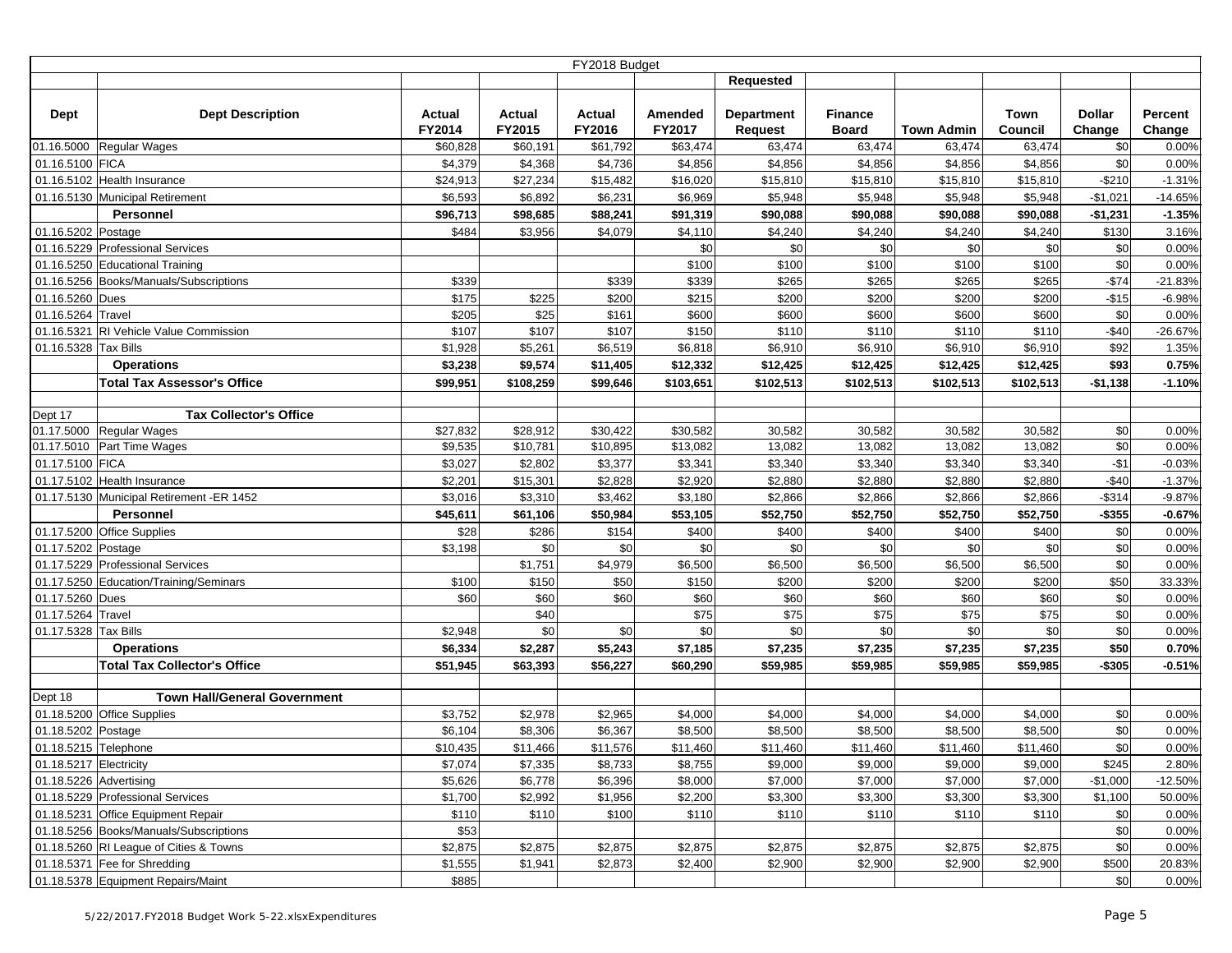|                        |                                                                        |                      |                    | FY2018 Budget        |           |                   |                |            |           |               |                 |
|------------------------|------------------------------------------------------------------------|----------------------|--------------------|----------------------|-----------|-------------------|----------------|------------|-----------|---------------|-----------------|
|                        |                                                                        |                      |                    |                      |           | Requested         |                |            |           |               |                 |
|                        |                                                                        |                      |                    |                      |           |                   |                |            |           |               |                 |
| <b>Dept</b>            | <b>Dept Description</b>                                                | Actual               | Actual             | Actual               | Amended   | <b>Department</b> | <b>Finance</b> |            | Town      | <b>Dollar</b> | <b>Percent</b>  |
|                        |                                                                        | FY2014               | FY2015             | FY2016               | FY2017    | <b>Request</b>    | <b>Board</b>   | Town Admin | Council   | Change        | Change          |
| 01.16.5000             | <b>Regular Wages</b>                                                   | \$60,828             | \$60,191           | \$61,792             | \$63,474  | 63,474            | 63,474         | 63,474     | 63,474    | \$0           | 0.00%           |
| 01.16.5100 FICA        |                                                                        | \$4,379              | \$4,368            | \$4,736              | \$4,856   | \$4,856           | \$4,856        | \$4,856    | \$4,856   | \$0           | 0.00%           |
|                        | 01.16.5102 Health Insurance                                            | \$24,913             | \$27,234           | \$15,482             | \$16,020  | \$15,810          | \$15,810       | \$15,810   | \$15,810  | $-$210$       | $-1.31%$        |
| 01.16.5130             | <b>Municipal Retirement</b>                                            | \$6,593              | \$6,892            | \$6,231              | \$6,969   | \$5,948           | \$5,948        | \$5,948    | \$5,948   | $-$1,021$     | $-14.65%$       |
|                        | <b>Personnel</b>                                                       | \$96,713             | \$98,685           | \$88,241             | \$91,319  | \$90,088          | \$90,088       | \$90,088   | \$90,088  | $-$1,231$     | $-1.35%$        |
| 01.16.5202 Postage     |                                                                        | \$484                | \$3,956            | \$4,079              | \$4,110   | \$4,240           | \$4,240        | \$4,240    | \$4,240   | \$130         | 3.16%           |
|                        | 01.16.5229 Professional Services                                       |                      |                    |                      | \$0       | \$0               | \$0            | \$0        | \$0       | \$0           | 0.00%           |
|                        | 01.16.5250 Educational Training                                        |                      |                    |                      | \$100     | \$100             | \$100          | \$100      | \$100     | \$0           | 0.00%           |
|                        | 01.16.5256 Books/Manuals/Subscriptions                                 | \$339                |                    | \$339                | \$339     | \$265             | \$265          | \$265      | \$265     | $-$74$        | $-21.83%$       |
| 01.16.5260 Dues        |                                                                        | \$175                | \$225              | \$200                | \$215     | \$200             | \$200          | \$200      | \$200     | $-$15$        | $-6.98%$        |
| 01.16.5264 Travel      |                                                                        | \$205                | \$25               | \$161                | \$600     | \$600             | \$600          | \$600      | \$600     | \$0           | 0.00%           |
|                        | 01.16.5321 RI Vehicle Value Commission                                 | \$107                | \$107              | \$107                | \$150     | \$110             | \$110          | \$110      | \$110     | $-$40$        | $-26.67%$       |
| 01.16.5328             | <b>Tax Bills</b>                                                       | \$1,928              | \$5,261            | \$6,519              | \$6,818   | \$6,910           | \$6,910        | \$6,910    | \$6,910   | \$92          | 1.35%           |
|                        | <b>Operations</b>                                                      | \$3,238              | \$9,574            | \$11,405             | \$12,332  | \$12,425          | \$12,425       | \$12,425   | \$12,425  | \$93          | 0.75%           |
|                        | <b>Total Tax Assessor's Office</b>                                     | \$99,951             | \$108,259          | \$99,646             | \$103,651 | \$102,513         | \$102,513      | \$102,513  | \$102,513 | $-$1,138$     | $-1.10%$        |
|                        |                                                                        |                      |                    |                      |           |                   |                |            |           |               |                 |
| Dept 17                | <b>Tax Collector's Office</b>                                          |                      |                    |                      |           |                   |                |            |           |               |                 |
| 01.17.5000             | <b>Regular Wages</b>                                                   | $\overline{$}27,832$ | \$28,912           | $\overline{$}30,422$ | \$30,582  | 30,582            | 30,582         | 30,582     | 30,582    | \$0           | 0.00%           |
| 01.17.5010             | Part Time Wages                                                        | \$9,535              | \$10,781           | \$10,895             | \$13,082  | 13,082            | 13,082         | 13,082     | 13,082    | \$0           | 0.00%           |
| 01.17.5100 FICA        |                                                                        | \$3,027              | \$2,802            | \$3,377              | \$3,341   | \$3,340           | \$3,340        | \$3,340    | \$3,340   | $-$1$         | $-0.03%$        |
|                        | 01.17.5102 Health Insurance                                            | \$2,201              | \$15,301           | \$2,828              | \$2,920   | \$2,880           | \$2,880        | \$2,880    | \$2,880   | $-$40$        | $-1.37%$        |
| 01.17.5130             | Municipal Retirement - ER 1452                                         | \$3,016              | \$3,310            | \$3,462              | \$3,180   | \$2,866           | \$2,866        | \$2,866    | \$2,866   | $-$ \$314     | $-9.87%$        |
|                        | <b>Personnel</b>                                                       | \$45,611             | \$61,106           | \$50,984             | \$53,105  | \$52,750          | \$52,750       | \$52,750   | \$52,750  | $-$ \$355     | $-0.67%$        |
|                        | 01.17.5200 Office Supplies                                             | \$28                 | \$286              | \$154                | \$400     | \$400             | \$400          | \$400      | \$400     | \$0           | 0.00%           |
| 01.17.5202 Postage     |                                                                        | \$3,198              | \$0                | \$0                  | \$0       | \$0               | \$0            | \$0        | \$0       | \$0           | 0.00%           |
|                        | 01.17.5229 Professional Services                                       |                      | \$1,751            | \$4,979              | \$6,500   | \$6,500           | \$6,500        | \$6,500    | \$6,500   | \$0           | 0.00%           |
|                        | 01.17.5250 Education/Training/Seminars                                 | \$100                | \$150              | \$50                 | \$150     | \$200             | \$200          | \$200      | \$200     | \$50          | 33.33%          |
| 01.17.5260 Dues        |                                                                        | \$60                 | \$60               | \$60                 | \$60      | \$60              | \$60           | \$60       | \$60      | \$0           | 0.00%           |
| 01.17.5264             | Travel                                                                 |                      | \$40               |                      | \$75      | \$75              | \$75           | \$75       | \$75      | \$0           | 0.00%           |
| 01.17.5328 Tax Bills   |                                                                        | \$2,948              | \$0                | \$0                  | \$0       | \$0               | \$0            | \$0        | \$0       | \$0           | 0.00%           |
|                        | <b>Operations</b>                                                      | \$6,334              | \$2,287            | \$5,243              | \$7,185   | \$7,235           | \$7,235        | \$7,235    | \$7,235   | \$50          | 0.70%           |
|                        | <b>Total Tax Collector's Office</b>                                    | \$51,945             | \$63,393           | \$56,227             | \$60,290  | \$59,985          | \$59,985       | \$59,985   | \$59,985  | -\$305        | $-0.51%$        |
|                        |                                                                        |                      |                    |                      |           |                   |                |            |           |               |                 |
| Dept 18                | <b>Town Hall/General Government</b>                                    |                      |                    |                      |           |                   |                |            |           |               |                 |
|                        | 01.18.5200 Office Supplies                                             | \$3,752<br>\$6,104   | \$2,978            | \$2,965              | \$4,000   | \$4,000           | \$4,000        | \$4,000    | \$4,000   | \$0           | 0.00%           |
| 01.18.5202 Postage     |                                                                        |                      | \$8,306            | \$6,367              | \$8,500   | \$8,500           | \$8,500        | \$8,500    | \$8,500   | \$0           | 0.00%           |
| 01.18.5215 Telephone   |                                                                        | \$10,435             | \$11,466           | \$11,576             | \$11,460  | \$11,460          | \$11,460       | \$11,460   | \$11,460  | \$0           | 0.00%           |
| 01.18.5217 Electricity |                                                                        | \$7,074              | \$7,335            | \$8,733              | \$8,755   | \$9,000           | \$9,000        | \$9,000    | \$9,000   | \$245         | 2.80%           |
| 01.18.5226 Advertising |                                                                        | \$5,626              | \$6,778            | \$6,396              | \$8,000   | \$7,000           | \$7,000        | \$7,000    | \$7,000   | $-$1,000$     | $-12.50%$       |
|                        | 01.18.5229 Professional Services<br>01.18.5231 Office Equipment Repair | \$1,700              | \$2,992            | \$1,956              | \$2,200   | \$3,300           | \$3,300        | \$3,300    | \$3,300   | \$1,100       | 50.00%          |
|                        |                                                                        | \$110                | \$110              | \$100                | \$110     | \$110             | \$110          | \$110      | \$110     | \$0           | 0.00%           |
|                        | 01.18.5256 Books/Manuals/Subscriptions                                 | \$53                 |                    |                      |           |                   |                |            |           | \$0<br>\$0    | 0.00%           |
|                        | 01.18.5260 RI League of Cities & Towns<br>01.18.5371 Fee for Shredding | \$2,875<br>\$1,555   | \$2,875<br>\$1,941 | \$2,875<br>\$2,873   | \$2,875   | \$2,875           | \$2,875        | \$2,875    | \$2,875   |               | 0.00%<br>20.83% |
|                        | 01.18.5378 Equipment Repairs/Maint                                     | \$885                |                    |                      | \$2,400   | \$2,900           | \$2,900        | \$2,900    | \$2,900   | \$500<br>\$0  | 0.00%           |
|                        |                                                                        |                      |                    |                      |           |                   |                |            |           |               |                 |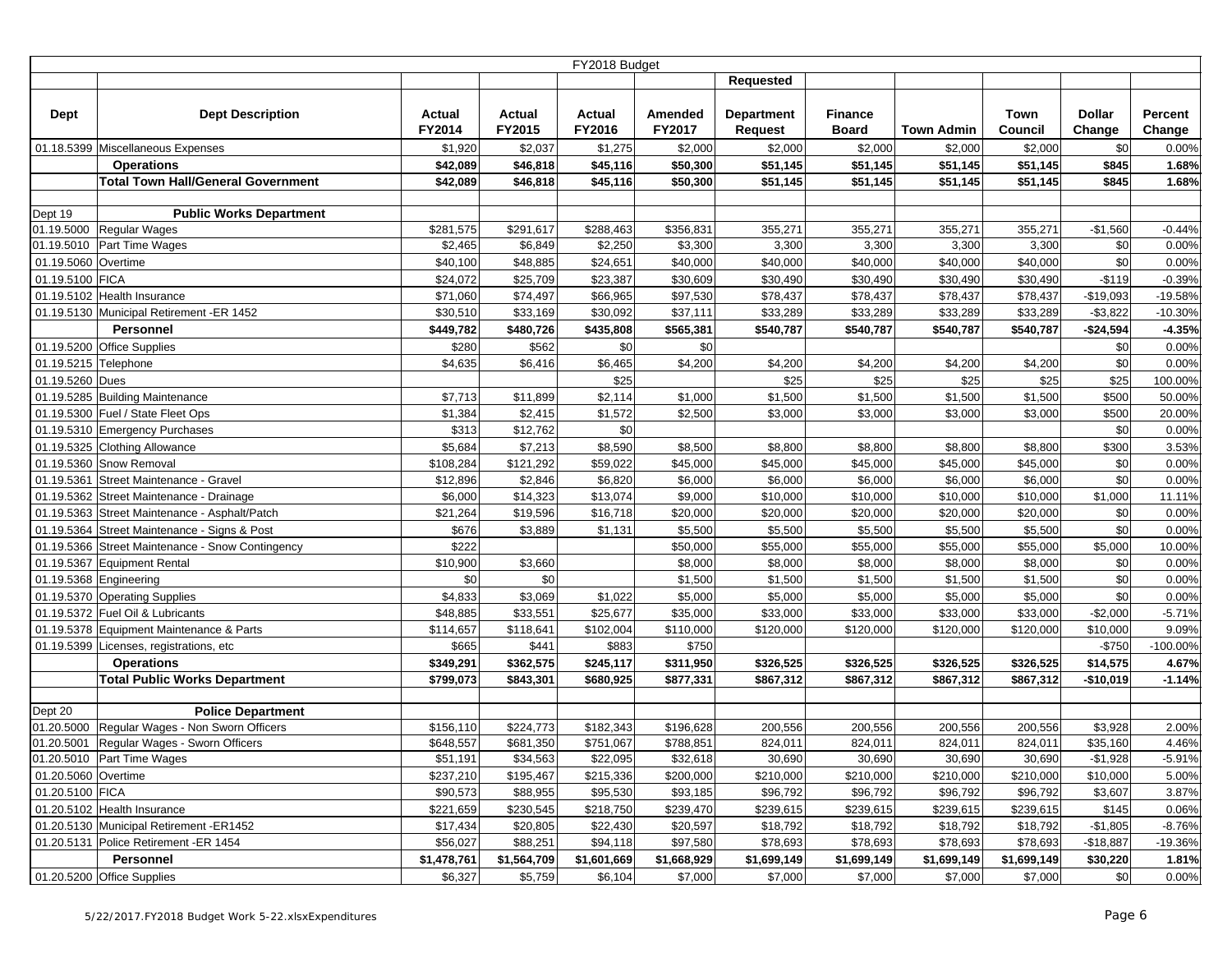|                      |                                                  |             |             | FY2018 Budget |             |                |                |             |             |               |             |
|----------------------|--------------------------------------------------|-------------|-------------|---------------|-------------|----------------|----------------|-------------|-------------|---------------|-------------|
|                      |                                                  |             |             |               |             | Requested      |                |             |             |               |             |
|                      |                                                  |             |             |               |             |                |                |             |             |               |             |
| Dept                 | <b>Dept Description</b>                          | Actual      | Actual      | Actual        | Amended     | Department     | <b>Finance</b> |             | Town        | <b>Dollar</b> | Percent     |
|                      |                                                  | FY2014      | FY2015      | FY2016        | FY2017      | <b>Request</b> | <b>Board</b>   | Town Admin  | Council     | Change        | Change      |
|                      | 01.18.5399 Miscellaneous Expenses                | \$1,920     | \$2,037     | \$1,275       | \$2,000     | \$2,000        | \$2,000        | \$2,000     | \$2,000     | \$0           | 0.00%       |
|                      | <b>Operations</b>                                | \$42,089    | \$46,818    | \$45,116      | \$50,300    | \$51,145       | \$51,145       | \$51,145    | \$51,145    | \$845         | 1.68%       |
|                      | <b>Total Town Hall/General Government</b>        | \$42,089    | \$46,818    | \$45,116      | \$50,300    | \$51,145       | \$51,145       | \$51,145    | \$51,145    | \$845         | 1.68%       |
|                      |                                                  |             |             |               |             |                |                |             |             |               |             |
| Dept 19              | <b>Public Works Department</b>                   |             |             |               |             |                |                |             |             |               |             |
| 01.19.5000           | Regular Wages                                    | \$281,575   | \$291,617   | \$288,463     | \$356,831   | 355,271        | 355,271        | 355,271     | 355,271     | $-$1,560$     | $-0.44%$    |
| 01.19.5010           | Part Time Wages                                  | \$2,465     | \$6,849     | \$2,250       | \$3,300     | 3,300          | 3,300          | 3,300       | 3,300       | \$0           | 0.00%       |
| 01.19.5060 Overtime  |                                                  | \$40,100    | \$48,885    | \$24,651      | \$40,000    | \$40,000       | \$40,000       | \$40,000    | \$40,000    | \$0           | 0.00%       |
| 01.19.5100 FICA      |                                                  | \$24,072    | \$25,709    | \$23,387      | \$30,609    | \$30,490       | \$30,490       | \$30,490    | \$30,490    | $-$119$       | $-0.39%$    |
|                      | 01.19.5102 Health Insurance                      | \$71,060    | \$74,497    | \$66,965      | \$97,530    | \$78,437       | \$78,437       | \$78,437    | \$78,437    | $-$19,093$    | $-19.58%$   |
|                      | 01.19.5130 Municipal Retirement -ER 1452         | \$30,510    | \$33,169    | \$30,092      | \$37,111    | \$33,289       | \$33,289       | \$33,289    | \$33,289    | $-$ \$3,822   | $-10.30%$   |
|                      | <b>Personnel</b>                                 | \$449,782   | \$480,726   | \$435,808     | \$565,381   | \$540,787      | \$540,787      | \$540,787   | \$540,787   | $-$24,594$    | $-4.35%$    |
|                      | 01.19.5200 Office Supplies                       | \$280       | \$562       | \$0           | \$0         |                |                |             |             | \$0           | 0.00%       |
| 01.19.5215 Telephone |                                                  | \$4,635     | \$6,416     | \$6,465       | \$4,200     | \$4,200        | \$4,200        | \$4,200     | \$4,200     | \$0           | 0.00%       |
| 01.19.5260 Dues      |                                                  |             |             | \$25          |             | \$25           | \$25           | \$25        | \$25        | \$25          | 100.00%     |
|                      | 01.19.5285 Building Maintenance                  | \$7,713     | \$11,899    | \$2,114       | \$1,000     | \$1,500        | \$1,500        | \$1,500     | \$1,500     | \$500         | 50.00%      |
|                      | 01.19.5300 Fuel / State Fleet Ops                | \$1,384     | \$2,415     | \$1,572       | \$2,500     | \$3,000        | \$3,000        | \$3,000     | \$3,000     | \$500         | 20.00%      |
|                      | 01.19.5310 Emergency Purchases                   | \$313       | \$12,762    | \$0           |             |                |                |             |             | \$0           | 0.00%       |
|                      | 01.19.5325 Clothing Allowance                    | \$5,684     | \$7,213     | \$8,590       | \$8,500     | \$8,800        | \$8,800        | \$8,800     | \$8,800     | \$300         | 3.53%       |
|                      | 01.19.5360 Snow Removal                          | \$108,284   | \$121,292   | \$59,022      | \$45,000    | \$45,000       | \$45,000       | \$45,000    | \$45,000    | \$0           | 0.00%       |
|                      | 01.19.5361 Street Maintenance - Gravel           | \$12,896    | \$2,846     | \$6,820       | \$6,000     | \$6,000        | \$6,000        | \$6,000     | \$6,000     | \$0           | 0.00%       |
|                      | 01.19.5362 Street Maintenance - Drainage         | \$6,000     | \$14,323    | \$13,074      | \$9,000     | \$10,000       | \$10,000       | \$10,000    | \$10,000    | \$1,000       | 11.11%      |
| 01.19.5363           | Street Maintenance - Asphalt/Patch               | \$21,264    | \$19,596    | \$16,718      | \$20,000    | \$20,000       | \$20,000       | \$20,000    | \$20,000    | \$0           | 0.00%       |
| 01.19.5364           | Street Maintenance - Signs & Post                | \$676       | \$3,889     | \$1,131       | \$5,500     | \$5,500        | \$5,500        | \$5,500     | \$5,500     | \$0           | 0.00%       |
|                      | 01.19.5366 Street Maintenance - Snow Contingency | \$222       |             |               | \$50,000    | \$55,000       | \$55,000       | \$55,000    | \$55,000    | \$5,000       | 10.00%      |
|                      | 01.19.5367 Equipment Rental                      | \$10,900    | \$3,660     |               | \$8,000     | \$8,000        | \$8,000        | \$8,000     | \$8,000     | \$0           | 0.00%       |
| 01.19.5368           | Engineering                                      | \$0         | \$0         |               | \$1,500     | \$1,500        | \$1,500        | \$1,500     | \$1,500     | \$0           | 0.00%       |
|                      | 01.19.5370 Operating Supplies                    | \$4,833     | \$3,069     | \$1,022       | \$5,000     | \$5,000        | \$5,000        | \$5,000     | \$5,000     | \$0           | 0.00%       |
|                      | 01.19.5372 Fuel Oil & Lubricants                 | \$48,885    | \$33,551    | \$25,677      | \$35,000    | \$33,000       | \$33,000       | \$33,000    | \$33,000    | $-$2,000$     | $-5.71%$    |
|                      | 01.19.5378 Equipment Maintenance & Parts         | \$114,657   | \$118,641   | \$102,004     | \$110,000   | \$120,000      | \$120,000      | \$120,000   | \$120,000   | \$10,000      | 9.09%       |
|                      | 01.19.5399 Licenses, registrations, etc          | \$665       | \$441       | \$883         | \$750       |                |                |             |             | $-$750$       | $-100.00\%$ |
|                      | <b>Operations</b>                                | \$349,291   | \$362,575   | \$245,117     | \$311,950   | \$326,525      | \$326,525      | \$326,525   | \$326,525   | \$14,575      | 4.67%       |
|                      | <b>Total Public Works Department</b>             | \$799,073   | \$843.301   | \$680,925     | \$877,331   | \$867,312      | \$867,312      | \$867,312   | \$867,312   | $-$10,019$    | $-1.14%$    |
|                      |                                                  |             |             |               |             |                |                |             |             |               |             |
| Dept 20              | <b>Police Department</b>                         |             |             |               |             |                |                |             |             |               |             |
| 01.20.5000           | Regular Wages - Non Sworn Officers               | \$156,110   | \$224,773   | \$182,343     | \$196,628   | 200,556        | 200,556        | 200,556     | 200,556     | \$3,928       | 2.00%       |
|                      | 01.20.5001 Regular Wages - Sworn Officers        | \$648,557   | \$681,350   | \$751,067     | \$788,851   | 824,011        | 824,011        | 824,011     | 824,011     | \$35,160      | 4.46%       |
|                      | 01.20.5010 Part Time Wages                       | \$51,191    | \$34,563    | \$22,095      | \$32,618    | 30,690         | 30,690         | 30,690      | 30,690      | $-$1,928$     | $-5.91%$    |
| 01.20.5060 Overtime  |                                                  | \$237,210   | \$195,467   | \$215,336     | \$200,000   | \$210,000      | \$210,000      | \$210,000   | \$210,000   | \$10,000      | 5.00%       |
| 01.20.5100 FICA      |                                                  | \$90,573    | \$88,955    | \$95,530      | \$93,185    | \$96,792       | \$96,792       | \$96,792    | \$96,792    | \$3,607       | 3.87%       |
|                      | 01.20.5102 Health Insurance                      | \$221,659   | \$230,545   | \$218,750     | \$239,470   | \$239,615      | \$239,615      | \$239,615   | \$239,615   | \$145         | 0.06%       |
|                      | 01.20.5130 Municipal Retirement -ER1452          | \$17,434    | \$20,805    | \$22,430      | \$20,597    | \$18,792       | \$18,792       | \$18,792    | \$18,792    | $-$1,805$     | $-8.76%$    |
|                      | 01.20.5131 Police Retirement - ER 1454           | \$56,027    | \$88,251    | \$94,118      | \$97,580    | \$78,693       | \$78,693       | \$78,693    | \$78,693    | $-$18,887$    | $-19.36%$   |
|                      | Personnel                                        | \$1,478,761 | \$1,564,709 | \$1,601,669   | \$1,668,929 | \$1,699,149    | \$1,699,149    | \$1,699,149 | \$1,699,149 | \$30,220      | 1.81%       |
|                      | 01.20.5200 Office Supplies                       | \$6,327     | \$5,759     | \$6,104       | \$7,000     | \$7,000        | \$7,000        | \$7,000     | \$7,000     | \$0           | 0.00%       |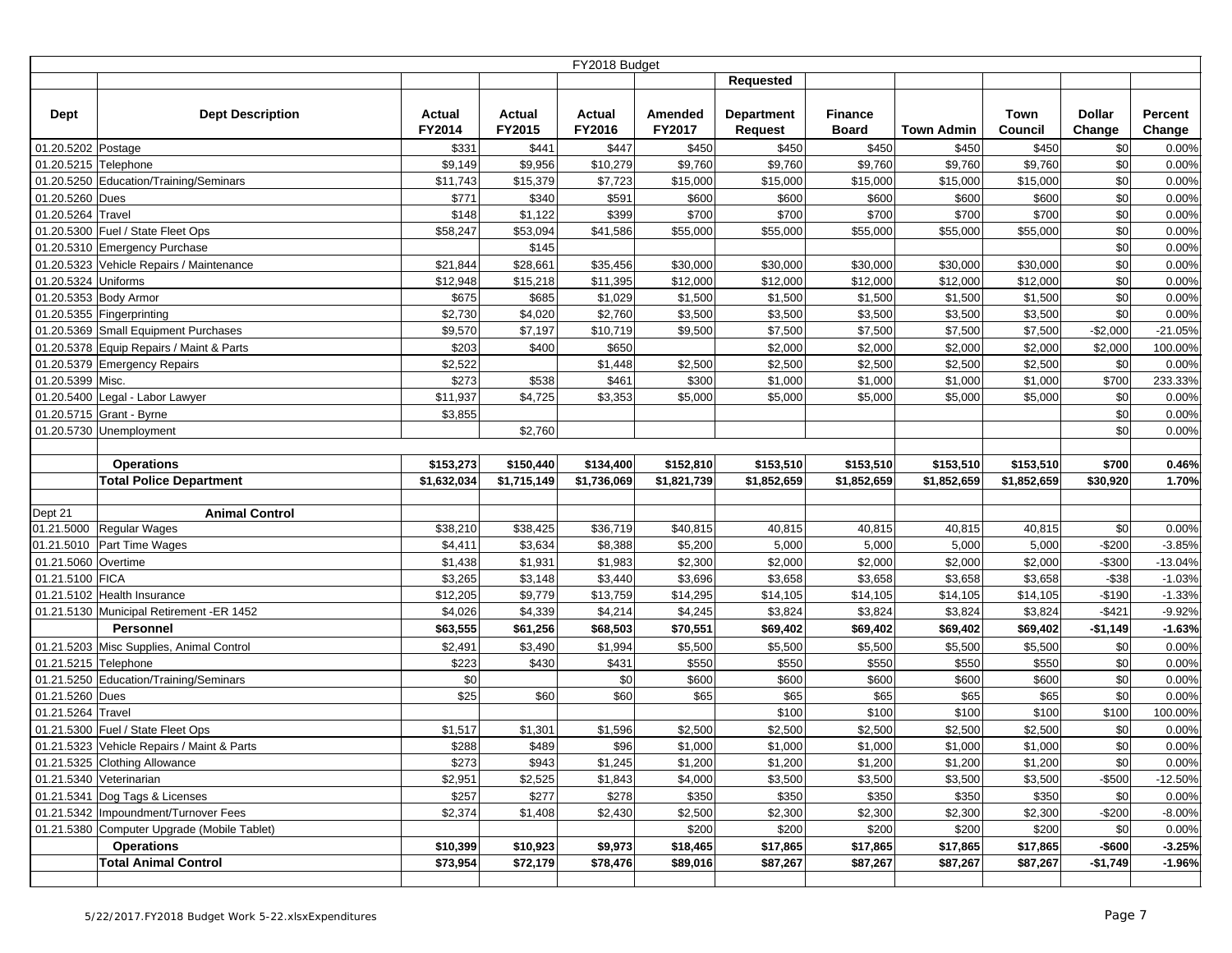|                                        |                                             |                     |                     | FY2018 Budget       |                     |                    |                    |                 |                 |                |                       |
|----------------------------------------|---------------------------------------------|---------------------|---------------------|---------------------|---------------------|--------------------|--------------------|-----------------|-----------------|----------------|-----------------------|
|                                        |                                             |                     |                     |                     |                     | Requested          |                    |                 |                 |                |                       |
|                                        |                                             |                     |                     |                     |                     |                    |                    |                 |                 |                |                       |
| Dept                                   | <b>Dept Description</b>                     | Actual              | Actual              | Actual              | Amended             | Department         | <b>Finance</b>     |                 | Town            | <b>Dollar</b>  | <b>Percent</b>        |
|                                        |                                             | FY2014              | FY2015              | FY2016              | FY2017              | <b>Request</b>     | <b>Board</b>       | Town Admin      | Council         | Change         | Change                |
| 01.20.5202 Postage                     |                                             | \$331               | \$441               | \$447               | \$450               | \$450              | \$450              | \$450           | \$450           | \$0            | 0.00%                 |
| 01.20.5215 Telephone                   |                                             | \$9,149             | \$9,956             | \$10,279            | \$9,760             | \$9,760            | \$9,760            | \$9,760         | \$9,760         | \$0            | 0.00%                 |
|                                        | 01.20.5250 Education/Training/Seminars      | \$11,743            | \$15,379            | \$7,723             | \$15,000            | \$15,000           | \$15,000           | \$15,000        | \$15,000        | \$0            | 0.00%                 |
| 01.20.5260                             | Dues                                        | \$771               | \$340               | \$591               | \$600               | \$600              | \$600              | \$600           | \$600           | \$0            | 0.00%                 |
| 01.20.5264                             | Travel                                      | \$148               | \$1,122             | \$399               | \$700               | \$700              | \$700              | \$700           | \$700           | \$0            | 0.00%                 |
|                                        | 01.20.5300 Fuel / State Fleet Ops           | \$58,247            | \$53,094            | \$41,586            | \$55,000            | \$55,000           | \$55,000           | \$55,000        | \$55,000        | \$0            | 0.00%                 |
|                                        | 01.20.5310 Emergency Purchase               |                     | \$145               |                     |                     |                    |                    |                 |                 | \$0            | 0.00%                 |
|                                        | 01.20.5323 Vehicle Repairs / Maintenance    | \$21,844            | \$28,661            | \$35,456            | \$30,000            | \$30,000           | \$30,000           | \$30,000        | \$30,000        | \$0            | 0.00%                 |
| 01.20.5324                             | <b>Uniforms</b>                             | \$12,948            | \$15,218            | \$11,395            | \$12,000            | \$12,000           | \$12,000           | \$12,000        | \$12,000        | \$0            | 0.00%                 |
|                                        | 01.20.5353 Body Armor                       | \$675               | \$685               | \$1,029             | \$1,500             | \$1,500            | \$1,500            | \$1,500         | \$1,500         | \$0            | 0.00%                 |
|                                        | 01.20.5355 Fingerprinting                   | \$2,730             | \$4,020             | \$2,760             | \$3,500             | \$3,500            | \$3,500            | \$3,500         | \$3,500         | \$0            | 0.00%                 |
|                                        | 01.20.5369 Small Equipment Purchases        | \$9,570             | \$7,197             | \$10,719            | \$9,500             | \$7,500            | \$7,500            | \$7,500         | \$7,500         | $-$2,000$      | $-21.05%$             |
|                                        | 01.20.5378 Equip Repairs / Maint & Parts    | \$203               | \$400               | \$650               |                     | \$2,000            | \$2,000            | \$2,000         | \$2,000         | \$2,000        | 100.00%               |
|                                        | 01.20.5379 Emergency Repairs                | \$2,522             |                     | \$1,448             | \$2,500             | \$2,500            | \$2,500            | \$2,500         | \$2,500         | \$0            | 0.00%                 |
| 01.20.5399 Misc.                       |                                             | \$273               | \$538               | \$461               | \$300               | \$1,000            | \$1,000            | \$1,000         | \$1,000         | \$700          | 233.33%               |
|                                        | 01.20.5400 Legal - Labor Lawyer             | \$11,937            | \$4,725             | \$3,353             | \$5,000             | \$5,000            | \$5,000            | \$5,000         | \$5,000         | \$0            | 0.00%                 |
| 01.20.5715                             | Grant - Byrne                               | \$3,855             |                     |                     |                     |                    |                    |                 |                 | \$0            | 0.00%                 |
| 01.20.5730                             | Unemployment                                |                     | \$2,760             |                     |                     |                    |                    |                 |                 | \$0            | 0.00%                 |
|                                        |                                             |                     |                     |                     |                     |                    |                    |                 |                 |                |                       |
|                                        | <b>Operations</b>                           | \$153,273           | \$150.440           | \$134.400           | \$152,810           | \$153,510          | \$153,510          | \$153,510       | \$153,510       | \$700          | 0.46%                 |
|                                        | <b>Total Police Department</b>              | \$1,632,034         | \$1,715,149         | \$1,736,069         | \$1,821,739         | \$1,852,659        | \$1,852,659        | \$1,852,659     | \$1,852,659     | \$30,920       | 1.70%                 |
|                                        |                                             |                     |                     |                     |                     |                    |                    |                 |                 |                |                       |
| Dept 21                                | <b>Animal Control</b>                       |                     |                     |                     |                     |                    |                    |                 |                 |                |                       |
| 01.21.5000<br>$\overline{01}$ .21.5010 | Regular Wages<br>Part Time Wages            | \$38,210<br>\$4,411 | \$38,425<br>\$3,634 | \$36,719<br>\$8,388 | \$40,815<br>\$5,200 | 40,815<br>5,000    | 40,815<br>5,000    | 40,815<br>5,000 | 40,815<br>5,000 | \$0<br>$-$200$ | 0.00%<br>$-3.85%$     |
|                                        | Overtime                                    | \$1,438             | \$1,931             | \$1,983             | \$2,300             |                    |                    | \$2,000         | \$2,000         | $-$300$        |                       |
| 01.21.5060<br>01.21.5100 FICA          |                                             | \$3,265             | \$3,148             | \$3,440             | \$3,696             | \$2,000<br>\$3,658 | \$2,000<br>\$3,658 | \$3,658         | \$3,658         | $-$ \$38       | $-13.04%$<br>$-1.03%$ |
|                                        | 01.21.5102 Health Insurance                 | \$12,205            | \$9,779             | \$13,759            | \$14,295            | \$14,105           | \$14,105           | \$14,105        | \$14,105        | $-$190$        |                       |
|                                        | 01.21.5130 Municipal Retirement -ER 1452    | \$4,026             | \$4,339             | \$4,214             | \$4,245             | \$3,824            | \$3,824            | \$3,824         | \$3,824         | $-$421$        | $-1.33%$<br>$-9.92%$  |
|                                        | <b>Personnel</b>                            | \$63,555            | \$61,256            | \$68,503            | \$70,551            | \$69,402           | \$69,402           | \$69,402        | \$69,402        | $-$1,149$      | $-1.63%$              |
|                                        | 01.21.5203 Misc Supplies, Animal Control    | \$2,491             | \$3,490             | \$1,994             | \$5,500             | \$5,500            | \$5,500            | \$5,500         | \$5,500         | \$0            | 0.00%                 |
|                                        |                                             |                     |                     |                     |                     |                    |                    |                 |                 |                |                       |
| 01.21.5215 Telephone                   | 01.21.5250 Education/Training/Seminars      | \$223<br>\$0        | \$430               | \$431<br>\$0        | \$550<br>\$600      | \$550<br>\$600     | \$550<br>\$600     | \$550<br>\$600  | \$550<br>\$600  | \$0<br>\$0     | 0.00%<br>0.00%        |
| 01.21.5260 Dues                        |                                             | \$25                | \$60                | \$60                | \$65                | \$65               | \$65               | \$65            | \$65            | \$0            | 0.00%                 |
| 01.21.5264                             | Travel                                      |                     |                     |                     |                     | \$100              | \$100              | \$100           | \$100           | \$100          | 100.00%               |
|                                        | 01.21.5300 Fuel / State Fleet Ops           | \$1,517             | \$1,301             | \$1,596             | \$2,500             | \$2,500            | \$2,500            | \$2,500         | \$2,500         | \$0            | 0.00%                 |
|                                        | 01.21.5323 Vehicle Repairs / Maint & Parts  | \$288               | \$489               | \$96                | \$1,000             | \$1,000            | \$1,000            | \$1,000         | \$1,000         | \$0            | 0.00%                 |
|                                        | 01.21.5325 Clothing Allowance               | \$273               | \$943               | \$1,245             | \$1,200             | \$1,200            | \$1,200            | \$1,200         | \$1,200         | \$0            | 0.00%                 |
| 01.21.5340 Veterinarian                |                                             | \$2,951             | \$2,525             | \$1,843             | \$4,000             | \$3,500            | \$3,500            | \$3,500         | \$3,500         | $-$500$        | $-12.50%$             |
|                                        | 01.21.5341 Dog Tags & Licenses              | \$257               | \$277               | \$278               | \$350               | \$350              | \$350              | \$350           | \$350           | \$0            | 0.00%                 |
|                                        | 01.21.5342 Impoundment/Turnover Fees        | \$2,374             | \$1,408             | \$2,430             | \$2,500             | \$2,300            | \$2,300            | \$2,300         | \$2,300         | $-$200$        | $-8.00%$              |
|                                        | 01.21.5380 Computer Upgrade (Mobile Tablet) |                     |                     |                     | \$200               | \$200              | \$200              | \$200           | \$200           | \$0            | 0.00%                 |
|                                        | <b>Operations</b>                           | \$10,399            | \$10,923            | \$9,973             | \$18,465            | \$17,865           | \$17,865           | \$17,865        | \$17,865        | $-$600$        | $-3.25%$              |
|                                        | <b>Total Animal Control</b>                 | \$73,954            | \$72,179            | \$78,476            | \$89,016            | \$87,267           | \$87,267           | \$87,267        | \$87,267        | $-$1,749$      | $-1.96%$              |
|                                        |                                             |                     |                     |                     |                     |                    |                    |                 |                 |                |                       |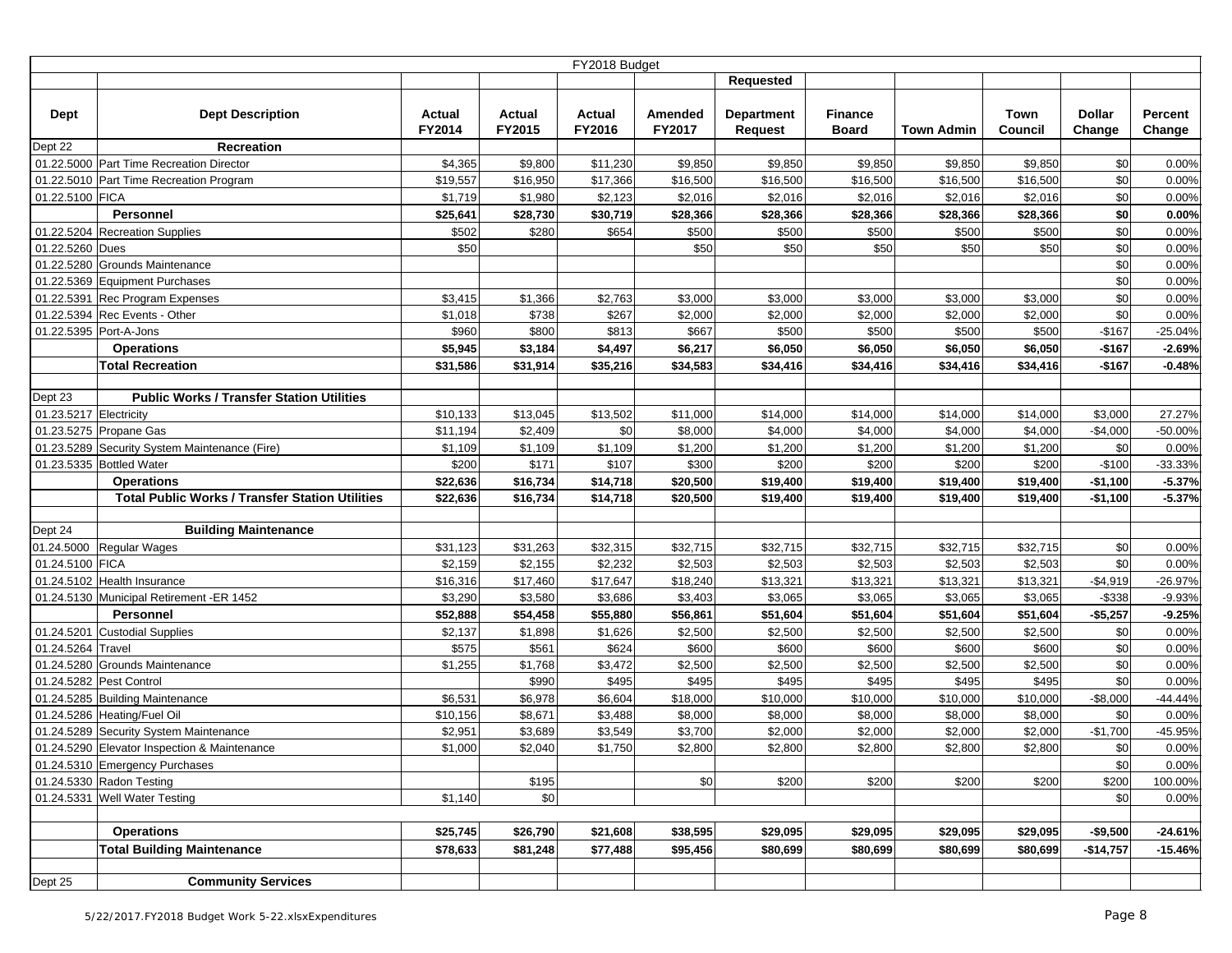|                        |                                                        |          |          | FY2018 Budget |          |                   |                |            |          |               |           |
|------------------------|--------------------------------------------------------|----------|----------|---------------|----------|-------------------|----------------|------------|----------|---------------|-----------|
|                        |                                                        |          |          |               |          | Requested         |                |            |          |               |           |
|                        |                                                        |          |          |               |          |                   |                |            |          |               |           |
| Dept                   | <b>Dept Description</b>                                | Actual   | Actual   | Actual        | Amended  | <b>Department</b> | <b>Finance</b> |            | Town     | <b>Dollar</b> | Percent   |
|                        |                                                        | FY2014   | FY2015   | FY2016        | FY2017   | <b>Request</b>    | <b>Board</b>   | Town Admin | Council  | Change        | Change    |
| Dept 22                | Recreation                                             |          |          |               |          |                   |                |            |          |               |           |
|                        | 01.22.5000 Part Time Recreation Director               | \$4,365  | \$9,800  | \$11,230      | \$9,850  | \$9,850           | \$9,850        | \$9,850    | \$9,850  | \$0           | 0.00%     |
|                        | 01.22.5010 Part Time Recreation Program                | \$19,557 | \$16,950 | \$17,366      | \$16,500 | \$16,500          | \$16,500       | \$16,500   | \$16,500 | \$0           | 0.00%     |
| 01.22.5100 FICA        |                                                        | \$1,719  | \$1,980  | \$2,123       | \$2,016  | \$2,016           | \$2,016        | \$2,016    | \$2,016  | \$0           | 0.00%     |
|                        | Personnel                                              | \$25,641 | \$28,730 | \$30,719      | \$28,366 | \$28,366          | \$28,366       | \$28,366   | \$28,366 | \$0           | 0.00%     |
| 01.22.5204             | <b>Recreation Supplies</b>                             | \$502    | \$280    | \$654         | \$500    | \$500             | \$500          | \$500      | \$500    | \$0           | 0.00%     |
| 01.22.5260 Dues        |                                                        | \$50     |          |               | \$50     | \$50              | \$50           | \$50       | \$50     | \$0           | 0.00%     |
|                        | 01.22.5280 Grounds Maintenance                         |          |          |               |          |                   |                |            |          | \$0           | 0.00%     |
| 01.22.5369             | Equipment Purchases                                    |          |          |               |          |                   |                |            |          | \$0           | 0.00%     |
|                        | 01.22.5391 Rec Program Expenses                        | \$3,415  | \$1,366  | \$2,763       | \$3,000  | \$3,000           | \$3,000        | \$3,000    | \$3,000  | \$0           | 0.00%     |
|                        | 01.22.5394 Rec Events - Other                          | \$1,018  | \$738    | \$267         | \$2,000  | \$2,000           | \$2,000        | \$2,000    | \$2,000  | \$0           | 0.00%     |
|                        | 01.22.5395 Port-A-Jons                                 | \$960    | \$800    | \$813         | \$667    | \$500             | \$500          | \$500      | \$500    | $-$167$       | $-25.04%$ |
|                        | <b>Operations</b>                                      | \$5,945  | \$3,184  | \$4,497       | \$6,217  | \$6,050           | \$6,050        | \$6,050    | \$6,050  | $-$167$       | $-2.69%$  |
|                        | <b>Total Recreation</b>                                | \$31,586 | \$31,914 | \$35,216      | \$34,583 | \$34,416          | \$34,416       | \$34,416   | \$34,416 | $-$167$       | $-0.48%$  |
|                        |                                                        |          |          |               |          |                   |                |            |          |               |           |
| Dept 23                | <b>Public Works / Transfer Station Utilities</b>       |          |          |               |          |                   |                |            |          |               |           |
| 01.23.5217 Electricity |                                                        | \$10,133 | \$13,045 | \$13,502      | \$11,000 | \$14,000          | \$14,000       | \$14,000   | \$14,000 | \$3,000       | 27.27%    |
|                        | 01.23.5275 Propane Gas                                 | \$11,194 | \$2,409  | \$0           | \$8,000  | \$4,000           | \$4,000        | \$4,000    | \$4,000  | $-$4,000$     | -50.00%   |
| 01.23.5289             | Security System Maintenance (Fire)                     | \$1,109  | \$1,109  | \$1,109       | \$1,200  | \$1,200           | \$1,200        | \$1,200    | \$1,200  | \$0           | 0.00%     |
|                        | 01.23.5335 Bottled Water                               | \$200    | \$171    | \$107         | \$300    | \$200             | \$200          | \$200      | \$200    | $-$100$       | $-33.33%$ |
|                        | <b>Operations</b>                                      | \$22,636 | \$16,734 | \$14,718      | \$20,500 | \$19,400          | \$19,400       | \$19,400   | \$19,400 | $-$1,100$     | $-5.37%$  |
|                        | <b>Total Public Works / Transfer Station Utilities</b> | \$22,636 | \$16,734 | \$14,718      | \$20,500 | \$19,400          | \$19,400       | \$19,400   | \$19,400 | $-$1,100$     | $-5.37%$  |
|                        |                                                        |          |          |               |          |                   |                |            |          |               |           |
| Dept 24                | <b>Building Maintenance</b>                            |          |          |               |          |                   |                |            |          |               |           |
|                        | 01.24.5000 Regular Wages                               | \$31,123 | \$31,263 | \$32,315      | \$32,715 | \$32,715          | \$32,715       | \$32,715   | \$32,715 | \$0           | 0.00%     |
| 01.24.5100 FICA        |                                                        | \$2,159  | \$2,155  | \$2,232       | \$2,503  | \$2,503           | \$2,503        | \$2,503    | \$2,503  | \$0           | 0.00%     |
| 01.24.5102             | <b>Health Insurance</b>                                | \$16,316 | \$17,460 | \$17,647      | \$18,240 | \$13,321          | \$13,321       | \$13,321   | \$13,321 | $-$4,919$     | -26.97%   |
| 01.24.5130             | Municipal Retirement - ER 1452                         | \$3,290  | \$3,580  | \$3,686       | \$3,403  | \$3,065           | \$3,065        | \$3,065    | \$3,065  | $- $338$      | $-9.93%$  |
|                        | Personnel                                              | \$52,888 | \$54,458 | \$55,880      | \$56,861 | \$51,604          | \$51,604       | \$51,604   | \$51,604 | $-$5,257$     | $-9.25%$  |
|                        | 01.24.5201 Custodial Supplies                          | \$2,137  | \$1,898  | \$1,626       | \$2,500  | \$2,500           | \$2,500        | \$2,500    | \$2,500  | \$0           | 0.00%     |
| 01.24.5264 Travel      |                                                        | \$575    | \$561    | \$624         | \$600    | \$600             | \$600          | \$600      | \$600    | \$0           | 0.00%     |
|                        | 01.24.5280 Grounds Maintenance                         | \$1,255  | \$1,768  | \$3,472       | \$2,500  | \$2,500           | \$2,500        | \$2,500    | \$2,500  | \$0           | 0.00%     |
| 01.24.5282             | <b>Pest Control</b>                                    |          | \$990    | \$495         | \$495    | \$495             | \$495          | \$495      | \$495    | \$0           | 0.00%     |
| 01.24.5285             | <b>Building Maintenance</b>                            | \$6,531  | \$6,978  | \$6,604       | \$18,000 | \$10,000          | \$10,000       | \$10,000   | \$10,000 | $-$8,000$     | $-44.44%$ |
|                        | 01.24.5286 Heating/Fuel Oil                            | \$10,156 | \$8,671  | \$3,488       | \$8,000  | \$8,000           | \$8,000        | \$8,000    | \$8,000  | \$0           | 0.00%     |
|                        | 01.24.5289 Security System Maintenance                 | \$2,951  | \$3,689  | \$3,549       | \$3,700  | \$2,000           | \$2,000        | \$2,000    | \$2,000  | $-$1,700$     | -45.95%   |
|                        | 01.24.5290 Elevator Inspection & Maintenance           | \$1.000  | \$2.040  | \$1.750       | \$2.800  | \$2.800           | \$2.800        | \$2.800    | \$2.800  | \$0           | 0.00%     |
|                        | 01.24.5310 Emergency Purchases                         |          |          |               |          |                   |                |            |          | \$0           | 0.00%     |
|                        | 01.24.5330 Radon Testing                               |          | \$195    |               | \$0      | \$200             | \$200          | \$200      | \$200    | \$200         | 100.00%   |
|                        | 01.24.5331 Well Water Testing                          | \$1,140  | \$0      |               |          |                   |                |            |          | \$0           | 0.00%     |
|                        |                                                        |          |          |               |          |                   |                |            |          |               |           |
|                        | <b>Operations</b>                                      | \$25,745 | \$26,790 | \$21,608      | \$38,595 | \$29,095          | \$29,095       | \$29,095   | \$29,095 | -\$9,500      | $-24.61%$ |
|                        | <b>Total Building Maintenance</b>                      | \$78,633 | \$81,248 | \$77,488      | \$95,456 | \$80,699          | \$80,699       | \$80,699   | \$80,699 | $-$14,757$    | $-15.46%$ |
|                        |                                                        |          |          |               |          |                   |                |            |          |               |           |
| Dept 25                | <b>Community Services</b>                              |          |          |               |          |                   |                |            |          |               |           |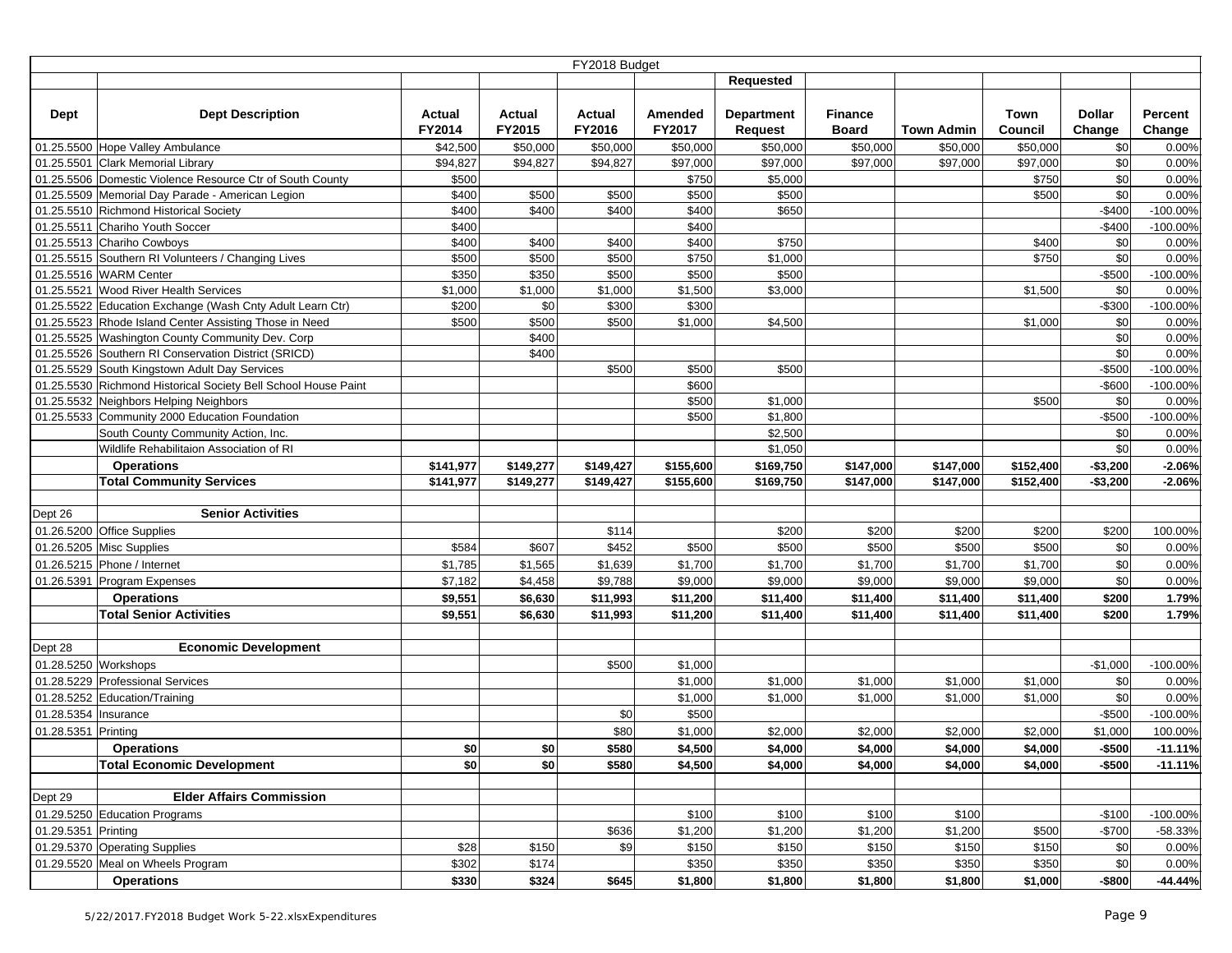|                      |                                                                                                          |           |           | FY2018 Budget |                |                   |                |            |           |                    |                      |
|----------------------|----------------------------------------------------------------------------------------------------------|-----------|-----------|---------------|----------------|-------------------|----------------|------------|-----------|--------------------|----------------------|
|                      |                                                                                                          |           |           |               |                | Requested         |                |            |           |                    |                      |
|                      |                                                                                                          |           |           |               |                |                   |                |            |           |                    |                      |
| <b>Dept</b>          | <b>Dept Description</b>                                                                                  | Actual    | Actual    | Actual        | Amended        | <b>Department</b> | <b>Finance</b> |            | Town      | <b>Dollar</b>      | Percent              |
|                      |                                                                                                          | FY2014    | FY2015    | FY2016        | FY2017         | <b>Request</b>    | <b>Board</b>   | Town Admin | Council   | Change             | Change               |
|                      | 01.25.5500 Hope Valley Ambulance                                                                         | \$42,500  | \$50,000  | \$50,000      | \$50,000       | \$50,000          | \$50,000       | \$50,000   | \$50,000  | \$0                | 0.00%                |
|                      | 01.25.5501 Clark Memorial Library                                                                        | \$94,827  | \$94,827  | \$94,827      | \$97,000       | \$97,000          | \$97,000       | \$97,000   | \$97,000  | \$0                | 0.00%                |
|                      | 01.25.5506 Domestic Violence Resource Ctr of South County                                                | \$500     |           |               | \$750          | \$5,000           |                |            | \$750     | \$0                | 0.00%                |
|                      | 01.25.5509 Memorial Day Parade - American Legion                                                         | \$400     | \$500     | \$500         | \$500          | \$500             |                |            | \$500     | \$0                | 0.00%                |
|                      | 01.25.5510 Richmond Historical Society                                                                   | \$400     | \$400     | \$400         | \$400          | \$650             |                |            |           | $-$400$            | -100.00%             |
|                      | 01.25.5511 Chariho Youth Soccer                                                                          | \$400     |           |               | \$400          |                   |                |            |           | $-$400$            | $-100.00\%$          |
|                      | 01.25.5513 Chariho Cowboys                                                                               | \$400     | \$400     | \$400         | \$400          | \$750             |                |            | \$400     | \$0                | 0.00%                |
|                      | 01.25.5515 Southern RI Volunteers / Changing Lives                                                       | \$500     | \$500     | \$500         | \$750          | \$1,000           |                |            | \$750     | \$0                | 0.00%                |
|                      | 01.25.5516 WARM Center                                                                                   | \$350     | \$350     | \$500         | \$500          | \$500             |                |            |           | $- $500$           | $-100.00\%$          |
| 01.25.5521           | Wood River Health Services                                                                               | \$1,000   | \$1,000   | \$1,000       | \$1,500        | \$3,000           |                |            | \$1,500   | \$0                | 0.00%                |
| 01.25.5522           | Education Exchange (Wash Cnty Adult Learn Ctr)                                                           | \$200     | \$0       | \$300         | \$300          |                   |                |            |           | $-$300$            | $-100.00\%$          |
|                      | 01.25.5523 Rhode Island Center Assisting Those in Need                                                   | \$500     | \$500     | \$500         | \$1,000        | \$4,500           |                |            | \$1,000   | \$0                | 0.00%                |
|                      | 01.25.5525 Washington County Community Dev. Corp                                                         |           | \$400     |               |                |                   |                |            |           | \$0                | 0.00%                |
|                      | 01.25.5526 Southern RI Conservation District (SRICD)                                                     |           | \$400     |               |                |                   |                |            |           | \$0                | 0.00%                |
|                      | 01.25.5529 South Kingstown Adult Day Services                                                            |           |           | \$500         | \$500          | \$500             |                |            |           | $-$500$<br>$-$600$ | -100.00%             |
|                      | 01.25.5530 Richmond Historical Society Bell School House Paint<br>01.25.5532 Neighbors Helping Neighbors |           |           |               | \$600<br>\$500 | \$1,000           |                |            | \$500     | \$0                | $-100.00\%$<br>0.00% |
|                      | 01.25.5533 Community 2000 Education Foundation                                                           |           |           |               | \$500          | \$1,800           |                |            |           | $-$500$            | $-100.00\%$          |
|                      | South County Community Action, Inc.                                                                      |           |           |               |                | \$2,500           |                |            |           | \$0                | 0.00%                |
|                      | Wildlife Rehabilitaion Association of RI                                                                 |           |           |               |                | \$1,050           |                |            |           | \$0                | 0.00%                |
|                      | <b>Operations</b>                                                                                        | \$141,977 | \$149,277 | \$149,427     | \$155,600      | \$169,750         | \$147,000      | \$147,000  | \$152,400 | $-$3,200$          | $-2.06%$             |
|                      | <b>Total Community Services</b>                                                                          | \$141,977 | \$149,277 | \$149,427     | \$155,600      | \$169,750         | \$147,000      | \$147,000  | \$152,400 | $-$3,200$          | $-2.06%$             |
|                      |                                                                                                          |           |           |               |                |                   |                |            |           |                    |                      |
| Dept 26              | <b>Senior Activities</b>                                                                                 |           |           |               |                |                   |                |            |           |                    |                      |
|                      | 01.26.5200 Office Supplies                                                                               |           |           | \$114         |                | \$200             | \$200          | \$200      | \$200     | \$200              | 100.00%              |
|                      | 01.26.5205 Misc Supplies                                                                                 | \$584     | \$607     | \$452         | \$500          | \$500             | \$500          | \$500      | \$500     | \$0                | 0.00%                |
|                      | 01.26.5215 Phone / Internet                                                                              | \$1,785   | \$1,565   | \$1,639       | \$1,700        | \$1,700           | \$1,700        | \$1,700    | \$1,700   | \$0                | 0.00%                |
|                      | 01.26.5391 Program Expenses                                                                              | \$7,182   | \$4,458   | \$9,788       | \$9,000        | \$9,000           | \$9,000        | \$9,000    | \$9,000   | \$0                | 0.00%                |
|                      | <b>Operations</b>                                                                                        | \$9,551   | \$6,630   | \$11,993      | \$11,200       | \$11,400          | \$11,400       | \$11,400   | \$11,400  | \$200              | 1.79%                |
|                      | <b>Total Senior Activities</b>                                                                           | \$9,551   | \$6,630   | \$11,993      | \$11,200       | \$11,400          | \$11,400       | \$11,400   | \$11,400  | \$200              | 1.79%                |
|                      |                                                                                                          |           |           |               |                |                   |                |            |           |                    |                      |
| Dept 28              | <b>Economic Development</b>                                                                              |           |           |               |                |                   |                |            |           |                    |                      |
| 01.28.5250 Workshops |                                                                                                          |           |           | \$500         | \$1,000        |                   |                |            |           | $-$1,000$          | -100.00%             |
| 01.28.5229           | <b>Professional Services</b>                                                                             |           |           |               | \$1,000        | \$1,000           | \$1,000        | \$1,000    | \$1,000   | \$0                | 0.00%                |
| 01.28.5252           | Education/Training                                                                                       |           |           |               | \$1,000        | \$1,000           | \$1,000        | \$1,000    | \$1,000   | \$0                | 0.00%                |
| 01.28.5354           | Insurance                                                                                                |           |           | \$0           | \$500          |                   |                |            |           | $-$500$            | $-100.00\%$          |
| 01.28.5351           | Printing                                                                                                 |           |           | \$80          | \$1,000        | \$2,000           | \$2,000        | \$2,000    | \$2,000   | \$1,000            | 100.00%              |
|                      | <b>Operations</b>                                                                                        | \$0       | \$0       | \$580         | \$4,500        | \$4,000           | \$4,000        | \$4,000    | \$4,000   | $- $500$           | $-11.11%$            |
|                      | <b>Total Economic Development</b>                                                                        | \$0       | \$0       | \$580         | \$4,500        | \$4,000           | \$4,000        | \$4,000    | \$4,000   | -\$500             | $-11.11%$            |
|                      |                                                                                                          |           |           |               |                |                   |                |            |           |                    |                      |
| Dept 29              | <b>Elder Affairs Commission</b>                                                                          |           |           |               |                |                   |                |            |           |                    |                      |
|                      | 01.29.5250 Education Programs                                                                            |           |           |               | \$100          | \$100             | \$100          | \$100      |           | $-$100$            | $-100.00\%$          |
| 01.29.5351 Printing  |                                                                                                          |           |           | \$636         | \$1,200        | \$1,200           | \$1,200        | \$1,200    | \$500     | $-$700$            | $-58.33%$            |
|                      | 01.29.5370 Operating Supplies                                                                            | \$28      | \$150     | \$9           | \$150          | \$150             | \$150          | \$150      | \$150     | \$0                | 0.00%                |
|                      | 01.29.5520 Meal on Wheels Program                                                                        | \$302     | \$174     |               | \$350          | \$350             | \$350          | \$350      | \$350     | \$0                | 0.00%                |
|                      | <b>Operations</b>                                                                                        | \$330     | \$324     | \$645         | \$1,800        | \$1,800           | \$1,800        | \$1,800    | \$1,000   | -\$800             | -44.44%              |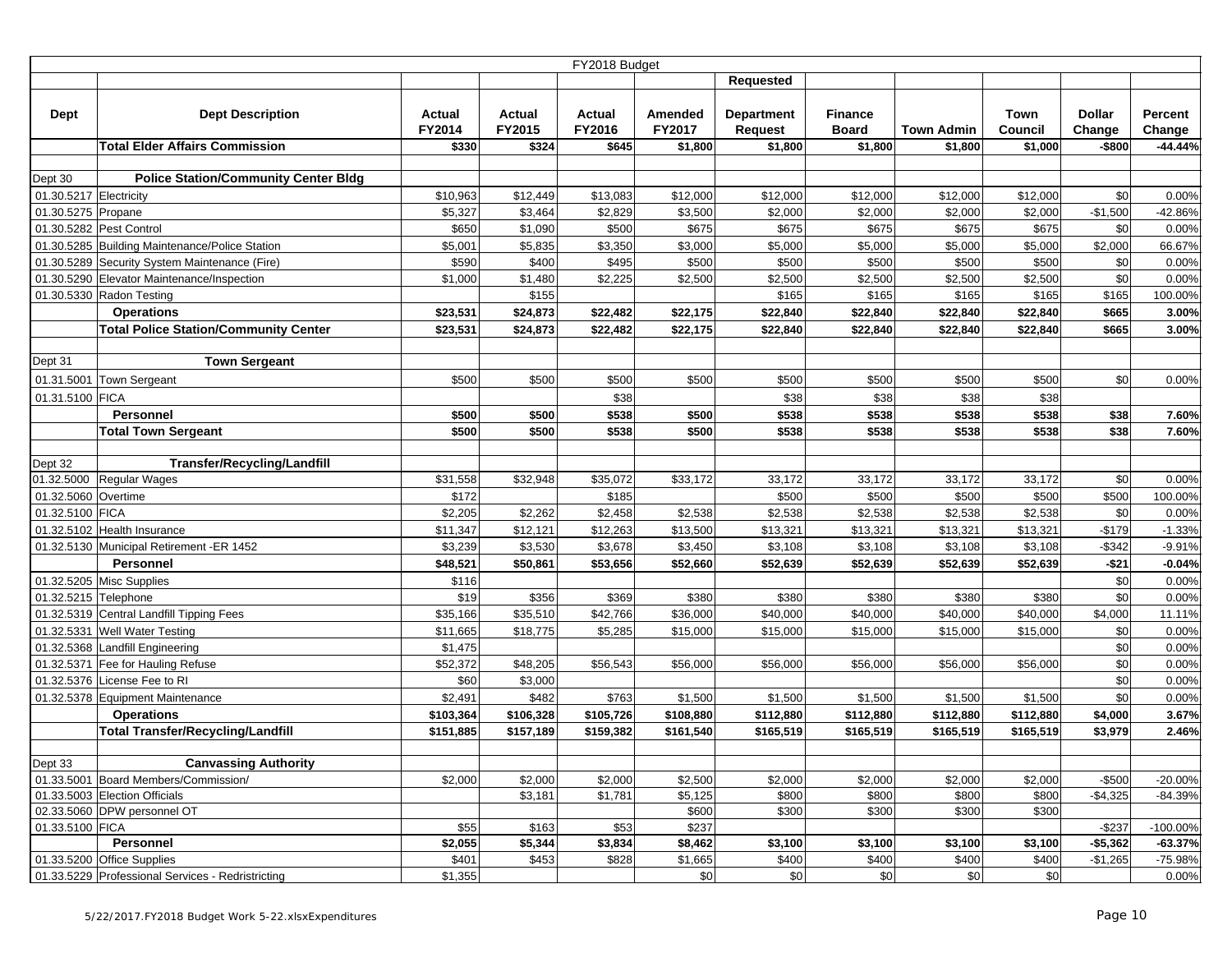|                        |                                                                                 |                  |           | FY2018 Budget |                |                   |                |              |              |               |           |
|------------------------|---------------------------------------------------------------------------------|------------------|-----------|---------------|----------------|-------------------|----------------|--------------|--------------|---------------|-----------|
|                        |                                                                                 |                  |           |               |                | Requested         |                |              |              |               |           |
|                        |                                                                                 |                  |           |               |                |                   |                |              |              |               |           |
| Dept                   | <b>Dept Description</b>                                                         | Actual           | Actual    | Actual        | Amended        | <b>Department</b> | <b>Finance</b> |              | Town         | <b>Dollar</b> | Percent   |
|                        |                                                                                 | FY2014           | FY2015    | FY2016        | FY2017         | <b>Request</b>    | <b>Board</b>   | Town Admin   | Council      | Change        | Change    |
|                        | <b>Total Elder Affairs Commission</b>                                           | \$330            | \$324     | \$645         | \$1,800        | \$1,800           | \$1,800        | \$1,800      | \$1,000      | -\$800        | $-44.44%$ |
|                        |                                                                                 |                  |           |               |                |                   |                |              |              |               |           |
| Dept 30                | <b>Police Station/Community Center Bldg</b>                                     |                  |           |               |                |                   |                |              |              |               |           |
| 01.30.5217 Electricity |                                                                                 | \$10,963         | \$12,449  | \$13,083      | \$12,000       | \$12,000          | \$12,000       | \$12,000     | \$12,000     | \$0           | 0.00%     |
| 01.30.5275 Propane     |                                                                                 | \$5,327          | \$3,464   | \$2,829       | \$3,500        | \$2,000           | \$2,000        | \$2,000      | \$2,000      | $-$1,500$     | $-42.86%$ |
|                        | 01.30.5282 Pest Control                                                         | \$650            | \$1,090   | \$500         | \$675          | \$675             | \$675          | \$675        | \$675        | \$0           | 0.00%     |
|                        | 01.30.5285 Building Maintenance/Police Station                                  | \$5,001          | \$5,835   | \$3,350       | \$3,000        | \$5,000           | \$5,000        | \$5,000      | \$5,000      | \$2,000       | 66.67%    |
|                        | 01.30.5289 Security System Maintenance (Fire)                                   | \$590            | \$400     | \$495         | \$500          | \$500             | \$500          | \$500        | \$500        | \$0           | 0.00%     |
|                        | 01.30.5290 Elevator Maintenance/Inspection                                      | \$1,000          | \$1,480   | \$2,225       | \$2,500        | \$2,500           | \$2,500        | \$2,500      | \$2,500      | \$0           | 0.00%     |
|                        | 01.30.5330 Radon Testing                                                        |                  | \$155     |               |                | \$165             | \$165          | \$165        | \$165        | \$165         | 100.00%   |
|                        | <b>Operations</b>                                                               | \$23,531         | \$24,873  | \$22,482      | \$22,175       | \$22,840          | \$22,840       | \$22,840     | \$22,840     | \$665         | 3.00%     |
|                        | <b>Total Police Station/Community Center</b>                                    | \$23,531         | \$24,873  | \$22,482      | \$22,175       | \$22,840          | \$22,840       | \$22,840     | \$22,840     | \$665         | 3.00%     |
|                        |                                                                                 |                  |           |               |                |                   |                |              |              |               |           |
| Dept 31                | <b>Town Sergeant</b>                                                            |                  |           |               |                |                   |                |              |              |               |           |
| 01.31.5001             | Town Sergeant                                                                   | \$500            | \$500     | \$500         | \$500          | \$500             | \$500          | \$500        | \$500        | \$0           | 0.00%     |
| 01.31.5100 FICA        |                                                                                 |                  |           | \$38          |                | \$38              | \$38           | \$38         | \$38         |               |           |
|                        | Personnel                                                                       | \$500            | \$500     | \$538         | \$500          | \$538             | \$538          | \$538        | \$538        | \$38          | 7.60%     |
|                        | <b>Total Town Sergeant</b>                                                      | \$500            | \$500     | \$538         | \$500          | \$538             | \$538          | \$538        | \$538        | \$38          | 7.60%     |
|                        |                                                                                 |                  |           |               |                |                   |                |              |              |               |           |
| Dept 32                | Transfer/Recycling/Landfill                                                     |                  |           |               |                |                   |                |              |              |               |           |
| 01.32.5000             | Regular Wages                                                                   | \$31,558         | \$32,948  | \$35,072      | \$33,172       | 33,172            | 33,172         | 33,172       | 33,172       | \$0           | 0.00%     |
| 01.32.5060             | Overtime                                                                        | \$172            |           | \$185         |                | \$500             | \$500          | \$500        | \$500        | \$500         | 100.00%   |
| 01.32.5100             | <b>FICA</b>                                                                     | \$2,205          | \$2,262   | \$2,458       | \$2,538        | \$2,538           | \$2,538        | \$2,538      | \$2,538      | \$0           | 0.00%     |
| 01.32.5102             | Health Insurance                                                                | \$11,347         | \$12,121  | \$12,263      | \$13,500       | \$13,321          | \$13,321       | \$13,321     | \$13,321     | $-$179$       | $-1.33%$  |
|                        | 01.32.5130 Municipal Retirement -ER 1452                                        | \$3,239          | \$3,530   | \$3,678       | \$3,450        | \$3,108           | \$3,108        | \$3,108      | \$3,108      | $-$ \$342     | $-9.91%$  |
|                        | Personnel                                                                       | \$48,521         | \$50,861  | \$53,656      | \$52,660       | \$52,639          | \$52,639       | \$52,639     | \$52,639     | $-$ \$21      | $-0.04%$  |
|                        | 01.32.5205 Misc Supplies                                                        | \$116            |           |               |                |                   |                |              |              | \$0           | 0.00%     |
| 01.32.5215 Telephone   |                                                                                 | \$19             | \$356     | \$369         | \$380          | \$380             | \$380          | \$380        | \$380        | \$0           | 0.00%     |
|                        | 01.32.5319 Central Landfill Tipping Fees                                        | \$35,166         | \$35,510  | \$42,766      | \$36,000       | \$40,000          | \$40,000       | \$40,000     | \$40,000     | \$4,000       | 11.11%    |
| 01.32.5331             | <b>Well Water Testing</b>                                                       | \$11,665         | \$18,775  | \$5,285       | \$15,000       | \$15,000          | \$15,000       | \$15,000     | \$15,000     | \$0           | 0.00%     |
|                        | 01.32.5368 Landfill Engineering                                                 | \$1,475          |           |               |                |                   |                |              |              | \$0           | 0.00%     |
| 01.32.5371             | Fee for Hauling Refuse                                                          | \$52,372         | \$48,205  | \$56,543      | \$56,000       | \$56,000          | \$56,000       | \$56,000     | \$56,000     | \$0           | 0.00%     |
| 01.32.5376             | License Fee to RI                                                               | \$60             | \$3,000   |               |                |                   |                |              |              | \$0           | 0.00%     |
|                        | 01.32.5378 Equipment Maintenance                                                | \$2,491          | \$482     | \$763         | \$1,500        | \$1,500           | \$1,500        | \$1,500      | \$1,500      | \$0           | 0.00%     |
|                        | <b>Operations</b>                                                               | \$103,364        | \$106,328 | \$105,726     | \$108,880      | \$112,880         | \$112,880      | \$112,880    | \$112,880    | \$4,000       | 3.67%     |
|                        | <b>Total Transfer/Recycling/Landfill</b>                                        | \$151,885        | \$157,189 | \$159,382     | \$161,540      | \$165,519         | \$165,519      | \$165,519    | \$165,519    | \$3,979       | 2.46%     |
|                        |                                                                                 |                  |           |               |                |                   |                |              |              |               |           |
| Dept 33                | <b>Canvassing Authority</b>                                                     |                  |           |               |                |                   |                |              |              |               |           |
|                        | 01.33.5001 Board Members/Commission/                                            | \$2,000          | \$2,000   | \$2,000       | \$2,500        | \$2,000           | \$2,000        | \$2,000      | \$2,000      | $-$500$       | $-20.00%$ |
|                        | 01.33.5003 Election Officials                                                   |                  | \$3,181   | \$1,781       | \$5,125        | \$800             | \$800          | \$800        | \$800        | $-$4,325$     | $-84.39%$ |
|                        | 02.33.5060 DPW personnel OT                                                     |                  |           |               | \$600          | \$300             | \$300          | \$300        | \$300        |               |           |
| 01.33.5100 FICA        |                                                                                 | \$55             | \$163     | \$53          | \$237          |                   |                |              |              | $-$237$       | -100.00%  |
|                        | Personnel                                                                       | \$2,055          | \$5,344   | \$3,834       | \$8,462        | \$3,100           | \$3,100        | \$3,100      | \$3,100      | $-$5,362$     | $-63.37%$ |
|                        | 01.33.5200 Office Supplies<br>01.33.5229 Professional Services - Redristricting | \$401<br>\$1,355 | \$453     | \$828         | \$1,665<br>\$0 | \$400<br>\$0      | \$400<br>\$0   | \$400<br>\$0 | \$400<br>\$0 | $-$1,265$     | $-75.98%$ |
|                        |                                                                                 |                  |           |               |                |                   |                |              |              |               | 0.00%     |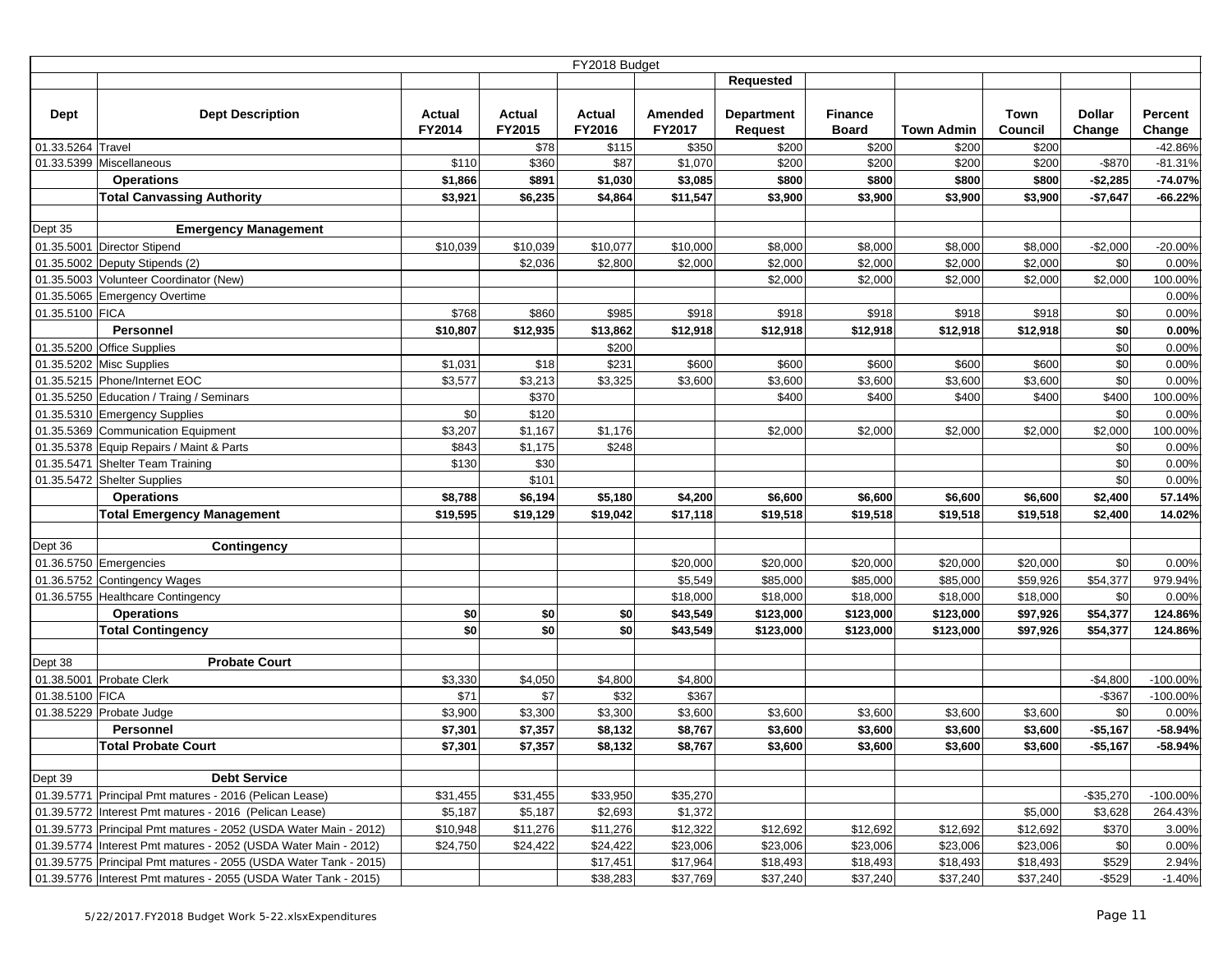|                 |                                                                  |          |          | FY2018 Budget |          |                |                |            |          |               |             |
|-----------------|------------------------------------------------------------------|----------|----------|---------------|----------|----------------|----------------|------------|----------|---------------|-------------|
|                 |                                                                  |          |          |               |          | Requested      |                |            |          |               |             |
|                 |                                                                  |          |          |               |          |                |                |            |          |               |             |
| <b>Dept</b>     | <b>Dept Description</b>                                          | Actual   | Actual   | <b>Actual</b> | Amended  | Department     | <b>Finance</b> |            | Town     | <b>Dollar</b> | Percent     |
|                 |                                                                  | FY2014   | FY2015   | FY2016        | FY2017   | <b>Request</b> | <b>Board</b>   | Town Admin | Council  | Change        | Change      |
| 01.33.5264      | Travel                                                           |          | \$78     | \$115         | \$350    | \$200          | \$200          | \$200      | \$200    |               | $-42.86%$   |
|                 | 01.33.5399 Miscellaneous                                         | \$110    | \$360    | \$87          | \$1,070  | \$200          | \$200          | \$200      | \$200    | $-$ \$870     | $-81.31%$   |
|                 | <b>Operations</b>                                                | \$1,866  | \$891    | \$1,030       | \$3,085  | \$800          | \$800          | \$800      | \$800    | $-$2,285$     | $-74.07%$   |
|                 | <b>Total Canvassing Authority</b>                                | \$3,921  | \$6,235  | \$4,864       | \$11,547 | \$3,900        | \$3,900        | \$3,900    | \$3,900  | $-$7,647$     | $-66.22%$   |
|                 |                                                                  |          |          |               |          |                |                |            |          |               |             |
| Dept 35         | <b>Emergency Management</b>                                      |          |          |               |          |                |                |            |          |               |             |
| 01.35.5001      | <b>Director Stipend</b>                                          | \$10,039 | \$10,039 | \$10,077      | \$10,000 | \$8,000        | \$8,000        | \$8,000    | \$8,000  | $-$2,000$     | $-20.00%$   |
| 01.35.5002      | Deputy Stipends (2)                                              |          | \$2,036  | \$2,800       | \$2,000  | \$2,000        | \$2,000        | \$2,000    | \$2,000  | \$0           | 0.00%       |
| 01.35.5003      | Volunteer Coordinator (New)                                      |          |          |               |          | \$2,000        | \$2,000        | \$2,000    | \$2,000  | \$2,000       | 100.00%     |
|                 | 01.35.5065 Emergency Overtime                                    |          |          |               |          |                |                |            |          |               | 0.00%       |
| 01.35.5100 FICA |                                                                  | \$768    | \$860    | \$985         | \$918    | \$918          | \$918          | \$918      | \$918    | \$0           | 0.00%       |
|                 | <b>Personnel</b>                                                 | \$10,807 | \$12,935 | \$13,862      | \$12,918 | \$12,918       | \$12,918       | \$12,918   | \$12,918 | \$0           | $0.00\%$    |
|                 | 01.35.5200 Office Supplies                                       |          |          | \$200         |          |                |                |            |          | \$0           | 0.00%       |
| 01.35.5202      | <b>Misc Supplies</b>                                             | \$1,031  | \$18     | \$231         | \$600    | \$600          | \$600          | \$600      | \$600    | \$0           | 0.00%       |
|                 | 01.35.5215 Phone/Internet EOC                                    | \$3,577  | \$3,213  | \$3,325       | \$3,600  | \$3,600        | \$3,600        | \$3,600    | \$3,600  | \$0           | 0.00%       |
|                 | 01.35.5250 Education / Traing / Seminars                         |          | \$370    |               |          | \$400          | \$400          | \$400      | \$400    | \$400         | 100.00%     |
|                 | 01.35.5310 Emergency Supplies                                    | \$0      | \$120    |               |          |                |                |            |          | \$0           | 0.00%       |
|                 | 01.35.5369 Communication Equipment                               | \$3,207  | \$1,167  | \$1,176       |          | \$2,000        | \$2,000        | \$2,000    | \$2,000  | \$2,000       | 100.00%     |
|                 | 01.35.5378 Equip Repairs / Maint & Parts                         | \$843    | \$1,175  | \$248         |          |                |                |            |          | \$0           | 0.00%       |
| 01.35.5471      | <b>Shelter Team Training</b>                                     | \$130    | \$30     |               |          |                |                |            |          | \$0           | 0.00%       |
|                 | 01.35.5472 Shelter Supplies                                      |          | \$101    |               |          |                |                |            |          | \$0           | 0.00%       |
|                 | <b>Operations</b>                                                | \$8,788  | \$6,194  | \$5,180       | \$4,200  | \$6,600        | \$6,600        | \$6,600    | \$6,600  | \$2,400       | 57.14%      |
|                 | <b>Total Emergency Management</b>                                | \$19,595 | \$19,129 | \$19,042      | \$17,118 | \$19,518       | \$19,518       | \$19,518   | \$19,518 | \$2,400       | 14.02%      |
|                 |                                                                  |          |          |               |          |                |                |            |          |               |             |
| Dept 36         | Contingency                                                      |          |          |               |          |                |                |            |          |               |             |
|                 | 01.36.5750 Emergencies                                           |          |          |               | \$20,000 | \$20,000       | \$20,000       | \$20,000   | \$20,000 | \$0           | 0.00%       |
|                 | 01.36.5752 Contingency Wages                                     |          |          |               | \$5,549  | \$85,000       | \$85,000       | \$85,000   | \$59,926 | \$54,377      | 979.94%     |
|                 | 01.36.5755 Healthcare Contingency                                |          |          |               | \$18,000 | \$18,000       | \$18,000       | \$18,000   | \$18,000 | \$0           | 0.00%       |
|                 | <b>Operations</b>                                                | \$0      | \$0      | \$0           | \$43,549 | \$123,000      | \$123,000      | \$123,000  | \$97,926 | \$54,377      | 124.86%     |
|                 | <b>Total Contingency</b>                                         | \$0      | \$0      | \$0           | \$43,549 | \$123,000      | \$123,000      | \$123,000  | \$97,926 | \$54,377      | 124.86%     |
|                 |                                                                  |          |          |               |          |                |                |            |          |               |             |
| Dept 38         | <b>Probate Court</b>                                             |          |          |               |          |                |                |            |          |               |             |
| 01.38.5001      | Probate Clerk                                                    | \$3,330  | \$4,050  | \$4,800       | \$4,800  |                |                |            |          | $-$4,800$     | $-100.00\%$ |
| 01.38.5100      | <b>FICA</b>                                                      | \$71     | \$7      | \$32          | \$367    |                |                |            |          | $-$ \$367     | $-100.00\%$ |
| 01.38.5229      | Probate Judge                                                    | \$3,900  | \$3,300  | \$3,300       | \$3,600  | \$3,600        | \$3,600        | \$3,600    | \$3,600  | \$0           | 0.00%       |
|                 | Personnel                                                        | \$7,301  | \$7,357  | \$8,132       | \$8,767  | \$3,600        | \$3,600        | \$3,600    | \$3,600  | $- $5,167$    | $-58.94%$   |
|                 | <b>Total Probate Court</b>                                       | \$7,301  | \$7,357  | \$8,132       | \$8,767  | \$3,600        | \$3,600        | \$3,600    | \$3,600  | $-$5,167$     | $-58.94%$   |
|                 |                                                                  |          |          |               |          |                |                |            |          |               |             |
| Dept 39         | <b>Debt Service</b>                                              |          |          |               |          |                |                |            |          |               |             |
| 01.39.5771      | Principal Pmt matures - 2016 (Pelican Lease)                     | \$31,455 | \$31,455 | \$33,950      | \$35,270 |                |                |            |          | $-$35,270$    | $-100.00\%$ |
|                 | 01.39.5772 Interest Pmt matures - 2016 (Pelican Lease)           | \$5,187  | \$5,187  | \$2,693       | \$1,372  |                |                |            | \$5,000  | \$3,628       | 264.43%     |
|                 | 01.39.5773 Principal Pmt matures - 2052 (USDA Water Main - 2012) | \$10,948 | \$11,276 | \$11,276      | \$12,322 | \$12,692       | \$12,692       | \$12,692   | \$12,692 | \$370         | 3.00%       |
|                 | 01.39.5774 Interest Pmt matures - 2052 (USDA Water Main - 2012)  | \$24,750 | \$24,422 | \$24,422      | \$23,006 | \$23,006       | \$23,006       | \$23,006   | \$23,006 | \$0           | 0.00%       |
|                 | 01.39.5775 Principal Pmt matures - 2055 (USDA Water Tank - 2015) |          |          | \$17,451      | \$17,964 | \$18,493       | \$18,493       | \$18,493   | \$18,493 | \$529         | 2.94%       |
|                 | 01.39.5776 Interest Pmt matures - 2055 (USDA Water Tank - 2015)  |          |          | \$38,283      | \$37,769 | \$37,240       | \$37,240       | \$37,240   | \$37,240 | $-$ \$529     | $-1.40%$    |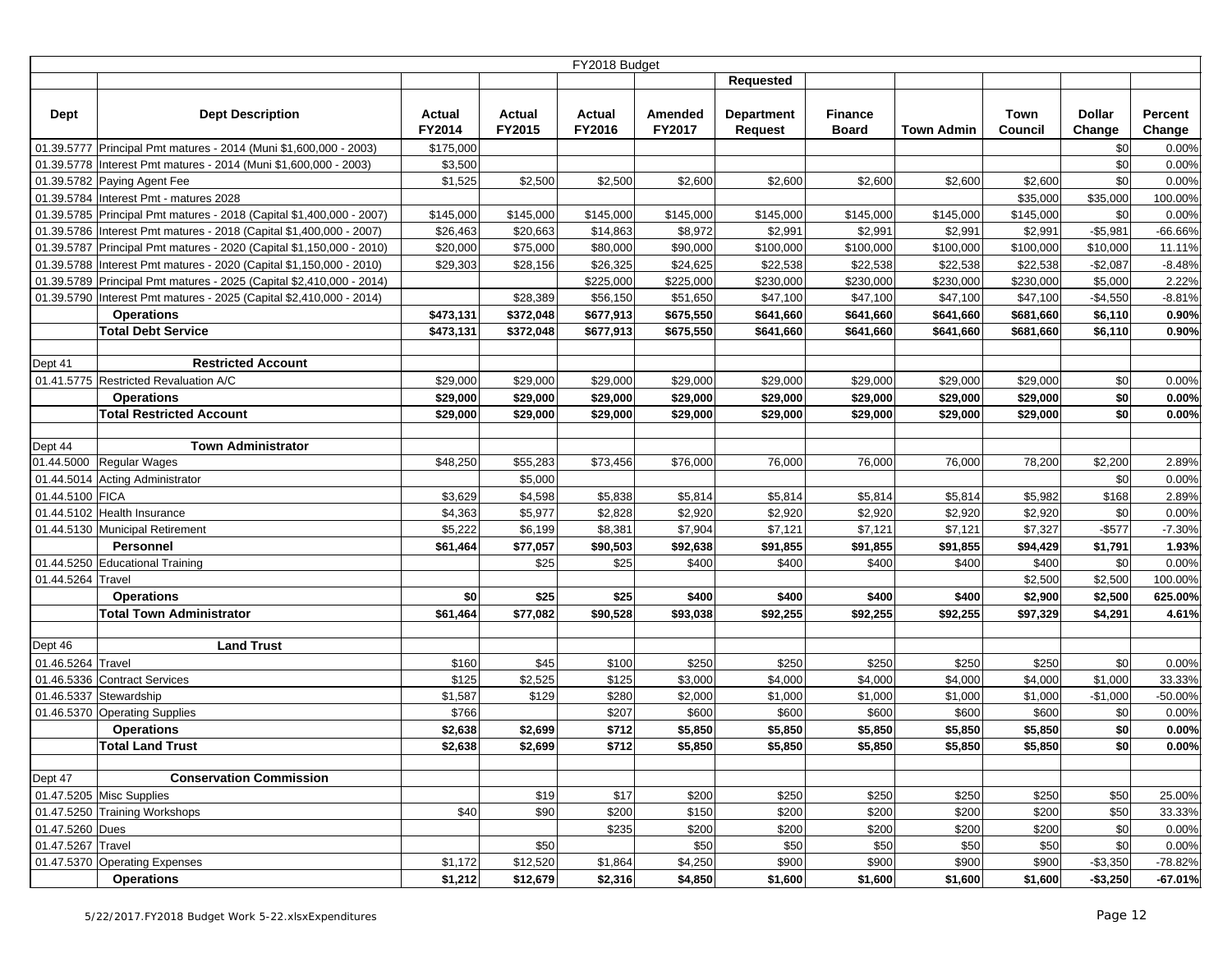|                   |                                                                      |           |              | FY2018 Budget |                |                   |                |                |                |               |                  |
|-------------------|----------------------------------------------------------------------|-----------|--------------|---------------|----------------|-------------------|----------------|----------------|----------------|---------------|------------------|
|                   |                                                                      |           |              |               |                | Requested         |                |                |                |               |                  |
|                   |                                                                      |           |              |               |                |                   |                |                |                |               |                  |
| <b>Dept</b>       | <b>Dept Description</b>                                              | Actual    | Actual       | Actual        | Amended        | <b>Department</b> | <b>Finance</b> |                | Town           | <b>Dollar</b> | Percent          |
|                   |                                                                      | FY2014    | FY2015       | FY2016        | FY2017         | Request           | <b>Board</b>   | Town Admin     | Council        | Change        | Change           |
|                   | 01.39.5777 Principal Pmt matures - 2014 (Muni \$1,600,000 - 2003)    | \$175,000 |              |               |                |                   |                |                |                | \$0           | 0.00%            |
|                   | 01.39.5778 Interest Pmt matures - 2014 (Muni \$1,600,000 - 2003)     | \$3,500   |              |               |                |                   |                |                |                | \$0           | 0.00%            |
|                   | 01.39.5782 Paying Agent Fee                                          | \$1,525   | \$2,500      | \$2,500       | \$2,600        | \$2,600           | \$2,600        | \$2,600        | \$2,600        | \$0           | 0.00%            |
|                   | 01.39.5784 Interest Pmt - matures 2028                               |           |              |               |                |                   |                |                | \$35,000       | \$35,000      | 100.00%          |
| 01.39.5785        | Principal Pmt matures - 2018 (Capital \$1,400,000 - 2007)            | \$145,000 | \$145,000    | \$145,000     | \$145,000      | \$145,000         | \$145,000      | \$145,000      | \$145,000      | \$0           | 0.00%            |
| 01.39.5786        | Interest Pmt matures - 2018 (Capital \$1,400,000 - 2007)             | \$26,463  | \$20,663     | \$14,863      | \$8,972        | \$2,991           | \$2,991        | \$2,991        | \$2,991        | $- $5,981$    | $-66.66%$        |
|                   | 01.39.5787 Principal Pmt matures - 2020 (Capital \$1,150,000 - 2010) | \$20,000  | \$75,000     | \$80,000      | \$90,000       | \$100,000         | \$100,000      | \$100,000      | \$100,000      | \$10,000      | 11.11%           |
| 01.39.5788        | Interest Pmt matures - 2020 (Capital \$1,150,000 - 2010)             | \$29,303  | \$28,156     | \$26,325      | \$24,625       | \$22,538          | \$22,538       | \$22,538       | \$22,538       | $-$2,087$     | $-8.48%$         |
|                   | 01.39.5789 Principal Pmt matures - 2025 (Capital \$2,410,000 - 2014) |           |              | \$225,000     | \$225,000      | \$230,000         | \$230,000      | \$230,000      | \$230,000      | \$5,000       | 2.22%            |
| 01.39.5790        | Interest Pmt matures - 2025 (Capital \$2,410,000 - 2014)             |           | \$28,389     | \$56,150      | \$51,650       | \$47,100          | \$47,100       | \$47,100       | \$47,100       | $-$4,550$     | $-8.81%$         |
|                   | <b>Operations</b>                                                    | \$473,131 | \$372,048    | \$677,913     | \$675,550      | \$641,660         | \$641,660      | \$641,660      | \$681,660      | \$6,110       | 0.90%            |
|                   | <b>Total Debt Service</b>                                            | \$473,131 | \$372,048    | \$677,913     | \$675,550      | \$641,660         | \$641,660      | \$641,660      | \$681,660      | \$6,110       | 0.90%            |
|                   |                                                                      |           |              |               |                |                   |                |                |                |               |                  |
| Dept 41           | <b>Restricted Account</b>                                            |           |              |               |                |                   |                |                |                |               |                  |
|                   | 01.41.5775 Restricted Revaluation A/C                                | \$29,000  | \$29,000     | \$29,000      | \$29,000       | \$29,000          | \$29,000       | \$29,000       | \$29,000       | \$0           | 0.00%            |
|                   | <b>Operations</b>                                                    | \$29,000  | \$29,000     | \$29,000      | \$29,000       | \$29,000          | \$29,000       | \$29,000       | \$29,000       | \$0           | 0.00%            |
|                   | <b>Total Restricted Account</b>                                      | \$29,000  | \$29,000     | \$29,000      | \$29,000       | \$29,000          | \$29,000       | \$29,000       | \$29,000       | \$0           | 0.00%            |
|                   |                                                                      |           |              |               |                |                   |                |                |                |               |                  |
| Dept 44           | <b>Town Administrator</b>                                            |           |              |               |                |                   |                |                |                |               |                  |
| 01.44.5000        | Regular Wages                                                        | \$48,250  | \$55,283     | \$73,456      | \$76,000       | 76,000            | 76,000         | 76,000         | 78,200         | \$2,200       | 2.89%            |
|                   | 01.44.5014 Acting Administrator                                      |           | \$5,000      |               |                |                   |                |                |                | \$0           | 0.00%            |
| 01.44.5100 FICA   |                                                                      | \$3,629   | \$4,598      | \$5,838       | \$5,814        | \$5,814           | \$5,814        | \$5,814        | \$5,982        | \$168         | 2.89%            |
| 01.44.5102        | Health Insurance                                                     | \$4,363   | \$5,977      | \$2,828       | \$2,920        | \$2,920           | \$2,920        | \$2,920        | \$2,920        | \$0           | 0.00%            |
|                   | 01.44.5130 Municipal Retirement                                      | \$5,222   | \$6,199      | \$8,381       | \$7,904        | \$7,121           | \$7,121        | \$7,121        | \$7,327        | $-$ \$577     | $-7.30%$         |
|                   | Personnel                                                            | \$61,464  | \$77,057     | \$90,503      | \$92,638       | \$91,855          | \$91,855       | \$91,855       | \$94,429       | \$1,791       | 1.93%            |
| 01.44.5250        | <b>Educational Training</b>                                          |           | \$25         | \$25          | \$400          | \$400             | \$400          | \$400          | \$400          | \$0           | 0.00%            |
| 01.44.5264        | Travel                                                               |           |              |               |                |                   |                |                | \$2,500        | \$2,500       | 100.00%          |
|                   | <b>Operations</b>                                                    | \$0       | \$25         | \$25          | \$400          | \$400             | \$400          | \$400          | \$2,900        | \$2,500       | 625.00%          |
|                   | <b>Total Town Administrator</b>                                      | \$61,464  | \$77,082     | \$90,528      | \$93,038       | \$92,255          | \$92,255       | \$92,255       | \$97,329       | \$4,291       | 4.61%            |
|                   |                                                                      |           |              |               |                |                   |                |                |                |               |                  |
| Dept 46           | <b>Land Trust</b>                                                    |           |              |               |                |                   |                |                |                |               |                  |
| 01.46.5264 Travel |                                                                      | \$160     | \$45         | \$100         | \$250          | \$250             | \$250          | \$250          | \$250          | \$0           | 0.00%            |
| 01.46.5336        | <b>Contract Services</b>                                             | \$125     | \$2,525      | \$125         | \$3,000        | \$4,000           | \$4,000        | \$4,000        | \$4,000        | \$1,000       | 33.33%           |
| 01.46.5337        | Stewardship                                                          | \$1,587   | \$129        | \$280         | \$2,000        | \$1,000           | \$1,000        | \$1,000        | \$1,000        | $-$1,000$     | -50.00%          |
| 01.46.5370        | <b>Operating Supplies</b>                                            | \$766     |              | \$207         | \$600          | \$600             | \$600          | \$600          | \$600          | \$0           | 0.00%            |
|                   | <b>Operations</b>                                                    | \$2,638   | \$2,699      | \$712         | \$5,850        | \$5,850           | \$5,850        | \$5,850        | \$5,850        | \$0           | 0.00%            |
|                   | <b>Total Land Trust</b>                                              | \$2,638   | \$2,699      | \$712         | \$5,850        | \$5,850           | \$5,850        | \$5,850        | \$5,850        | \$0           | 0.00%            |
| Dept 47           | <b>Conservation Commission</b>                                       |           |              |               |                |                   |                |                |                |               |                  |
|                   |                                                                      |           |              |               |                | \$250             |                |                |                |               |                  |
|                   | 01.47.5205 Misc Supplies<br>01.47.5250 Training Workshops            | \$40      | \$19<br>\$90 | \$17<br>\$200 | \$200<br>\$150 | \$200             | \$250<br>\$200 | \$250<br>\$200 | \$250<br>\$200 | \$50<br>\$50  | 25.00%<br>33.33% |
| 01.47.5260 Dues   |                                                                      |           |              | \$235         | \$200          | \$200             | \$200          | \$200          | \$200          | \$0           |                  |
| 01.47.5267 Travel |                                                                      |           | \$50         |               | \$50           | \$50              | \$50           | \$50           | \$50           | \$0           | 0.00%<br>0.00%   |
|                   | 01.47.5370 Operating Expenses                                        | \$1,172   | \$12,520     | \$1,864       | \$4,250        | \$900             | \$900          | \$900          | \$900          | $-$3,350$     | $-78.82%$        |
|                   | <b>Operations</b>                                                    | \$1,212   | \$12,679     | \$2,316       | \$4,850        | \$1,600           | \$1,600        | \$1,600        | \$1,600        | $-$3,250$     | $-67.01%$        |
|                   |                                                                      |           |              |               |                |                   |                |                |                |               |                  |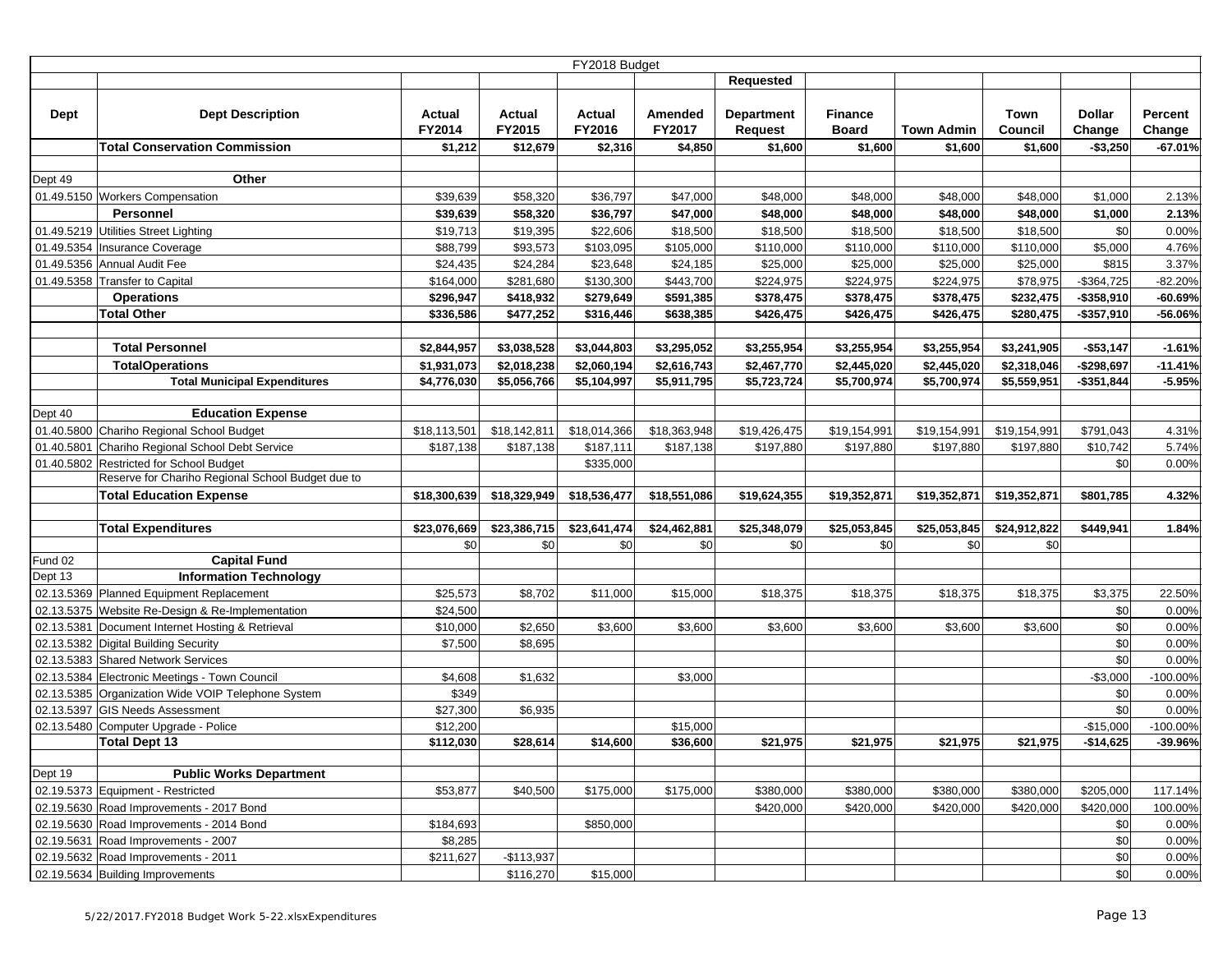|             |                                                    |                       |              | FY2018 Budget |                      |                   |                |              |              |                          |                     |
|-------------|----------------------------------------------------|-----------------------|--------------|---------------|----------------------|-------------------|----------------|--------------|--------------|--------------------------|---------------------|
|             |                                                    |                       |              |               |                      | Requested         |                |              |              |                          |                     |
|             |                                                    |                       |              |               |                      |                   |                |              |              |                          |                     |
| <b>Dept</b> | <b>Dept Description</b>                            | Actual                | Actual       | Actual        | Amended              | <b>Department</b> | <b>Finance</b> |              | Town         | <b>Dollar</b>            | Percent             |
|             |                                                    | FY2014                | FY2015       | FY2016        | FY2017               | <b>Request</b>    | <b>Board</b>   | Town Admin   | Council      | Change                   | Change              |
|             | <b>Total Conservation Commission</b>               | \$1,212               | \$12,679     | \$2,316       | \$4,850              | \$1,600           | \$1,600        | \$1,600      | \$1,600      | $-$ \$3,250              | $-67.01%$           |
|             |                                                    |                       |              |               |                      |                   |                |              |              |                          |                     |
| Dept 49     | Other                                              |                       |              |               |                      |                   |                |              |              |                          |                     |
|             | 01.49.5150 Workers Compensation                    | \$39,639              | \$58,320     | \$36,797      | \$47,000             | \$48,000          | \$48,000       | \$48,000     | \$48,000     | \$1,000                  | 2.13%               |
|             | Personnel                                          | \$39,639              | \$58,320     | \$36,797      | \$47,000             | \$48,000          | \$48,000       | \$48,000     | \$48,000     | \$1,000                  | 2.13%               |
|             | 01.49.5219 Utilities Street Lighting               | \$19,713              | \$19,395     | \$22,606      | \$18,500             | \$18,500          | \$18,500       | \$18,500     | \$18,500     | \$0                      | 0.00%               |
| 01.49.5354  | Insurance Coverage                                 | \$88,799              | \$93,573     | \$103,095     | \$105,000            | \$110,000         | \$110,000      | \$110,000    | \$110,000    | \$5,000                  | 4.76%               |
| 01.49.5356  | Annual Audit Fee                                   | \$24,435              | \$24,284     | \$23,648      | \$24,185             | \$25,000          | \$25,000       | \$25,000     | \$25,000     | \$815                    | 3.37%               |
| 01.49.5358  | <b>Transfer to Capital</b>                         | \$164,000             | \$281,680    | \$130,300     | \$443,700            | \$224,975         | \$224,975      | \$224,975    | \$78,975     | $-$364,725$              | $-82.20%$           |
|             | <b>Operations</b>                                  | \$296,947             | \$418,932    | \$279,649     | \$591,385            | \$378,475         | \$378,475      | \$378,475    | \$232,475    | $-$ \$358,910            | $-60.69%$           |
|             | <b>Total Other</b>                                 | \$336,586             | \$477,252    | \$316,446     | \$638,385            | \$426,475         | \$426,475      | \$426,475    | \$280,475    | $-$357,910$              | -56.06%             |
|             |                                                    |                       |              |               |                      |                   |                |              |              |                          |                     |
|             | <b>Total Personnel</b>                             | \$2,844,957           | \$3,038,528  | \$3,044,803   | \$3,295,052          | \$3,255,954       | \$3,255,954    | \$3,255,954  | \$3,241,905  | $-$53,147$               | $-1.61%$            |
|             | <b>TotalOperations</b>                             | \$1,931,073           | \$2,018,238  | \$2,060,194   | \$2,616,743          | \$2,467,770       | \$2,445,020    | \$2,445,020  | \$2,318,046  | $-$298,697$              | $-11.41%$           |
|             | <b>Total Municipal Expenditures</b>                | \$4,776,030           | \$5,056,766  | \$5,104,997   | \$5,911,795          | \$5,723,724       | \$5,700,974    | \$5,700,974  | \$5,559,951  | $-$351,844$              | $-5.95%$            |
|             |                                                    |                       |              |               |                      |                   |                |              |              |                          |                     |
| Dept 40     | <b>Education Expense</b>                           |                       |              |               |                      |                   |                |              |              |                          |                     |
| 01.40.5800  | Chariho Regional School Budget                     | \$18,113,501          | \$18,142,811 | \$18,014,366  | \$18,363,948         | \$19,426,475      | \$19,154,991   | \$19,154,991 | \$19,154,991 | \$791,043                | 4.31%               |
| 01.40.5801  | Chariho Regional School Debt Service               | \$187,138             | \$187,138    | \$187,111     | \$187,138            | \$197,880         | \$197,880      | \$197,880    | \$197,880    | \$10,742                 | 5.74%               |
|             | 01.40.5802 Restricted for School Budget            |                       |              | \$335,000     |                      |                   |                |              |              | \$0                      | 0.00%               |
|             | Reserve for Chariho Regional School Budget due to  |                       |              |               |                      |                   |                |              |              |                          |                     |
|             | <b>Total Education Expense</b>                     | \$18,300,639          | \$18,329,949 | \$18,536,477  | \$18,551,086         | \$19,624,355      | \$19,352,871   | \$19,352,871 | \$19,352,871 | \$801,785                | 4.32%               |
|             |                                                    |                       |              |               |                      |                   |                |              |              |                          |                     |
|             | <b>Total Expenditures</b>                          | \$23,076,669          | \$23,386,715 | \$23,641,474  | \$24,462,881         | \$25,348,079      | \$25,053,845   | \$25,053,845 | \$24,912,822 | \$449,941                | 1.84%               |
|             |                                                    | \$0                   | \$0          | \$0           | \$0                  | \$0               | \$0            | \$0          | \$0          |                          |                     |
| Fund 02     | <b>Capital Fund</b>                                |                       |              |               |                      |                   |                |              |              |                          |                     |
| Dept 13     | <b>Information Technology</b>                      |                       |              |               |                      |                   |                |              |              |                          |                     |
|             | 02.13.5369 Planned Equipment Replacement           | \$25,573              | \$8,702      | \$11,000      | \$15,000             | \$18,375          | \$18,375       | \$18,375     | \$18,375     | \$3,375                  | 22.50%              |
|             | 02.13.5375 Website Re-Design & Re-Implementation   | \$24,500              |              |               |                      |                   |                |              |              | \$0                      | 0.00%               |
| 02.13.5381  | Document Internet Hosting & Retrieval              | \$10,000              | \$2,650      | \$3,600       | \$3,600              | \$3,600           | \$3,600        | \$3,600      | \$3,600      | \$0                      | 0.00%               |
| 02.13.5382  | <b>Digital Building Security</b>                   | \$7,500               | \$8,695      |               |                      |                   |                |              |              | \$0                      | 0.00%               |
|             | 02.13.5383 Shared Network Services                 |                       |              |               |                      |                   |                |              |              | \$0                      | 0.00%               |
|             | 02.13.5384 Electronic Meetings - Town Council      | \$4,608               | \$1,632      |               | \$3,000              |                   |                |              |              | $-$3,000$                | $-100.00\%$         |
|             | 02.13.5385 Organization Wide VOIP Telephone System | \$349                 |              |               |                      |                   |                |              |              | \$0                      | 0.00%               |
| 02.13.5397  | <b>GIS Needs Assessment</b>                        | \$27,300              | \$6,935      |               |                      |                   |                |              |              | \$0                      | 0.00%               |
| 02.13.5480  | Computer Upgrade - Police                          | \$12,200<br>\$112,030 | \$28,614     | \$14,600      | \$15,000<br>\$36,600 |                   | \$21,975       | \$21,975     | \$21,975     | $-$15,000$<br>$-$14,625$ | -100.00%<br>-39.96% |
|             | <b>Total Dept 13</b>                               |                       |              |               |                      | \$21,975          |                |              |              |                          |                     |
| Dept 19     | <b>Public Works Department</b>                     |                       |              |               |                      |                   |                |              |              |                          |                     |
|             | 02.19.5373 Equipment - Restricted                  | \$53,877              | \$40,500     | \$175,000     | \$175,000            | \$380,000         | \$380,000      | \$380,000    | \$380,000    | \$205,000                | 117.14%             |
|             | 02.19.5630 Road Improvements - 2017 Bond           |                       |              |               |                      | \$420,000         | \$420,000      | \$420,000    | \$420,000    | \$420,000                | 100.00%             |
|             | 02.19.5630 Road Improvements - 2014 Bond           | \$184,693             |              | \$850,000     |                      |                   |                |              |              | \$0                      | 0.00%               |
|             | 02.19.5631 Road Improvements - 2007                | \$8,285               |              |               |                      |                   |                |              |              | \$0                      | 0.00%               |
|             | 02.19.5632 Road Improvements - 2011                | \$211,627             | $-$113,937$  |               |                      |                   |                |              |              | \$0                      | 0.00%               |
|             | 02.19.5634 Building Improvements                   |                       | \$116,270    | \$15,000      |                      |                   |                |              |              | \$0                      | 0.00%               |
|             |                                                    |                       |              |               |                      |                   |                |              |              |                          |                     |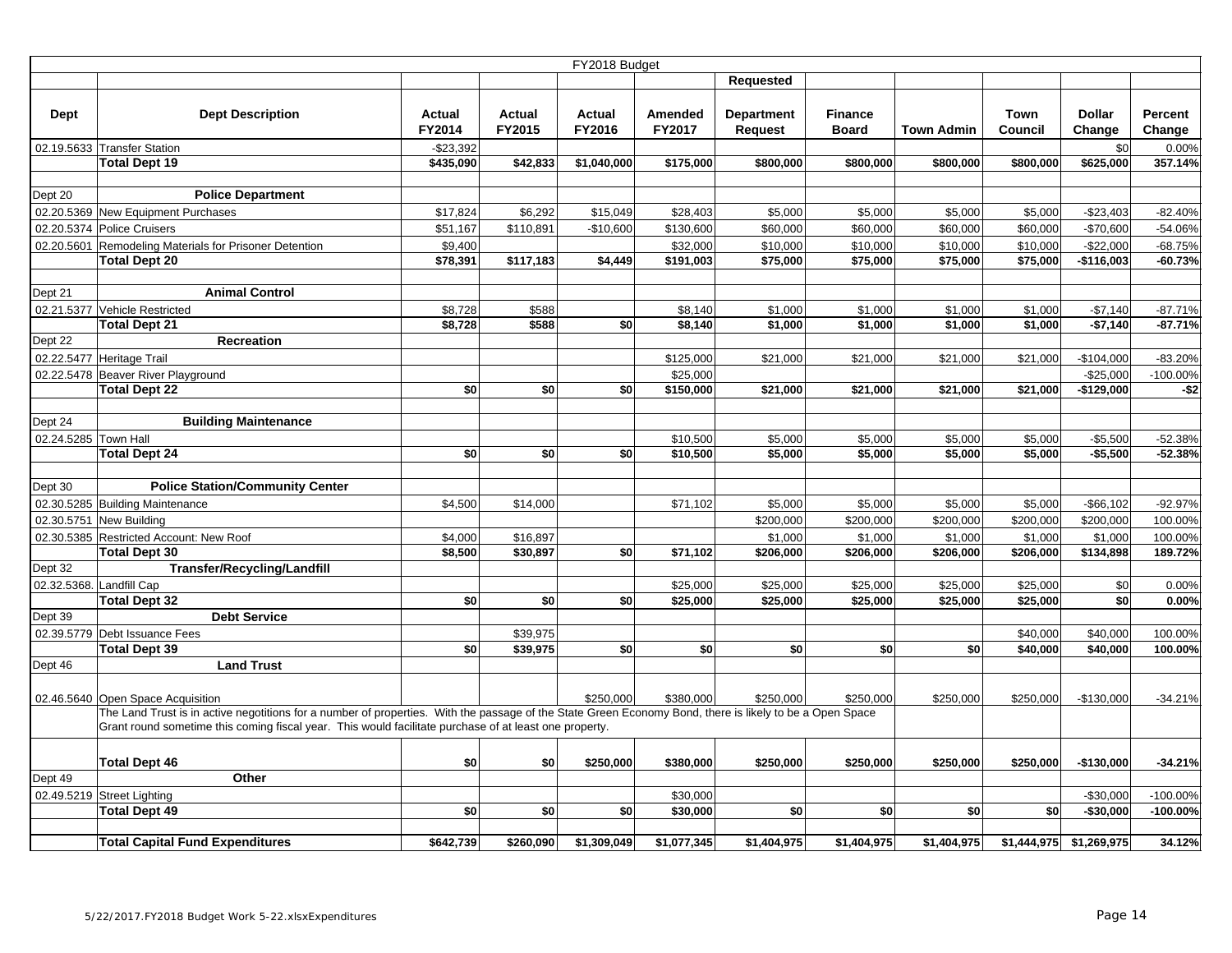|                      |                                                                                                                                                          |                  |                  | FY2018 Budget    |                          |                                     |                                |             |                 |                         |                   |
|----------------------|----------------------------------------------------------------------------------------------------------------------------------------------------------|------------------|------------------|------------------|--------------------------|-------------------------------------|--------------------------------|-------------|-----------------|-------------------------|-------------------|
|                      |                                                                                                                                                          |                  |                  |                  |                          | <b>Requested</b>                    |                                |             |                 |                         |                   |
| Dept                 | <b>Dept Description</b>                                                                                                                                  | Actual<br>FY2014 | Actual<br>FY2015 | Actual<br>FY2016 | <b>Amended</b><br>FY2017 | <b>Department</b><br><b>Request</b> | <b>Finance</b><br><b>Board</b> | Town Admin  | Town<br>Council | <b>Dollar</b><br>Change | Percent<br>Change |
|                      | 02.19.5633 Transfer Station                                                                                                                              | $-$23,392$       |                  |                  |                          |                                     |                                |             |                 | \$0                     | 0.00%             |
|                      | <b>Total Dept 19</b>                                                                                                                                     | \$435,090        | \$42,833         | \$1,040,000      | \$175,000                | \$800,000                           | \$800,000                      | \$800,000   | \$800,000       | \$625,000               | 357.14%           |
|                      |                                                                                                                                                          |                  |                  |                  |                          |                                     |                                |             |                 |                         |                   |
| Dept 20              | <b>Police Department</b>                                                                                                                                 |                  |                  |                  |                          |                                     |                                |             |                 |                         |                   |
|                      | 02.20.5369 New Equipment Purchases                                                                                                                       | \$17,824         | \$6,292          | \$15,049         | \$28,403                 | \$5,000                             | \$5,000                        | \$5,000     | \$5,000         | $-$23,403$              | $-82.40%$         |
|                      | 02.20.5374 Police Cruisers                                                                                                                               | \$51,167         | \$110,891        | $-$10,600$       | \$130,600                | \$60,000                            | \$60,000                       | \$60,000    | \$60.000        | $-$70,600$              | -54.06%           |
|                      | 02.20.5601 Remodeling Materials for Prisoner Detention<br><b>Total Dept 20</b>                                                                           | \$9,400          |                  |                  | \$32,000                 | \$10,000                            | \$10,000                       | \$10,000    | \$10,000        | $-$22,000$              | $-68.75%$         |
|                      |                                                                                                                                                          | \$78,391         | \$117,183        | \$4,449          | \$191,003                | \$75,000                            | \$75,000                       | \$75,000    | \$75,000        | $-$116,003$             | $-60.73%$         |
| Dept 21              | <b>Animal Control</b>                                                                                                                                    |                  |                  |                  |                          |                                     |                                |             |                 |                         |                   |
|                      | 02.21.5377 Vehicle Restricted                                                                                                                            | \$8,728          | \$588            |                  | \$8,140                  | \$1,000                             | \$1,000                        | \$1,000     | \$1,000         | $-$7,140$               | $-87.71%$         |
|                      | <b>Total Dept 21</b>                                                                                                                                     | \$8,728          | \$588            | \$0              | \$8,140                  | \$1,000                             | \$1,000                        | \$1,000     | \$1,000         | $-$7,140$               | $-87.71%$         |
| Dept 22              | Recreation                                                                                                                                               |                  |                  |                  |                          |                                     |                                |             |                 |                         |                   |
|                      | 02.22.5477 Heritage Trail                                                                                                                                |                  |                  |                  | \$125,000                | \$21,000                            | \$21,000                       | \$21,000    | \$21,000        | $-$104,000$             | $-83.20%$         |
|                      | 02.22.5478 Beaver River Playground                                                                                                                       |                  |                  |                  | \$25,000                 |                                     |                                |             |                 | $-$ \$25,000            | $-100.00\%$       |
|                      | <b>Total Dept 22</b>                                                                                                                                     | \$0              | \$0              | \$0              | \$150,000                | \$21,000                            | \$21,000                       | \$21,000    | \$21,000        | $-$129,000$             | $-$2$             |
|                      |                                                                                                                                                          |                  |                  |                  |                          |                                     |                                |             |                 |                         |                   |
| Dept 24              | <b>Building Maintenance</b>                                                                                                                              |                  |                  |                  |                          |                                     |                                |             |                 |                         |                   |
| 02.24.5285 Town Hall |                                                                                                                                                          |                  |                  |                  | \$10,500                 | \$5,000                             | \$5,000                        | \$5,000     | \$5,000         | $-$5,500$               | $-52.38%$         |
|                      | <b>Total Dept 24</b>                                                                                                                                     | \$0              | \$0              | \$0              | \$10,500                 | \$5,000                             | \$5,000                        | \$5,000     | \$5,000         | $-$5,500$               | $-52.38%$         |
|                      |                                                                                                                                                          |                  |                  |                  |                          |                                     |                                |             |                 |                         |                   |
| Dept 30              | <b>Police Station/Community Center</b>                                                                                                                   |                  |                  |                  |                          |                                     |                                |             |                 |                         |                   |
|                      | 02.30.5285 Building Maintenance                                                                                                                          | \$4,500          | \$14,000         |                  | \$71,102                 | \$5,000                             | \$5,000                        | \$5,000     | \$5,000         | $-$66,102$              | $-92.97%$         |
| 02.30.5751           | New Building                                                                                                                                             |                  |                  |                  |                          | \$200,000                           | \$200,000                      | \$200,000   | \$200,000       | \$200,000               | 100.00%           |
|                      | 02.30.5385 Restricted Account: New Roof                                                                                                                  | \$4,000          | \$16,897         |                  |                          | \$1,000                             | \$1,000                        | \$1,000     | \$1.000         | \$1,000                 | 100.00%           |
|                      | <b>Total Dept 30</b>                                                                                                                                     | \$8,500          | \$30,897         | \$0              | \$71,102                 | \$206,000                           | \$206,000                      | \$206,000   | \$206,000       | \$134,898               | 189.72%           |
| Dept 32              | <b>Transfer/Recycling/Landfill</b>                                                                                                                       |                  |                  |                  |                          |                                     |                                |             |                 |                         |                   |
|                      | 02.32.5368. Landfill Cap                                                                                                                                 |                  |                  |                  | \$25,000                 | \$25,000                            | \$25,000                       | \$25,000    | \$25,000        | \$0                     | 0.00%             |
|                      | <b>Total Dept 32</b>                                                                                                                                     | \$0              | \$0              | \$0              | \$25,000                 | \$25,000                            | \$25,000                       | \$25,000    | \$25,000        | \$0                     | 0.00%             |
| Dept 39              | <b>Debt Service</b>                                                                                                                                      |                  |                  |                  |                          |                                     |                                |             |                 |                         |                   |
|                      | 02.39.5779 Debt Issuance Fees                                                                                                                            |                  | \$39,975         |                  |                          |                                     |                                |             | \$40,000        | \$40,000                | 100.00%           |
|                      | <b>Total Dept 39</b>                                                                                                                                     | \$0              | \$39,975         | \$0              | \$O                      | \$0                                 | \$O                            | \$0         | \$40,000        | \$40,000                | 100.00%           |
| Dept 46              | <b>Land Trust</b>                                                                                                                                        |                  |                  |                  |                          |                                     |                                |             |                 |                         |                   |
|                      |                                                                                                                                                          |                  |                  |                  |                          |                                     |                                |             |                 |                         |                   |
|                      | 02.46.5640 Open Space Acquisition                                                                                                                        |                  |                  | \$250,000        | \$380,000                | \$250,000                           | \$250,000                      | \$250,000   | \$250,000       | $-$130,000$             | $-34.21%$         |
|                      | The Land Trust is in active negotitions for a number of properties. With the passage of the State Green Economy Bond, there is likely to be a Open Space |                  |                  |                  |                          |                                     |                                |             |                 |                         |                   |
|                      | Grant round sometime this coming fiscal year. This would facilitate purchase of at least one property.                                                   |                  |                  |                  |                          |                                     |                                |             |                 |                         |                   |
|                      |                                                                                                                                                          |                  |                  |                  |                          |                                     |                                |             |                 |                         |                   |
|                      | <b>Total Dept 46</b>                                                                                                                                     | \$0              | \$0              | \$250,000        | \$380,000                | \$250,000                           | \$250,000                      | \$250,000   | \$250,000       | $-$130,000$             | $-34.21%$         |
| Dept 49              | Other                                                                                                                                                    |                  |                  |                  |                          |                                     |                                |             |                 |                         |                   |
|                      | 02.49.5219 Street Lighting                                                                                                                               |                  |                  |                  | \$30,000                 |                                     |                                |             |                 | $-$30,000$              | -100.00%          |
|                      | <b>Total Dept 49</b>                                                                                                                                     | \$O              | \$0              | \$0              | \$30,000                 | \$0                                 | \$0                            | \$0         | \$0             | $-$30,000$              | -100.00%          |
|                      |                                                                                                                                                          |                  |                  |                  |                          |                                     |                                |             |                 |                         |                   |
|                      | <b>Total Capital Fund Expenditures</b>                                                                                                                   | \$642,739        | \$260,090        | \$1,309,049      | \$1,077,345              | \$1,404,975                         | \$1,404,975                    | \$1,404,975 |                 | \$1,444,975 \$1,269,975 | 34.12%            |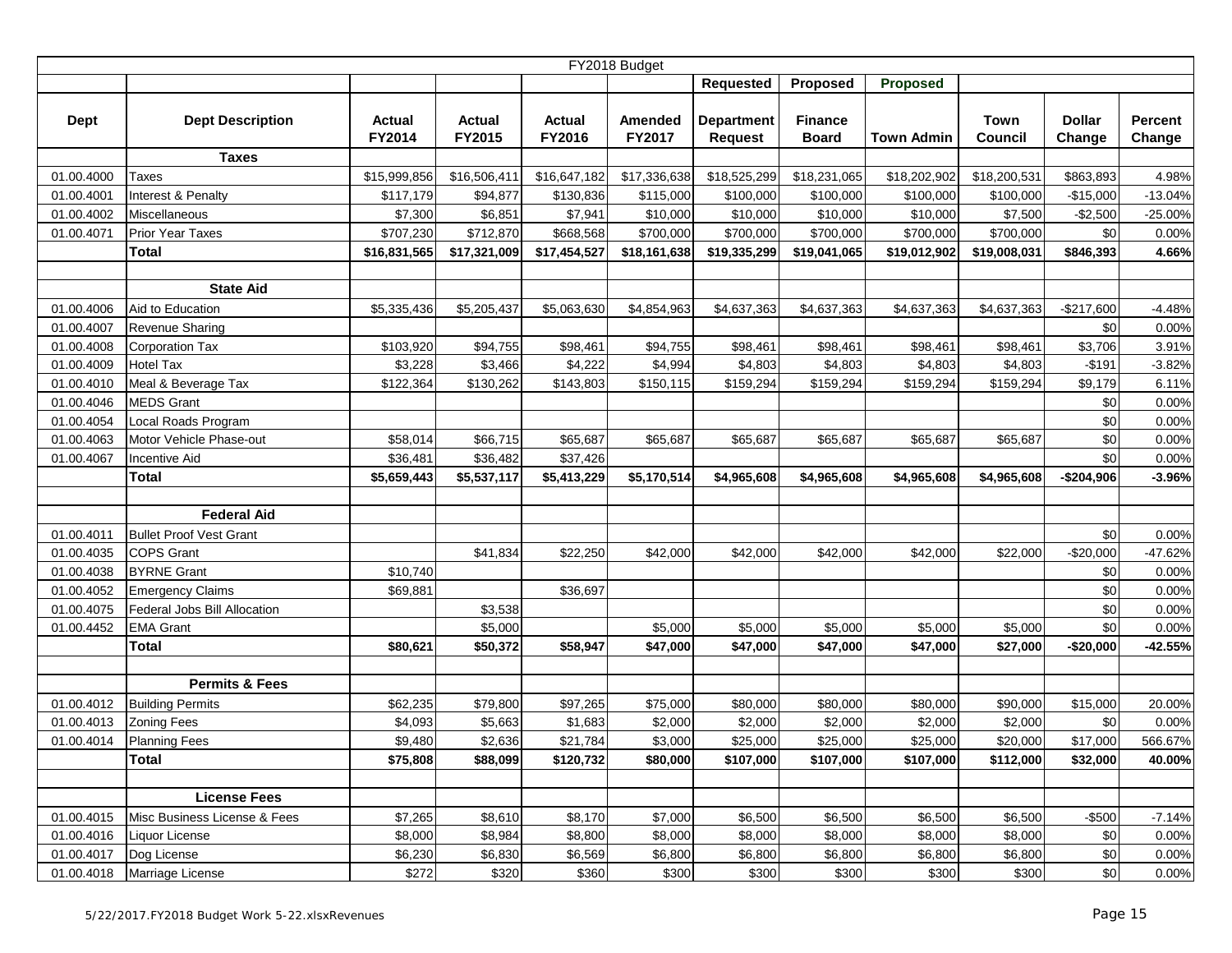|             | FY2018 Budget                  |                         |                         |                         |                   |                                     |                                |                   |                 |                         |                   |  |  |
|-------------|--------------------------------|-------------------------|-------------------------|-------------------------|-------------------|-------------------------------------|--------------------------------|-------------------|-----------------|-------------------------|-------------------|--|--|
|             |                                |                         |                         |                         |                   | <b>Requested</b>                    | Proposed                       | <b>Proposed</b>   |                 |                         |                   |  |  |
| <b>Dept</b> | <b>Dept Description</b>        | <b>Actual</b><br>FY2014 | <b>Actual</b><br>FY2015 | <b>Actual</b><br>FY2016 | Amended<br>FY2017 | <b>Department</b><br><b>Request</b> | <b>Finance</b><br><b>Board</b> | <b>Town Admin</b> | Town<br>Council | <b>Dollar</b><br>Change | Percent<br>Change |  |  |
|             | <b>Taxes</b>                   |                         |                         |                         |                   |                                     |                                |                   |                 |                         |                   |  |  |
| 01.00.4000  | Taxes                          | \$15,999,856            | \$16,506,411            | \$16,647,182            | \$17,336,638      | \$18,525,299                        | \$18,231,065                   | \$18,202,902      | \$18,200,531    | \$863,893               | 4.98%             |  |  |
| 01.00.4001  | Interest & Penalty             | \$117,179               | \$94,877                | \$130,836               | \$115,000         | \$100,000                           | \$100,000                      | \$100,000         | \$100,000       | $-$15,000$              | $-13.04%$         |  |  |
| 01.00.4002  | Miscellaneous                  | \$7,300                 | \$6,851                 | \$7,941                 | \$10,000          | \$10,000                            | \$10,000                       | \$10,000          | \$7,500         | $-$2,500$               | -25.00%           |  |  |
| 01.00.4071  | Prior Year Taxes               | \$707,230               | \$712,870               | \$668,568               | \$700,000         | \$700,000                           | \$700,000                      | \$700,000         | \$700,000       | \$0                     | 0.00%             |  |  |
|             | <b>Total</b>                   | \$16,831,565            | \$17,321,009            | \$17,454,527            | \$18,161,638      | \$19,335,299                        | \$19,041,065                   | \$19,012,902      | \$19,008,031    | \$846,393               | 4.66%             |  |  |
|             |                                |                         |                         |                         |                   |                                     |                                |                   |                 |                         |                   |  |  |
|             | <b>State Aid</b>               |                         |                         |                         |                   |                                     |                                |                   |                 |                         |                   |  |  |
| 01.00.4006  | Aid to Education               | \$5,335,436             | \$5,205,437             | \$5,063,630             | \$4,854,963       | \$4,637,363                         | \$4,637,363                    | \$4,637,363       | \$4,637,363     | $-$217,600$             | $-4.48%$          |  |  |
| 01.00.4007  | <b>Revenue Sharing</b>         |                         |                         |                         |                   |                                     |                                |                   |                 | \$0                     | 0.00%             |  |  |
| 01.00.4008  | Corporation Tax                | \$103,920               | \$94,755                | \$98,461                | \$94,755          | \$98,461                            | \$98,461                       | \$98,461          | \$98,461        | \$3,706                 | 3.91%             |  |  |
| 01.00.4009  | <b>Hotel Tax</b>               | \$3,228                 | \$3,466                 | \$4,222                 | \$4,994           | \$4,803                             | \$4,803                        | \$4,803           | \$4,803         | $-$191$                 | $-3.82%$          |  |  |
| 01.00.4010  | Meal & Beverage Tax            | \$122,364               | \$130,262               | \$143,803               | \$150,115         | \$159,294                           | \$159,294                      | \$159,294         | \$159,294       | \$9,179                 | 6.11%             |  |  |
| 01.00.4046  | <b>MEDS Grant</b>              |                         |                         |                         |                   |                                     |                                |                   |                 | \$0                     | 0.00%             |  |  |
| 01.00.4054  | Local Roads Program            |                         |                         |                         |                   |                                     |                                |                   |                 | \$0                     | 0.00%             |  |  |
| 01.00.4063  | Motor Vehicle Phase-out        | \$58,014                | \$66,715                | \$65,687                | \$65,687          | \$65,687                            | \$65,687                       | \$65,687          | \$65,687        | \$0                     | 0.00%             |  |  |
| 01.00.4067  | <b>Incentive Aid</b>           | \$36,481                | \$36,482                | \$37,426                |                   |                                     |                                |                   |                 | \$0                     | 0.00%             |  |  |
|             | <b>Total</b>                   | \$5,659,443             | \$5,537,117             | \$5,413,229             | \$5,170,514       | \$4,965,608                         | \$4,965,608                    | \$4,965,608       | \$4,965,608     | $-$204,906$             | $-3.96%$          |  |  |
|             |                                |                         |                         |                         |                   |                                     |                                |                   |                 |                         |                   |  |  |
|             | <b>Federal Aid</b>             |                         |                         |                         |                   |                                     |                                |                   |                 |                         |                   |  |  |
| 01.00.4011  | <b>Bullet Proof Vest Grant</b> |                         |                         |                         |                   |                                     |                                |                   |                 | \$0                     | 0.00%             |  |  |
| 01.00.4035  | COPS Grant                     |                         | \$41,834                | \$22,250                | \$42,000          | \$42,000                            | \$42,000                       | \$42,000          | \$22,000        | $-$20,000$              | $-47.62%$         |  |  |
| 01.00.4038  | <b>BYRNE Grant</b>             | \$10,740                |                         |                         |                   |                                     |                                |                   |                 | \$0                     | 0.00%             |  |  |
| 01.00.4052  | <b>Emergency Claims</b>        | \$69,881                |                         | \$36,697                |                   |                                     |                                |                   |                 | \$0                     | 0.00%             |  |  |
| 01.00.4075  | Federal Jobs Bill Allocation   |                         | \$3,538                 |                         |                   |                                     |                                |                   |                 | \$0                     | 0.00%             |  |  |
| 01.00.4452  | <b>EMA Grant</b>               |                         | \$5,000                 |                         | \$5,000           | \$5,000                             | \$5,000                        | \$5,000           | \$5,000         | \$0                     | 0.00%             |  |  |
|             | <b>Total</b>                   | \$80,621                | \$50,372                | \$58,947                | \$47,000          | \$47,000                            | \$47,000                       | \$47,000          | \$27,000        | $-$20,000$              | $-42.55%$         |  |  |
|             |                                |                         |                         |                         |                   |                                     |                                |                   |                 |                         |                   |  |  |
|             | <b>Permits &amp; Fees</b>      |                         |                         |                         |                   |                                     |                                |                   |                 |                         |                   |  |  |
| 01.00.4012  | <b>Building Permits</b>        | \$62,235                | \$79,800                | \$97,265                | \$75,000          | \$80,000                            | \$80,000                       | \$80,000          | \$90,000        | \$15,000                | 20.00%            |  |  |
| 01.00.4013  | <b>Zoning Fees</b>             | \$4,093                 | \$5,663                 | \$1,683                 | \$2,000           | \$2,000                             | \$2,000                        | \$2,000           | \$2,000         | \$0                     | 0.00%             |  |  |
| 01.00.4014  | <b>Planning Fees</b>           | \$9,480                 | \$2,636                 | \$21,784                | \$3,000           | \$25,000                            | \$25,000                       | \$25,000          | \$20,000        | \$17,000                | 566.67%           |  |  |
|             | <b>Total</b>                   | \$75,808                | \$88,099                | \$120,732               | \$80,000          | \$107,000                           | \$107,000                      | \$107,000         | \$112,000       | \$32,000                | 40.00%            |  |  |
|             |                                |                         |                         |                         |                   |                                     |                                |                   |                 |                         |                   |  |  |
|             | <b>License Fees</b>            |                         |                         |                         |                   |                                     |                                |                   |                 |                         |                   |  |  |
| 01.00.4015  | Misc Business License & Fees   | \$7,265                 | \$8,610                 | \$8,170                 | \$7,000           | \$6,500                             | \$6,500                        | \$6,500           | \$6,500         | $-$ \$500               | $-7.14%$          |  |  |
| 01.00.4016  | Liquor License                 | \$8,000                 | \$8,984                 | \$8,800                 | \$8,000           | \$8,000                             | \$8,000                        | \$8,000           | \$8,000         | \$0                     | 0.00%             |  |  |
| 01.00.4017  | Dog License                    | \$6,230                 | \$6,830                 | \$6,569                 | \$6,800           | \$6,800                             | \$6,800                        | \$6,800           | \$6,800         | \$0                     | 0.00%             |  |  |
| 01.00.4018  | Marriage License               | \$272                   | \$320                   | \$360                   | \$300             | \$300                               | \$300                          | \$300             | \$300           | \$0                     | 0.00%             |  |  |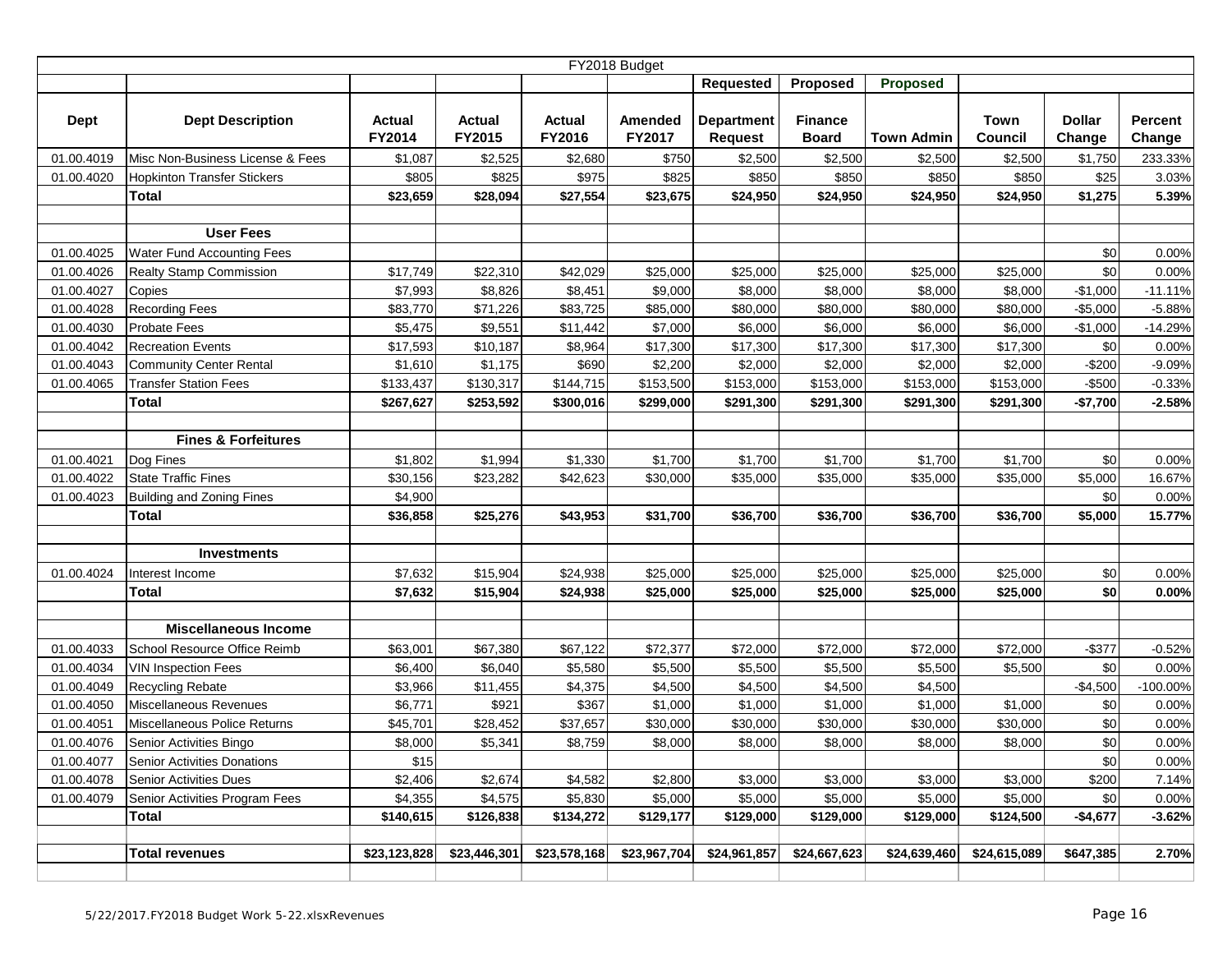|             | FY2018 Budget                      |                         |                         |                         |                          |                                     |                                |                   |                 |                         |                   |  |  |
|-------------|------------------------------------|-------------------------|-------------------------|-------------------------|--------------------------|-------------------------------------|--------------------------------|-------------------|-----------------|-------------------------|-------------------|--|--|
|             |                                    |                         |                         |                         |                          | <b>Requested</b>                    | Proposed                       | Proposed          |                 |                         |                   |  |  |
| <b>Dept</b> | <b>Dept Description</b>            | <b>Actual</b><br>FY2014 | <b>Actual</b><br>FY2015 | <b>Actual</b><br>FY2016 | <b>Amended</b><br>FY2017 | <b>Department</b><br><b>Request</b> | <b>Finance</b><br><b>Board</b> | <b>Town Admin</b> | Town<br>Council | <b>Dollar</b><br>Change | Percent<br>Change |  |  |
| 01.00.4019  | Misc Non-Business License & Fees   | \$1,087                 | \$2,525                 | \$2,680                 | \$750                    | \$2,500                             | \$2,500                        | \$2,500           | \$2,500         | \$1,750                 | 233.33%           |  |  |
| 01.00.4020  | <b>Hopkinton Transfer Stickers</b> | \$805                   | \$825                   | \$975                   | \$825                    | \$850                               | \$850                          | \$850             | \$850           | \$25                    | 3.03%             |  |  |
|             | <b>Total</b>                       | \$23,659                | \$28,094                | \$27,554                | \$23,675                 | \$24,950                            | \$24,950                       | \$24,950          | \$24,950        | \$1,275                 | 5.39%             |  |  |
|             |                                    |                         |                         |                         |                          |                                     |                                |                   |                 |                         |                   |  |  |
|             | <b>User Fees</b>                   |                         |                         |                         |                          |                                     |                                |                   |                 |                         |                   |  |  |
| 01.00.4025  | Water Fund Accounting Fees         |                         |                         |                         |                          |                                     |                                |                   |                 | \$0                     | 0.00%             |  |  |
| 01.00.4026  | <b>Realty Stamp Commission</b>     | \$17,749                | \$22,310                | \$42,029                | \$25,000                 | \$25,000                            | \$25,000                       | \$25,000          | \$25,000        | \$0                     | 0.00%             |  |  |
| 01.00.4027  | Copies                             | \$7,993                 | \$8,826                 | \$8,451                 | \$9,000                  | \$8,000                             | \$8,000                        | \$8,000           | \$8,000         | $-$1,000$               | $-11.11%$         |  |  |
| 01.00.4028  | <b>Recording Fees</b>              | \$83,770                | \$71,226                | \$83,725                | \$85,000                 | \$80,000                            | \$80,000                       | \$80,000          | \$80,000        | $-$5,000$               | $-5.88%$          |  |  |
| 01.00.4030  | <b>Probate Fees</b>                | \$5,475                 | \$9,551                 | \$11,442                | \$7,000                  | \$6,000                             | \$6,000                        | \$6,000           | \$6,000         | $-$1,000$               | $-14.29%$         |  |  |
| 01.00.4042  | <b>Recreation Events</b>           | \$17,593                | \$10,187                | \$8,964                 | \$17,300                 | \$17,300                            | \$17,300                       | \$17,300          | \$17,300        | \$0                     | 0.00%             |  |  |
| 01.00.4043  | Community Center Rental            | \$1,610                 | \$1,175                 | \$690                   | \$2,200                  | \$2,000                             | \$2,000                        | \$2,000           | \$2,000         | $-$200$                 | $-9.09%$          |  |  |
| 01.00.4065  | <b>Transfer Station Fees</b>       | \$133,437               | \$130,317               | \$144,715               | \$153,500                | \$153,000                           | \$153,000                      | \$153,000         | \$153,000       | $-$500$                 | $-0.33%$          |  |  |
|             | <b>Total</b>                       | \$267,627               | \$253,592               | \$300,016               | \$299,000                | \$291,300                           | \$291,300                      | \$291,300         | \$291,300       | $-$7,700$               | $-2.58%$          |  |  |
|             |                                    |                         |                         |                         |                          |                                     |                                |                   |                 |                         |                   |  |  |
|             | <b>Fines &amp; Forfeitures</b>     |                         |                         |                         |                          |                                     |                                |                   |                 |                         |                   |  |  |
| 01.00.4021  | Dog Fines                          | \$1,802                 | \$1,994                 | \$1,330                 | \$1,700                  | \$1,700                             | \$1,700                        | \$1,700           | \$1,700         | \$0                     | 0.00%             |  |  |
| 01.00.4022  | <b>State Traffic Fines</b>         | \$30,156                | \$23,282                | \$42,623                | \$30,000                 | \$35,000                            | \$35,000                       | \$35,000          | \$35,000        | \$5,000                 | 16.67%            |  |  |
| 01.00.4023  | Building and Zoning Fines          | \$4,900                 |                         |                         |                          |                                     |                                |                   |                 | \$0                     | 0.00%             |  |  |
|             | <b>Total</b>                       | \$36,858                | \$25,276                | \$43,953                | \$31,700                 | \$36,700                            | \$36,700                       | \$36,700          | \$36,700        | \$5,000                 | 15.77%            |  |  |
|             |                                    |                         |                         |                         |                          |                                     |                                |                   |                 |                         |                   |  |  |
|             | <b>Investments</b>                 |                         |                         |                         |                          |                                     |                                |                   |                 |                         |                   |  |  |
| 01.00.4024  | Interest Income                    | \$7,632                 | \$15,904                | \$24,938                | \$25,000                 | \$25,000                            | \$25,000                       | \$25,000          | \$25,000        | \$0                     | 0.00%             |  |  |
|             | <b>Total</b>                       | \$7,632                 | \$15,904                | \$24,938                | \$25,000                 | \$25,000                            | \$25,000                       | \$25,000          | \$25,000        | \$0                     | 0.00%             |  |  |
|             |                                    |                         |                         |                         |                          |                                     |                                |                   |                 |                         |                   |  |  |
|             | <b>Miscellaneous Income</b>        |                         |                         |                         |                          |                                     |                                |                   |                 |                         |                   |  |  |
| 01.00.4033  | School Resource Office Reimb       | \$63,001                | \$67,380                | \$67,122                | \$72,377                 | \$72,000                            | \$72,000                       | \$72,000          | \$72,000        | $-$ \$377               | $-0.52%$          |  |  |
| 01.00.4034  | <b>VIN Inspection Fees</b>         | \$6,400                 | \$6,040                 | \$5,580                 | \$5,500                  | \$5,500                             | \$5,500                        | \$5,500           | \$5,500         | \$0                     | 0.00%             |  |  |
| 01.00.4049  | <b>Recycling Rebate</b>            | \$3,966                 | \$11,455                | \$4,375                 | \$4,500                  | \$4,500                             | \$4,500                        | \$4,500           |                 | $-$4,500$               | $-100.00\%$       |  |  |
| 01.00.4050  | Miscellaneous Revenues             | \$6,771                 | \$921                   | \$367                   | \$1,000                  | \$1,000                             | \$1,000                        | \$1,000           | \$1,000         | \$0                     | 0.00%             |  |  |
| 01.00.4051  | Miscellaneous Police Returns       | \$45,701                | \$28,452                | \$37,657                | \$30,000                 | \$30,000                            | \$30,000                       | \$30,000          | \$30,000        | \$0                     | 0.00%             |  |  |
| 01.00.4076  | Senior Activities Bingo            | \$8,000                 | \$5,341                 | \$8,759                 | \$8,000                  | \$8,000                             | \$8,000                        | \$8,000           | \$8,000         | \$0                     | 0.00%             |  |  |
| 01.00.4077  | Senior Activities Donations        | \$15                    |                         |                         |                          |                                     |                                |                   |                 | \$0                     | 0.00%             |  |  |
| 01.00.4078  | <b>Senior Activities Dues</b>      | \$2,406                 | \$2,674                 | \$4,582                 | \$2,800                  | \$3,000                             | \$3,000                        | \$3,000           | \$3,000         | \$200                   | 7.14%             |  |  |
| 01.00.4079  | Senior Activities Program Fees     | \$4,355                 | \$4,575                 | \$5,830                 | \$5,000                  | \$5,000                             | \$5,000                        | \$5,000           | \$5,000         | \$0                     | 0.00%             |  |  |
|             | <b>Total</b>                       | \$140,615               | \$126,838               | \$134,272               | \$129,177                | \$129,000                           | \$129,000                      | \$129,000         | \$124,500       | $-$4,677$               | $-3.62%$          |  |  |
|             |                                    |                         |                         |                         |                          |                                     |                                |                   |                 |                         |                   |  |  |
|             | <b>Total revenues</b>              | \$23,123,828            | \$23,446,301            | \$23,578,168            | \$23,967,704             | \$24,961,857                        | \$24,667,623                   | \$24,639,460      | \$24,615,089    | \$647,385               | 2.70%             |  |  |
|             |                                    |                         |                         |                         |                          |                                     |                                |                   |                 |                         |                   |  |  |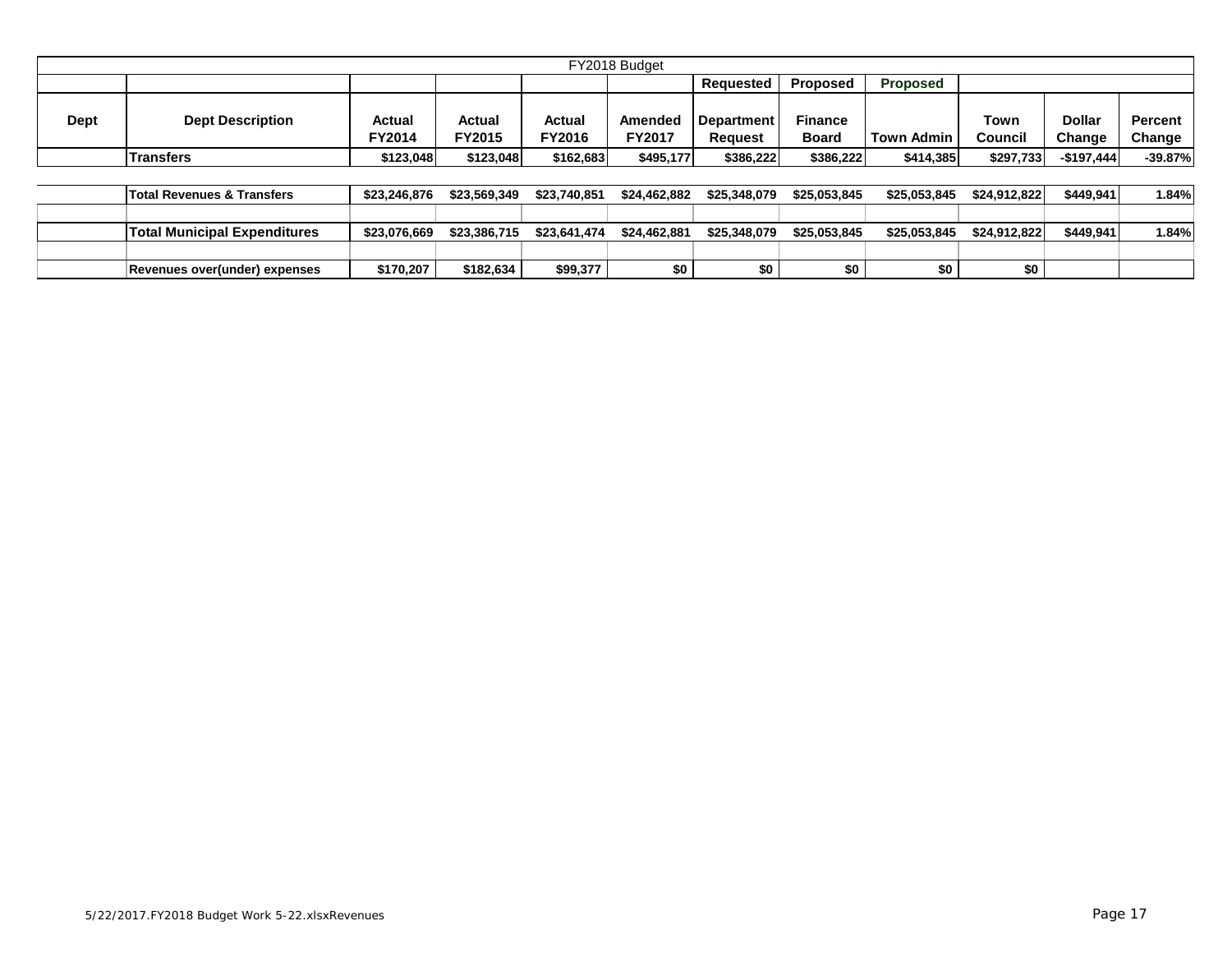|             | FY2018 Budget           |                  |                         |                  |                          |                                     |                                |                   |                        |                         |                   |  |
|-------------|-------------------------|------------------|-------------------------|------------------|--------------------------|-------------------------------------|--------------------------------|-------------------|------------------------|-------------------------|-------------------|--|
|             |                         |                  |                         |                  |                          | Reauested                           | <b>Proposed</b>                | <b>Proposed</b>   |                        |                         |                   |  |
| <b>Dept</b> | <b>Dept Description</b> | Actual<br>FY2014 | Actual<br><b>FY2015</b> | Actual<br>FY2016 | Amended<br><b>FY2017</b> | <b>Department</b><br><b>Reauest</b> | <b>Finance</b><br><b>Board</b> | <b>Town Admin</b> | <b>Town</b><br>Council | <b>Dollar</b><br>Change | Percent<br>Change |  |
|             | <b>Transfers</b>        | \$123,048        | \$123,048               | \$162,683        | \$495,177                | \$386,222                           | \$386,222                      | \$414,385         | \$297,733              | $-$197,444$             | $-39.87%$         |  |
|             |                         |                  |                         |                  |                          |                                     |                                |                   |                        |                         |                   |  |

| Total Revenues & Transfers_         | \$23.246.876 | \$23.569.349 | \$23.740.851 | \$24.462.882 | \$25.348.079 | \$25.053.845 | \$25,053,845 | \$24.912.822 | \$449.941 | l.84% |
|-------------------------------------|--------------|--------------|--------------|--------------|--------------|--------------|--------------|--------------|-----------|-------|
|                                     |              |              |              |              |              |              |              |              |           |       |
| <b>Total Municipal Expenditures</b> | \$23.076.669 | \$23.386.715 | \$23.641.474 | \$24.462.881 | \$25.348.079 | \$25.053.845 | \$25.053.845 | \$24.912.822 | \$449.941 | 84%،ا |
|                                     |              |              |              |              |              |              |              |              |           |       |
| Revenues over(under) expenses       | \$170,207    | \$182,634    | \$99,377     |              | \$0          | \$0          | \$0          | \$0          |           |       |